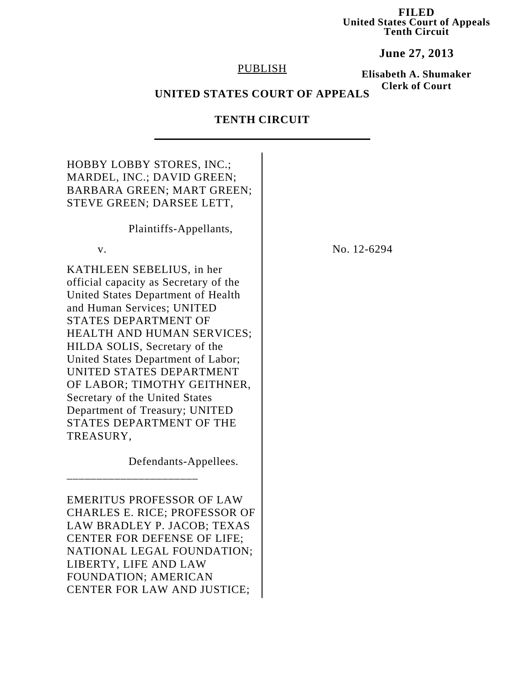**FILED United States Court of Appeals Tenth Circuit**

**June 27, 2013**

### PUBLISH

**Elisabeth A. Shumaker Clerk of Court**

# **UNITED STATES COURT OF APPEALS**

# **TENTH CIRCUIT**

| <b>HOBBY LOBBY STORES, INC.;</b><br>MARDEL, INC.; DAVID GREEN;<br><b>BARBARA GREEN; MART GREEN;</b><br>STEVE GREEN; DARSEE LETT,                                                                                                                                                                                                                                                                                                                   |             |
|----------------------------------------------------------------------------------------------------------------------------------------------------------------------------------------------------------------------------------------------------------------------------------------------------------------------------------------------------------------------------------------------------------------------------------------------------|-------------|
| Plaintiffs-Appellants,                                                                                                                                                                                                                                                                                                                                                                                                                             |             |
| V.                                                                                                                                                                                                                                                                                                                                                                                                                                                 | No. 12-6294 |
| KATHLEEN SEBELIUS, in her<br>official capacity as Secretary of the<br>United States Department of Health<br>and Human Services; UNITED<br>STATES DEPARTMENT OF<br><b>HEALTH AND HUMAN SERVICES;</b><br>HILDA SOLIS, Secretary of the<br>United States Department of Labor;<br>UNITED STATES DEPARTMENT<br>OF LABOR; TIMOTHY GEITHNER,<br>Secretary of the United States<br>Department of Treasury; UNITED<br>STATES DEPARTMENT OF THE<br>TREASURY, |             |
| Defendants-Appellees.                                                                                                                                                                                                                                                                                                                                                                                                                              |             |
| <b>EMERITUS PROFESSOR OF LAW</b><br><b>CHARLES E. RICE; PROFESSOR OF</b><br>LAW BRADLEY P. JACOB; TEXAS<br>CENTER FOR DEFENSE OF LIFE;<br>NATIONAL LEGAL FOUNDATION;<br>LIBERTY, LIFE AND LAW<br>FOUNDATION; AMERICAN<br>CENTER FOR LAW AND JUSTICE;                                                                                                                                                                                               |             |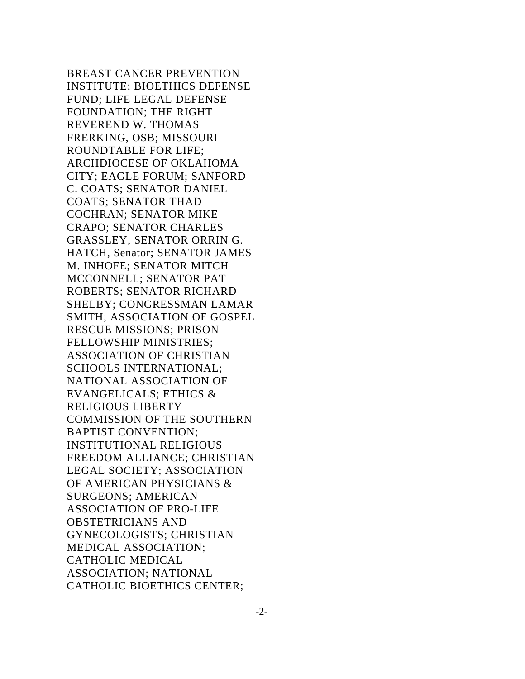BREAST CANCER PREVENTION INSTITUTE; BIOETHICS DEFENSE FUND; LIFE LEGAL DEFENSE FOUNDATION; THE RIGHT REVEREND W. THOMAS FRERKING, OSB; MISSOURI ROUNDTABLE FOR LIFE; ARCHDIOCESE OF OKLAHOMA CITY; EAGLE FORUM; SANFORD C. COATS; SENATOR DANIEL COATS; SENATOR THAD COCHRAN; SENATOR MIKE CRAPO; SENATOR CHARLES GRASSLEY; SENATOR ORRIN G. HATCH, Senator; SENATOR JAMES M. INHOFE; SENATOR MITCH MCCONNELL; SENATOR PAT ROBERTS; SENATOR RICHARD SHELBY; CONGRESSMAN LAMAR SMITH; ASSOCIATION OF GOSPEL RESCUE MISSIONS; PRISON FELLOWSHIP MINISTRIES; ASSOCIATION OF CHRISTIAN SCHOOLS INTERNATIONAL; NATIONAL ASSOCIATION OF EVANGELICALS; ETHICS & RELIGIOUS LIBERTY COMMISSION OF THE SOUTHERN BAPTIST CONVENTION; INSTITUTIONAL RELIGIOUS FREEDOM ALLIANCE; CHRISTIAN LEGAL SOCIETY; ASSOCIATION OF AMERICAN PHYSICIANS & SURGEONS; AMERICAN ASSOCIATION OF PRO-LIFE OBSTETRICIANS AND GYNECOLOGISTS; CHRISTIAN MEDICAL ASSOCIATION; CATHOLIC MEDICAL ASSOCIATION; NATIONAL CATHOLIC BIOETHICS CENTER;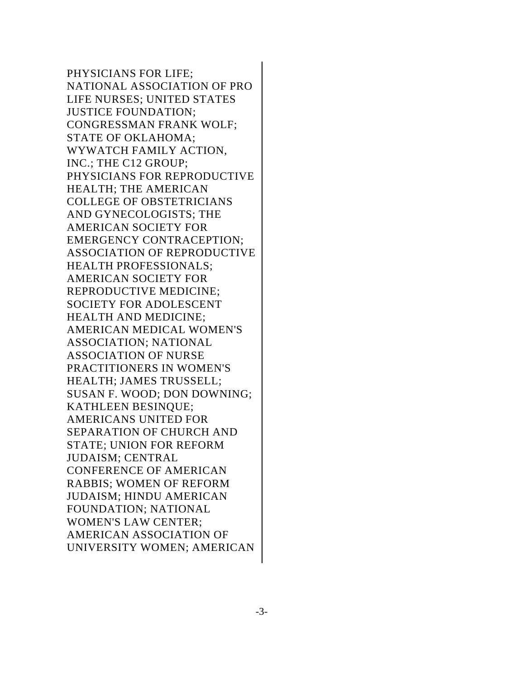PHYSICIANS FOR LIFE; NATIONAL ASSOCIATION OF PRO LIFE NURSES; UNITED STATES JUSTICE FOUNDATION; CONGRESSMAN FRANK WOLF; STATE OF OKLAHOMA; WYWATCH FAMILY ACTION, INC.; THE C12 GROUP; PHYSICIANS FOR REPRODUCTIVE HEALTH; THE AMERICAN COLLEGE OF OBSTETRICIANS AND GYNECOLOGISTS; THE AMERICAN SOCIETY FOR EMERGENCY CONTRACEPTION; ASSOCIATION OF REPRODUCTIVE HEALTH PROFESSIONALS; AMERICAN SOCIETY FOR REPRODUCTIVE MEDICINE; SOCIETY FOR ADOLESCENT HEALTH AND MEDICINE; AMERICAN MEDICAL WOMEN'S ASSOCIATION; NATIONAL ASSOCIATION OF NURSE PRACTITIONERS IN WOMEN'S HEALTH; JAMES TRUSSELL; SUSAN F. WOOD; DON DOWNING; KATHLEEN BESINQUE; AMERICANS UNITED FOR SEPARATION OF CHURCH AND STATE; UNION FOR REFORM JUDAISM; CENTRAL CONFERENCE OF AMERICAN RABBIS; WOMEN OF REFORM JUDAISM; HINDU AMERICAN FOUNDATION; NATIONAL WOMEN'S LAW CENTER; AMERICAN ASSOCIATION OF UNIVERSITY WOMEN; AMERICAN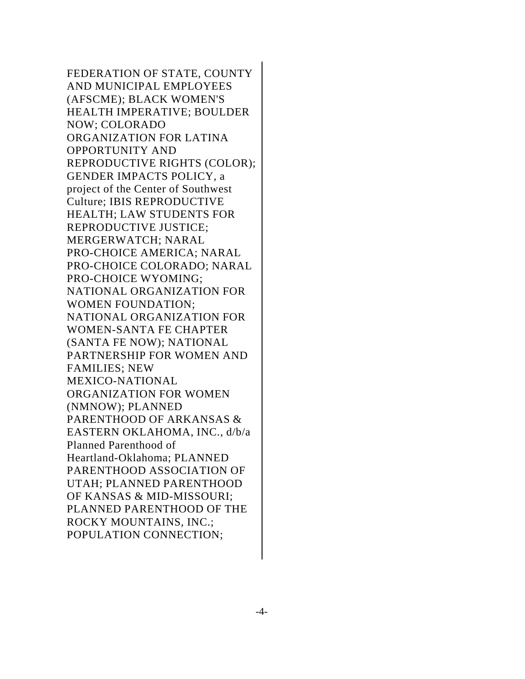FEDERATION OF STATE, COUNTY AND MUNICIPAL EMPLOYEES (AFSCME); BLACK WOMEN'S HEALTH IMPERATIVE; BOULDER NOW; COLORADO ORGANIZATION FOR LATINA OPPORTUNITY AND REPRODUCTIVE RIGHTS (COLOR); GENDER IMPACTS POLICY, a project of the Center of Southwest Culture; IBIS REPRODUCTIVE HEALTH; LAW STUDENTS FOR REPRODUCTIVE JUSTICE; MERGERWATCH; NARAL PRO-CHOICE AMERICA; NARAL PRO-CHOICE COLORADO; NARAL PRO-CHOICE WYOMING; NATIONAL ORGANIZATION FOR WOMEN FOUNDATION; NATIONAL ORGANIZATION FOR WOMEN-SANTA FE CHAPTER (SANTA FE NOW); NATIONAL PARTNERSHIP FOR WOMEN AND FAMILIES; NEW MEXICO-NATIONAL ORGANIZATION FOR WOMEN (NMNOW); PLANNED PARENTHOOD OF ARKANSAS & EASTERN OKLAHOMA, INC., d/b/a Planned Parenthood of Heartland-Oklahoma; PLANNED PARENTHOOD ASSOCIATION OF UTAH; PLANNED PARENTHOOD OF KANSAS & MID-MISSOURI; PLANNED PARENTHOOD OF THE ROCKY MOUNTAINS, INC.; POPULATION CONNECTION;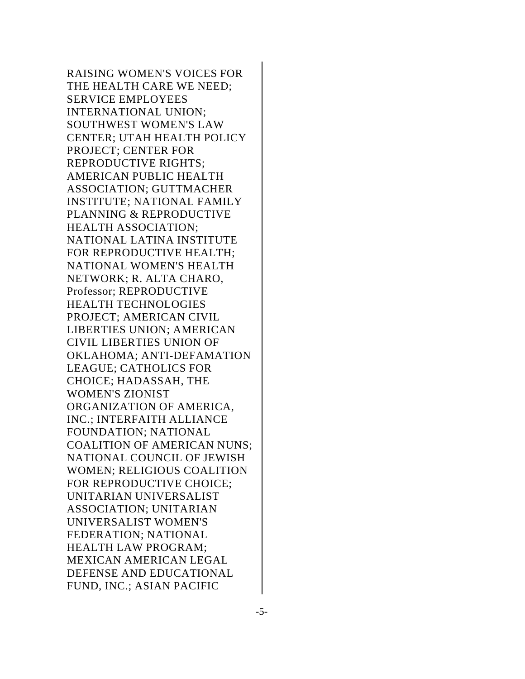RAISING WOMEN'S VOICES FOR THE HEALTH CARE WE NEED; SERVICE EMPLOYEES INTERNATIONAL UNION; SOUTHWEST WOMEN'S LAW CENTER; UTAH HEALTH POLICY PROJECT; CENTER FOR REPRODUCTIVE RIGHTS; AMERICAN PUBLIC HEALTH ASSOCIATION; GUTTMACHER INSTITUTE; NATIONAL FAMILY PLANNING & REPRODUCTIVE HEALTH ASSOCIATION; NATIONAL LATINA INSTITUTE FOR REPRODUCTIVE HEALTH; NATIONAL WOMEN'S HEALTH NETWORK; R. ALTA CHARO, Professor; REPRODUCTIVE HEALTH TECHNOLOGIES PROJECT; AMERICAN CIVIL LIBERTIES UNION; AMERICAN CIVIL LIBERTIES UNION OF OKLAHOMA; ANTI-DEFAMATION LEAGUE; CATHOLICS FOR CHOICE; HADASSAH, THE WOMEN'S ZIONIST ORGANIZATION OF AMERICA, INC.; INTERFAITH ALLIANCE FOUNDATION; NATIONAL COALITION OF AMERICAN NUNS; NATIONAL COUNCIL OF JEWISH WOMEN; RELIGIOUS COALITION FOR REPRODUCTIVE CHOICE; UNITARIAN UNIVERSALIST ASSOCIATION; UNITARIAN UNIVERSALIST WOMEN'S FEDERATION; NATIONAL HEALTH LAW PROGRAM; MEXICAN AMERICAN LEGAL DEFENSE AND EDUCATIONAL FUND, INC.; ASIAN PACIFIC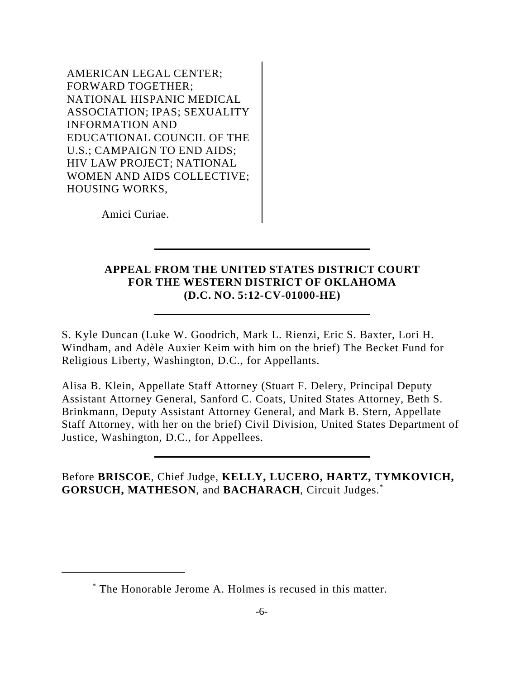AMERICAN LEGAL CENTER; FORWARD TOGETHER; NATIONAL HISPANIC MEDICAL ASSOCIATION; IPAS; SEXUALITY INFORMATION AND EDUCATIONAL COUNCIL OF THE U.S.; CAMPAIGN TO END AIDS; HIV LAW PROJECT; NATIONAL WOMEN AND AIDS COLLECTIVE; HOUSING WORKS,

Amici Curiae.

## **APPEAL FROM THE UNITED STATES DISTRICT COURT FOR THE WESTERN DISTRICT OF OKLAHOMA (D.C. NO. 5:12-CV-01000-HE)**

S. Kyle Duncan (Luke W. Goodrich, Mark L. Rienzi, Eric S. Baxter, Lori H. Windham, and Adèle Auxier Keim with him on the brief) The Becket Fund for Religious Liberty, Washington, D.C., for Appellants.

Alisa B. Klein, Appellate Staff Attorney (Stuart F. Delery, Principal Deputy Assistant Attorney General, Sanford C. Coats, United States Attorney, Beth S. Brinkmann, Deputy Assistant Attorney General, and Mark B. Stern, Appellate Staff Attorney, with her on the brief) Civil Division, United States Department of Justice, Washington, D.C., for Appellees.

Before **BRISCOE**, Chief Judge, **KELLY, LUCERO, HARTZ, TYMKOVICH, GORSUCH, MATHESON**, and **BACHARACH**, Circuit Judges.\*

<sup>\*</sup> The Honorable Jerome A. Holmes is recused in this matter.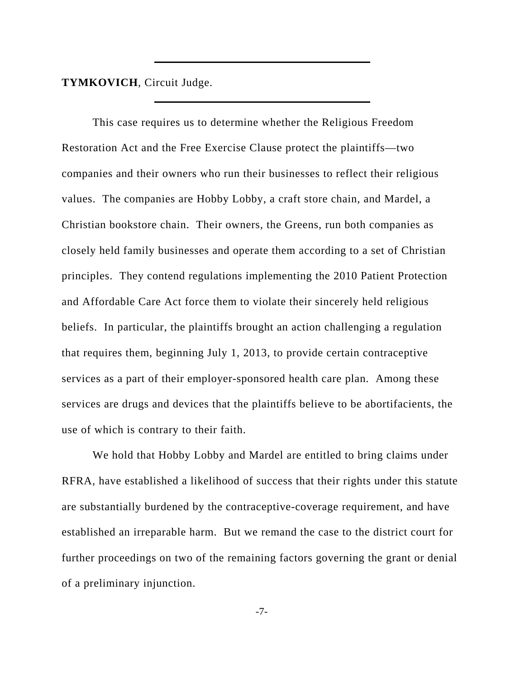**TYMKOVICH**, Circuit Judge.

This case requires us to determine whether the Religious Freedom Restoration Act and the Free Exercise Clause protect the plaintiffs—two companies and their owners who run their businesses to reflect their religious values. The companies are Hobby Lobby, a craft store chain, and Mardel, a Christian bookstore chain. Their owners, the Greens, run both companies as closely held family businesses and operate them according to a set of Christian principles. They contend regulations implementing the 2010 Patient Protection and Affordable Care Act force them to violate their sincerely held religious beliefs. In particular, the plaintiffs brought an action challenging a regulation that requires them, beginning July 1, 2013, to provide certain contraceptive services as a part of their employer-sponsored health care plan. Among these services are drugs and devices that the plaintiffs believe to be abortifacients, the use of which is contrary to their faith.

We hold that Hobby Lobby and Mardel are entitled to bring claims under RFRA, have established a likelihood of success that their rights under this statute are substantially burdened by the contraceptive-coverage requirement, and have established an irreparable harm. But we remand the case to the district court for further proceedings on two of the remaining factors governing the grant or denial of a preliminary injunction.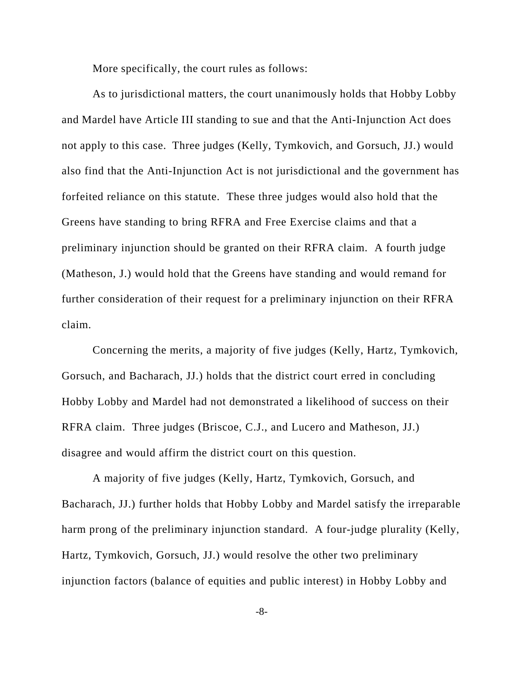More specifically, the court rules as follows:

As to jurisdictional matters, the court unanimously holds that Hobby Lobby and Mardel have Article III standing to sue and that the Anti-Injunction Act does not apply to this case. Three judges (Kelly, Tymkovich, and Gorsuch, JJ.) would also find that the Anti-Injunction Act is not jurisdictional and the government has forfeited reliance on this statute. These three judges would also hold that the Greens have standing to bring RFRA and Free Exercise claims and that a preliminary injunction should be granted on their RFRA claim. A fourth judge (Matheson, J.) would hold that the Greens have standing and would remand for further consideration of their request for a preliminary injunction on their RFRA claim.

Concerning the merits, a majority of five judges (Kelly, Hartz, Tymkovich, Gorsuch, and Bacharach, JJ.) holds that the district court erred in concluding Hobby Lobby and Mardel had not demonstrated a likelihood of success on their RFRA claim. Three judges (Briscoe, C.J., and Lucero and Matheson, JJ.) disagree and would affirm the district court on this question.

A majority of five judges (Kelly, Hartz, Tymkovich, Gorsuch, and Bacharach, JJ.) further holds that Hobby Lobby and Mardel satisfy the irreparable harm prong of the preliminary injunction standard. A four-judge plurality (Kelly, Hartz, Tymkovich, Gorsuch, JJ.) would resolve the other two preliminary injunction factors (balance of equities and public interest) in Hobby Lobby and

-8-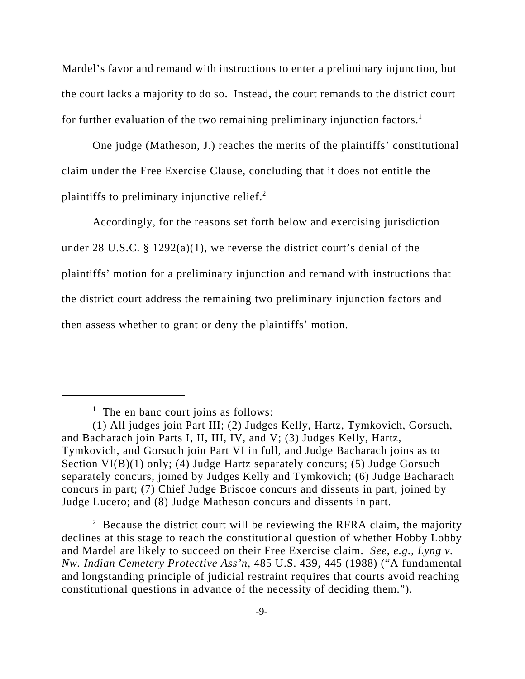Mardel's favor and remand with instructions to enter a preliminary injunction, but the court lacks a majority to do so. Instead, the court remands to the district court for further evaluation of the two remaining preliminary injunction factors.<sup>1</sup>

One judge (Matheson, J.) reaches the merits of the plaintiffs' constitutional claim under the Free Exercise Clause, concluding that it does not entitle the plaintiffs to preliminary injunctive relief.<sup>2</sup>

Accordingly, for the reasons set forth below and exercising jurisdiction under 28 U.S.C. § 1292(a)(1), we reverse the district court's denial of the plaintiffs' motion for a preliminary injunction and remand with instructions that the district court address the remaining two preliminary injunction factors and then assess whether to grant or deny the plaintiffs' motion.

 $2$  Because the district court will be reviewing the RFRA claim, the majority declines at this stage to reach the constitutional question of whether Hobby Lobby and Mardel are likely to succeed on their Free Exercise claim. *See, e.g.*, *Lyng v. Nw. Indian Cemetery Protective Ass'n*, 485 U.S. 439, 445 (1988) ("A fundamental and longstanding principle of judicial restraint requires that courts avoid reaching constitutional questions in advance of the necessity of deciding them.").

<sup>&</sup>lt;sup>1</sup> The en banc court joins as follows:

<sup>(1)</sup> All judges join Part III; (2) Judges Kelly, Hartz, Tymkovich, Gorsuch, and Bacharach join Parts I, II, III, IV, and V; (3) Judges Kelly, Hartz, Tymkovich, and Gorsuch join Part VI in full, and Judge Bacharach joins as to Section VI(B)(1) only; (4) Judge Hartz separately concurs; (5) Judge Gorsuch separately concurs, joined by Judges Kelly and Tymkovich; (6) Judge Bacharach concurs in part; (7) Chief Judge Briscoe concurs and dissents in part, joined by Judge Lucero; and (8) Judge Matheson concurs and dissents in part.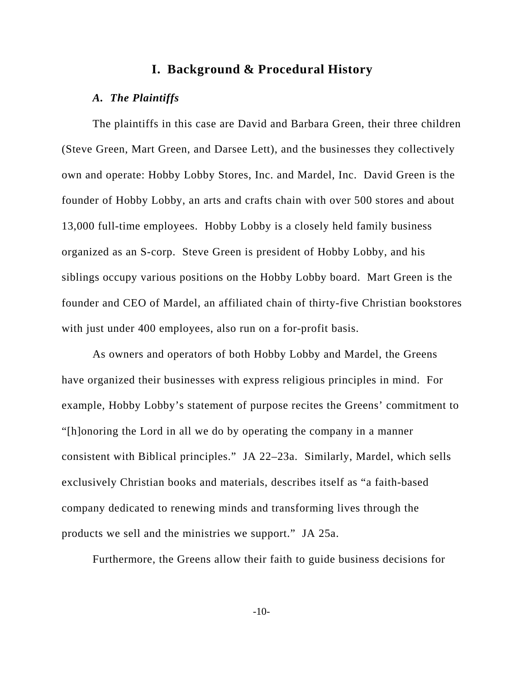# **I. Background & Procedural History**

#### *A. The Plaintiffs*

The plaintiffs in this case are David and Barbara Green, their three children (Steve Green, Mart Green, and Darsee Lett), and the businesses they collectively own and operate: Hobby Lobby Stores, Inc. and Mardel, Inc. David Green is the founder of Hobby Lobby, an arts and crafts chain with over 500 stores and about 13,000 full-time employees. Hobby Lobby is a closely held family business organized as an S-corp. Steve Green is president of Hobby Lobby, and his siblings occupy various positions on the Hobby Lobby board. Mart Green is the founder and CEO of Mardel, an affiliated chain of thirty-five Christian bookstores with just under 400 employees, also run on a for-profit basis.

As owners and operators of both Hobby Lobby and Mardel, the Greens have organized their businesses with express religious principles in mind. For example, Hobby Lobby's statement of purpose recites the Greens' commitment to "[h]onoring the Lord in all we do by operating the company in a manner consistent with Biblical principles." JA 22–23a. Similarly, Mardel, which sells exclusively Christian books and materials, describes itself as "a faith-based company dedicated to renewing minds and transforming lives through the products we sell and the ministries we support." JA 25a.

Furthermore, the Greens allow their faith to guide business decisions for

-10-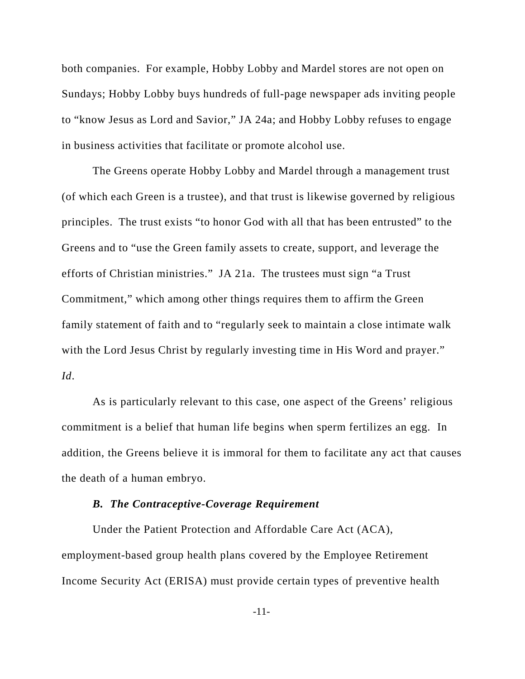both companies. For example, Hobby Lobby and Mardel stores are not open on Sundays; Hobby Lobby buys hundreds of full-page newspaper ads inviting people to "know Jesus as Lord and Savior," JA 24a; and Hobby Lobby refuses to engage in business activities that facilitate or promote alcohol use.

The Greens operate Hobby Lobby and Mardel through a management trust (of which each Green is a trustee), and that trust is likewise governed by religious principles. The trust exists "to honor God with all that has been entrusted" to the Greens and to "use the Green family assets to create, support, and leverage the efforts of Christian ministries." JA 21a. The trustees must sign "a Trust Commitment," which among other things requires them to affirm the Green family statement of faith and to "regularly seek to maintain a close intimate walk with the Lord Jesus Christ by regularly investing time in His Word and prayer." *Id*.

As is particularly relevant to this case, one aspect of the Greens' religious commitment is a belief that human life begins when sperm fertilizes an egg. In addition, the Greens believe it is immoral for them to facilitate any act that causes the death of a human embryo.

#### *B. The Contraceptive-Coverage Requirement*

Under the Patient Protection and Affordable Care Act (ACA), employment-based group health plans covered by the Employee Retirement Income Security Act (ERISA) must provide certain types of preventive health

-11-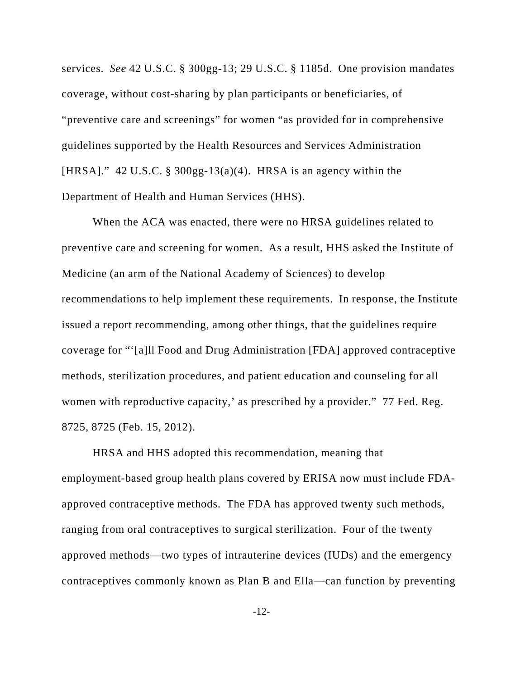services. *See* 42 U.S.C. § 300gg-13; 29 U.S.C. § 1185d. One provision mandates coverage, without cost-sharing by plan participants or beneficiaries, of "preventive care and screenings" for women "as provided for in comprehensive guidelines supported by the Health Resources and Services Administration [HRSA]." 42 U.S.C. § 300gg-13(a)(4). HRSA is an agency within the Department of Health and Human Services (HHS).

When the ACA was enacted, there were no HRSA guidelines related to preventive care and screening for women. As a result, HHS asked the Institute of Medicine (an arm of the National Academy of Sciences) to develop recommendations to help implement these requirements. In response, the Institute issued a report recommending, among other things, that the guidelines require coverage for "'[a]ll Food and Drug Administration [FDA] approved contraceptive methods, sterilization procedures, and patient education and counseling for all women with reproductive capacity,' as prescribed by a provider." 77 Fed. Reg. 8725, 8725 (Feb. 15, 2012).

HRSA and HHS adopted this recommendation, meaning that employment-based group health plans covered by ERISA now must include FDAapproved contraceptive methods. The FDA has approved twenty such methods, ranging from oral contraceptives to surgical sterilization. Four of the twenty approved methods—two types of intrauterine devices (IUDs) and the emergency contraceptives commonly known as Plan B and Ella—can function by preventing

-12-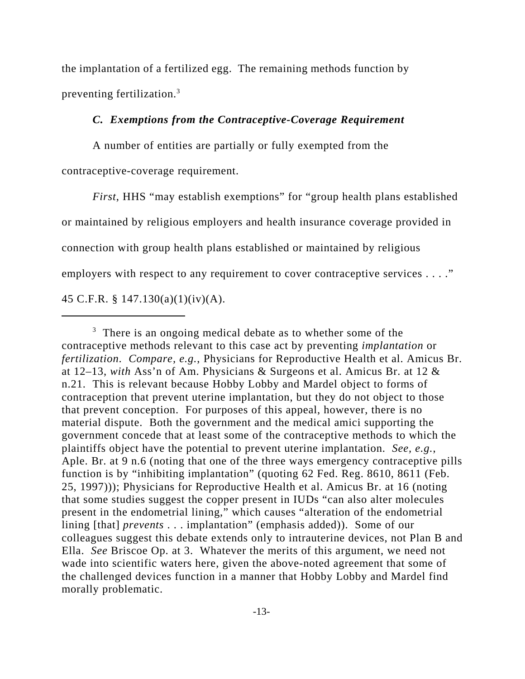the implantation of a fertilized egg. The remaining methods function by preventing fertilization.3

### *C. Exemptions from the Contraceptive-Coverage Requirement*

A number of entities are partially or fully exempted from the contraceptive-coverage requirement.

*First*, HHS "may establish exemptions" for "group health plans established or maintained by religious employers and health insurance coverage provided in connection with group health plans established or maintained by religious employers with respect to any requirement to cover contraceptive services . . . ." 45 C.F.R. § 147.130(a)(1)(iv)(A).

<sup>&</sup>lt;sup>3</sup> There is an ongoing medical debate as to whether some of the contraceptive methods relevant to this case act by preventing *implantation* or *fertilization*. *Compare, e.g.*, Physicians for Reproductive Health et al. Amicus Br. at 12–13, *with* Ass'n of Am. Physicians & Surgeons et al. Amicus Br. at 12 & n.21. This is relevant because Hobby Lobby and Mardel object to forms of contraception that prevent uterine implantation, but they do not object to those that prevent conception. For purposes of this appeal, however, there is no material dispute. Both the government and the medical amici supporting the government concede that at least some of the contraceptive methods to which the plaintiffs object have the potential to prevent uterine implantation. *See, e.g.*, Aple. Br. at 9 n.6 (noting that one of the three ways emergency contraceptive pills function is by "inhibiting implantation" (quoting 62 Fed. Reg. 8610, 8611 (Feb. 25, 1997))); Physicians for Reproductive Health et al. Amicus Br. at 16 (noting that some studies suggest the copper present in IUDs "can also alter molecules present in the endometrial lining," which causes "alteration of the endometrial lining [that] *prevents* . . . implantation" (emphasis added)). Some of our colleagues suggest this debate extends only to intrauterine devices, not Plan B and Ella. *See* Briscoe Op. at 3. Whatever the merits of this argument, we need not wade into scientific waters here, given the above-noted agreement that some of the challenged devices function in a manner that Hobby Lobby and Mardel find morally problematic.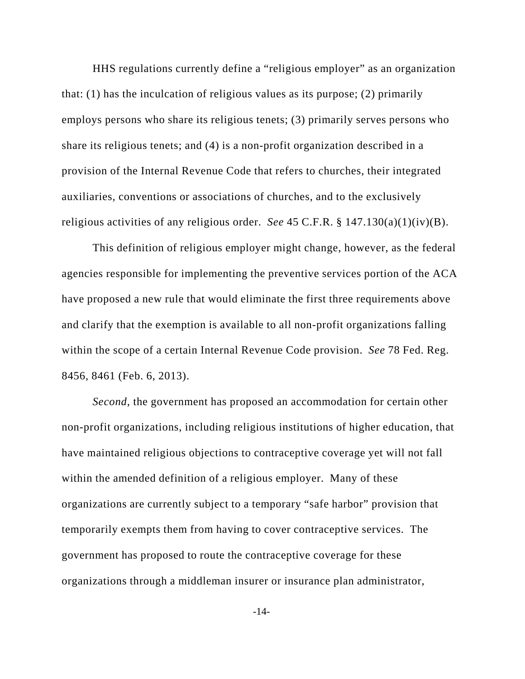HHS regulations currently define a "religious employer" as an organization that: (1) has the inculcation of religious values as its purpose; (2) primarily employs persons who share its religious tenets; (3) primarily serves persons who share its religious tenets; and (4) is a non-profit organization described in a provision of the Internal Revenue Code that refers to churches, their integrated auxiliaries, conventions or associations of churches, and to the exclusively religious activities of any religious order. *See* 45 C.F.R. § 147.130(a)(1)(iv)(B).

This definition of religious employer might change, however, as the federal agencies responsible for implementing the preventive services portion of the ACA have proposed a new rule that would eliminate the first three requirements above and clarify that the exemption is available to all non-profit organizations falling within the scope of a certain Internal Revenue Code provision. *See* 78 Fed. Reg. 8456, 8461 (Feb. 6, 2013).

*Second*, the government has proposed an accommodation for certain other non-profit organizations, including religious institutions of higher education, that have maintained religious objections to contraceptive coverage yet will not fall within the amended definition of a religious employer. Many of these organizations are currently subject to a temporary "safe harbor" provision that temporarily exempts them from having to cover contraceptive services. The government has proposed to route the contraceptive coverage for these organizations through a middleman insurer or insurance plan administrator,

-14-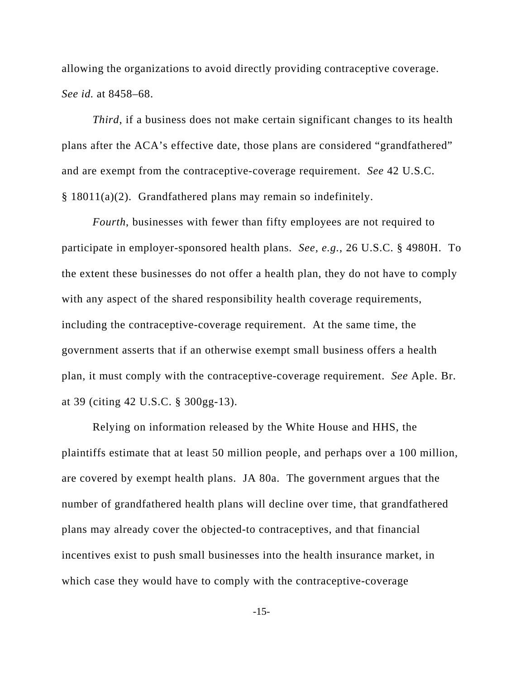allowing the organizations to avoid directly providing contraceptive coverage. *See id.* at 8458–68.

*Third*, if a business does not make certain significant changes to its health plans after the ACA's effective date, those plans are considered "grandfathered" and are exempt from the contraceptive-coverage requirement. *See* 42 U.S.C. § 18011(a)(2). Grandfathered plans may remain so indefinitely.

*Fourth*, businesses with fewer than fifty employees are not required to participate in employer-sponsored health plans. *See, e.g.*, 26 U.S.C. § 4980H. To the extent these businesses do not offer a health plan, they do not have to comply with any aspect of the shared responsibility health coverage requirements, including the contraceptive-coverage requirement. At the same time, the government asserts that if an otherwise exempt small business offers a health plan, it must comply with the contraceptive-coverage requirement. *See* Aple. Br. at 39 (citing 42 U.S.C. § 300gg-13).

Relying on information released by the White House and HHS, the plaintiffs estimate that at least 50 million people, and perhaps over a 100 million, are covered by exempt health plans. JA 80a. The government argues that the number of grandfathered health plans will decline over time, that grandfathered plans may already cover the objected-to contraceptives, and that financial incentives exist to push small businesses into the health insurance market, in which case they would have to comply with the contraceptive-coverage

-15-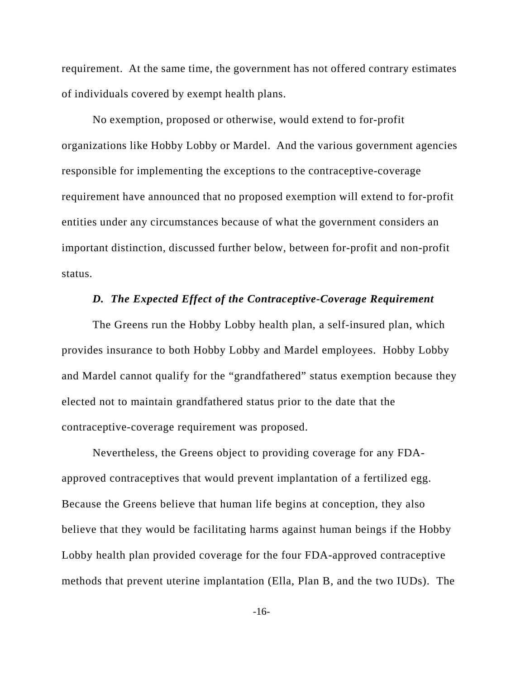requirement. At the same time, the government has not offered contrary estimates of individuals covered by exempt health plans.

No exemption, proposed or otherwise, would extend to for-profit organizations like Hobby Lobby or Mardel. And the various government agencies responsible for implementing the exceptions to the contraceptive-coverage requirement have announced that no proposed exemption will extend to for-profit entities under any circumstances because of what the government considers an important distinction, discussed further below, between for-profit and non-profit status.

### *D. The Expected Effect of the Contraceptive-Coverage Requirement*

The Greens run the Hobby Lobby health plan, a self-insured plan, which provides insurance to both Hobby Lobby and Mardel employees. Hobby Lobby and Mardel cannot qualify for the "grandfathered" status exemption because they elected not to maintain grandfathered status prior to the date that the contraceptive-coverage requirement was proposed.

Nevertheless, the Greens object to providing coverage for any FDAapproved contraceptives that would prevent implantation of a fertilized egg. Because the Greens believe that human life begins at conception, they also believe that they would be facilitating harms against human beings if the Hobby Lobby health plan provided coverage for the four FDA-approved contraceptive methods that prevent uterine implantation (Ella, Plan B, and the two IUDs). The

-16-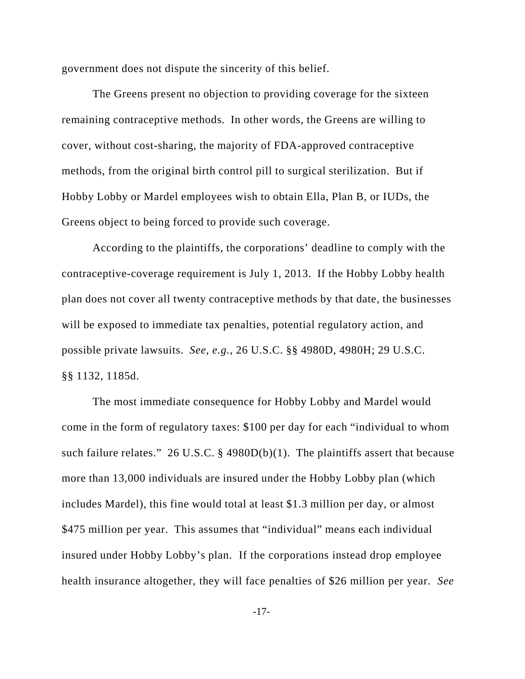government does not dispute the sincerity of this belief.

The Greens present no objection to providing coverage for the sixteen remaining contraceptive methods. In other words, the Greens are willing to cover, without cost-sharing, the majority of FDA-approved contraceptive methods, from the original birth control pill to surgical sterilization. But if Hobby Lobby or Mardel employees wish to obtain Ella, Plan B, or IUDs, the Greens object to being forced to provide such coverage.

According to the plaintiffs, the corporations' deadline to comply with the contraceptive-coverage requirement is July 1, 2013. If the Hobby Lobby health plan does not cover all twenty contraceptive methods by that date, the businesses will be exposed to immediate tax penalties, potential regulatory action, and possible private lawsuits. *See, e.g.*, 26 U.S.C. §§ 4980D, 4980H; 29 U.S.C. §§ 1132, 1185d.

The most immediate consequence for Hobby Lobby and Mardel would come in the form of regulatory taxes: \$100 per day for each "individual to whom such failure relates." 26 U.S.C. § 4980D(b)(1). The plaintiffs assert that because more than 13,000 individuals are insured under the Hobby Lobby plan (which includes Mardel), this fine would total at least \$1.3 million per day, or almost \$475 million per year. This assumes that "individual" means each individual insured under Hobby Lobby's plan. If the corporations instead drop employee health insurance altogether, they will face penalties of \$26 million per year. *See*

-17-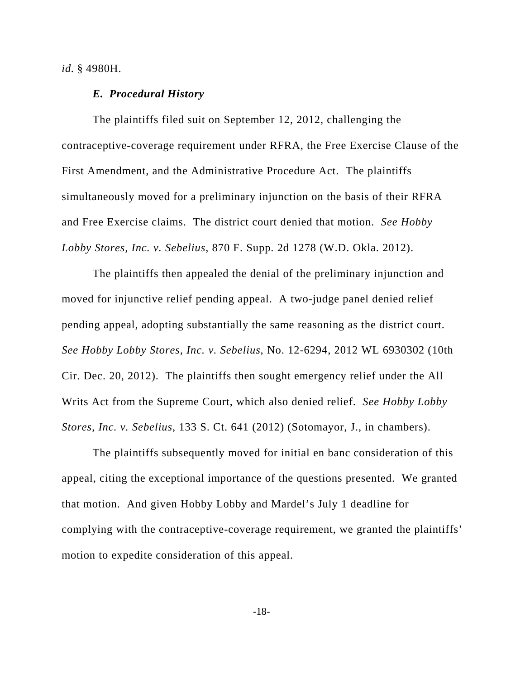*id.* § 4980H.

#### *E. Procedural History*

The plaintiffs filed suit on September 12, 2012, challenging the contraceptive-coverage requirement under RFRA, the Free Exercise Clause of the First Amendment, and the Administrative Procedure Act. The plaintiffs simultaneously moved for a preliminary injunction on the basis of their RFRA and Free Exercise claims. The district court denied that motion. *See Hobby Lobby Stores, Inc. v. Sebelius*, 870 F. Supp. 2d 1278 (W.D. Okla. 2012).

The plaintiffs then appealed the denial of the preliminary injunction and moved for injunctive relief pending appeal. A two-judge panel denied relief pending appeal, adopting substantially the same reasoning as the district court. *See Hobby Lobby Stores, Inc. v. Sebelius*, No. 12-6294, 2012 WL 6930302 (10th Cir. Dec. 20, 2012). The plaintiffs then sought emergency relief under the All Writs Act from the Supreme Court, which also denied relief. *See Hobby Lobby Stores, Inc. v. Sebelius*, 133 S. Ct. 641 (2012) (Sotomayor, J., in chambers).

The plaintiffs subsequently moved for initial en banc consideration of this appeal, citing the exceptional importance of the questions presented. We granted that motion. And given Hobby Lobby and Mardel's July 1 deadline for complying with the contraceptive-coverage requirement, we granted the plaintiffs' motion to expedite consideration of this appeal.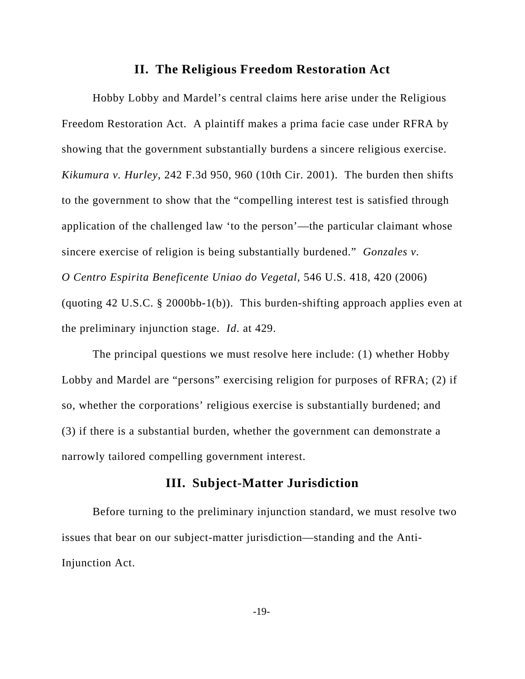# **II. The Religious Freedom Restoration Act**

Hobby Lobby and Mardel's central claims here arise under the Religious Freedom Restoration Act. A plaintiff makes a prima facie case under RFRA by showing that the government substantially burdens a sincere religious exercise. *Kikumura v. Hurley*, 242 F.3d 950, 960 (10th Cir. 2001). The burden then shifts to the government to show that the "compelling interest test is satisfied through application of the challenged law 'to the person'—the particular claimant whose sincere exercise of religion is being substantially burdened." *Gonzales v. O Centro Espirita Beneficente Uniao do Vegetal*, 546 U.S. 418, 420 (2006) (quoting 42 U.S.C. § 2000bb-1(b)). This burden-shifting approach applies even at the preliminary injunction stage. *Id*. at 429.

The principal questions we must resolve here include: (1) whether Hobby Lobby and Mardel are "persons" exercising religion for purposes of RFRA; (2) if so, whether the corporations' religious exercise is substantially burdened; and (3) if there is a substantial burden, whether the government can demonstrate a narrowly tailored compelling government interest.

# **III. Subject-Matter Jurisdiction**

Before turning to the preliminary injunction standard, we must resolve two issues that bear on our subject-matter jurisdiction—standing and the Anti-Injunction Act.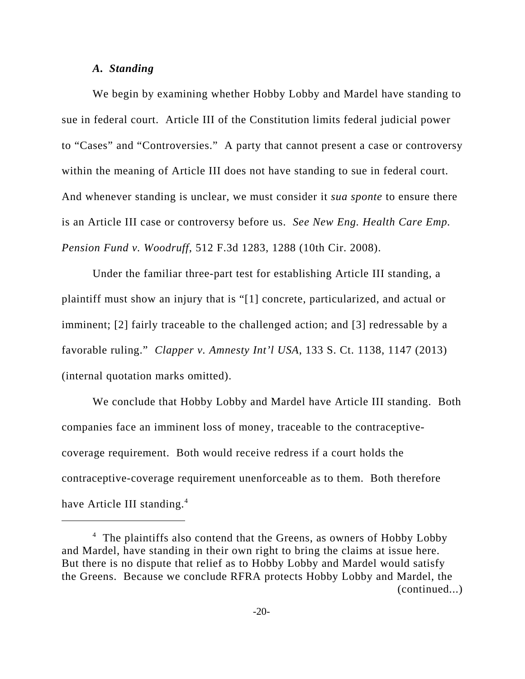#### *A. Standing*

We begin by examining whether Hobby Lobby and Mardel have standing to sue in federal court. Article III of the Constitution limits federal judicial power to "Cases" and "Controversies." A party that cannot present a case or controversy within the meaning of Article III does not have standing to sue in federal court. And whenever standing is unclear, we must consider it *sua sponte* to ensure there is an Article III case or controversy before us. *See New Eng. Health Care Emp. Pension Fund v. Woodruff*, 512 F.3d 1283, 1288 (10th Cir. 2008).

Under the familiar three-part test for establishing Article III standing, a plaintiff must show an injury that is "[1] concrete, particularized, and actual or imminent; [2] fairly traceable to the challenged action; and [3] redressable by a favorable ruling." *Clapper v. Amnesty Int'l USA*, 133 S. Ct. 1138, 1147 (2013) (internal quotation marks omitted).

We conclude that Hobby Lobby and Mardel have Article III standing. Both companies face an imminent loss of money, traceable to the contraceptivecoverage requirement. Both would receive redress if a court holds the contraceptive-coverage requirement unenforceable as to them. Both therefore have Article III standing.<sup>4</sup>

<sup>&</sup>lt;sup>4</sup> The plaintiffs also contend that the Greens, as owners of Hobby Lobby and Mardel, have standing in their own right to bring the claims at issue here. But there is no dispute that relief as to Hobby Lobby and Mardel would satisfy the Greens. Because we conclude RFRA protects Hobby Lobby and Mardel, the (continued...)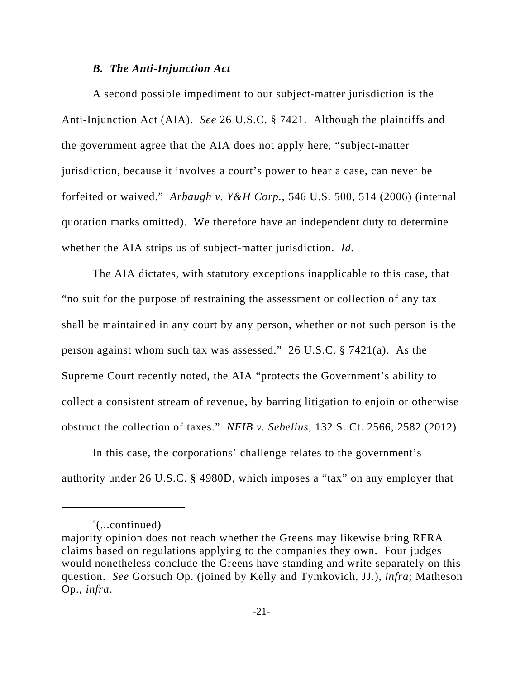#### *B. The Anti-Injunction Act*

A second possible impediment to our subject-matter jurisdiction is the Anti-Injunction Act (AIA). *See* 26 U.S.C. § 7421. Although the plaintiffs and the government agree that the AIA does not apply here, "subject-matter jurisdiction, because it involves a court's power to hear a case, can never be forfeited or waived." *Arbaugh v. Y&H Corp.*, 546 U.S. 500, 514 (2006) (internal quotation marks omitted). We therefore have an independent duty to determine whether the AIA strips us of subject-matter jurisdiction. *Id.*

The AIA dictates, with statutory exceptions inapplicable to this case, that "no suit for the purpose of restraining the assessment or collection of any tax shall be maintained in any court by any person, whether or not such person is the person against whom such tax was assessed." 26 U.S.C. § 7421(a). As the Supreme Court recently noted, the AIA "protects the Government's ability to collect a consistent stream of revenue, by barring litigation to enjoin or otherwise obstruct the collection of taxes." *NFIB v. Sebelius*, 132 S. Ct. 2566, 2582 (2012).

In this case, the corporations' challenge relates to the government's authority under 26 U.S.C. § 4980D, which imposes a "tax" on any employer that

<sup>4</sup> (...continued)

majority opinion does not reach whether the Greens may likewise bring RFRA claims based on regulations applying to the companies they own. Four judges would nonetheless conclude the Greens have standing and write separately on this question. *See* Gorsuch Op. (joined by Kelly and Tymkovich, JJ.), *infra*; Matheson Op., *infra*.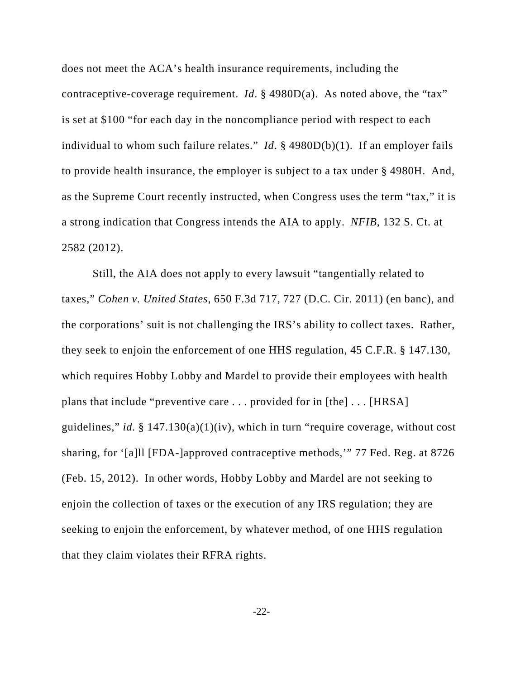does not meet the ACA's health insurance requirements, including the contraceptive-coverage requirement. *Id*. § 4980D(a). As noted above, the "tax" is set at \$100 "for each day in the noncompliance period with respect to each individual to whom such failure relates." *Id*. § 4980D(b)(1). If an employer fails to provide health insurance, the employer is subject to a tax under § 4980H. And, as the Supreme Court recently instructed, when Congress uses the term "tax," it is a strong indication that Congress intends the AIA to apply. *NFIB*, 132 S. Ct. at 2582 (2012).

Still, the AIA does not apply to every lawsuit "tangentially related to taxes," *Cohen v. United States*, 650 F.3d 717, 727 (D.C. Cir. 2011) (en banc), and the corporations' suit is not challenging the IRS's ability to collect taxes. Rather, they seek to enjoin the enforcement of one HHS regulation, 45 C.F.R. § 147.130, which requires Hobby Lobby and Mardel to provide their employees with health plans that include "preventive care . . . provided for in [the] . . . [HRSA] guidelines," *id.* § 147.130(a)(1)(iv), which in turn "require coverage, without cost sharing, for '[a]ll [FDA-]approved contraceptive methods,'" 77 Fed. Reg. at 8726 (Feb. 15, 2012). In other words, Hobby Lobby and Mardel are not seeking to enjoin the collection of taxes or the execution of any IRS regulation; they are seeking to enjoin the enforcement, by whatever method, of one HHS regulation that they claim violates their RFRA rights.

-22-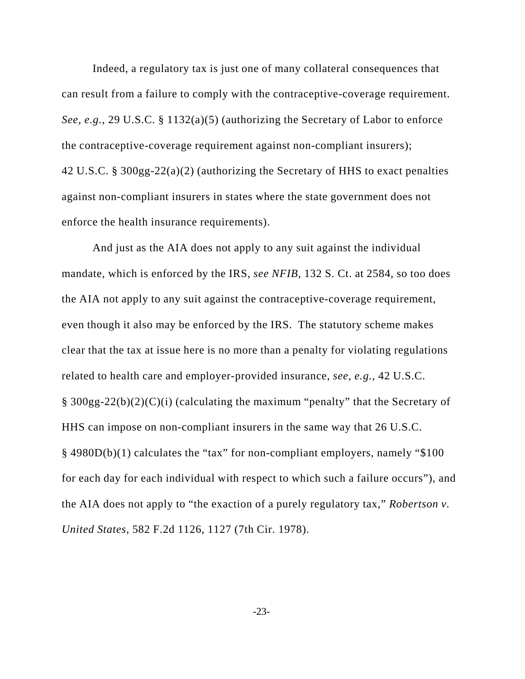Indeed, a regulatory tax is just one of many collateral consequences that can result from a failure to comply with the contraceptive-coverage requirement. *See, e.g.*, 29 U.S.C. § 1132(a)(5) (authorizing the Secretary of Labor to enforce the contraceptive-coverage requirement against non-compliant insurers); 42 U.S.C. § 300gg-22(a)(2) (authorizing the Secretary of HHS to exact penalties against non-compliant insurers in states where the state government does not enforce the health insurance requirements).

And just as the AIA does not apply to any suit against the individual mandate, which is enforced by the IRS, *see NFIB*, 132 S. Ct. at 2584, so too does the AIA not apply to any suit against the contraceptive-coverage requirement, even though it also may be enforced by the IRS. The statutory scheme makes clear that the tax at issue here is no more than a penalty for violating regulations related to health care and employer-provided insurance, *see, e.g.*, 42 U.S.C. § 300gg-22(b)(2)(C)(i) (calculating the maximum "penalty" that the Secretary of HHS can impose on non-compliant insurers in the same way that 26 U.S.C. § 4980D(b)(1) calculates the "tax" for non-compliant employers, namely "\$100 for each day for each individual with respect to which such a failure occurs"), and the AIA does not apply to "the exaction of a purely regulatory tax," *Robertson v. United States*, 582 F.2d 1126, 1127 (7th Cir. 1978).

-23-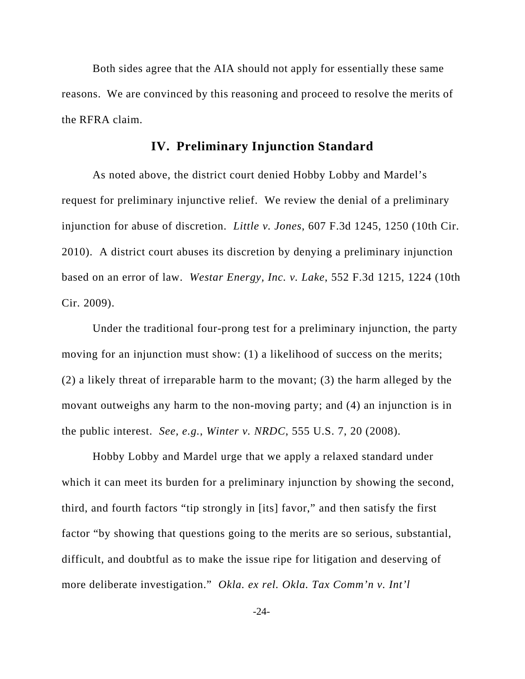Both sides agree that the AIA should not apply for essentially these same reasons. We are convinced by this reasoning and proceed to resolve the merits of the RFRA claim.

# **IV. Preliminary Injunction Standard**

As noted above, the district court denied Hobby Lobby and Mardel's request for preliminary injunctive relief. We review the denial of a preliminary injunction for abuse of discretion. *Little v. Jones*, 607 F.3d 1245, 1250 (10th Cir. 2010). A district court abuses its discretion by denying a preliminary injunction based on an error of law. *Westar Energy, Inc. v. Lake*, 552 F.3d 1215, 1224 (10th Cir. 2009).

Under the traditional four-prong test for a preliminary injunction, the party moving for an injunction must show: (1) a likelihood of success on the merits; (2) a likely threat of irreparable harm to the movant; (3) the harm alleged by the movant outweighs any harm to the non-moving party; and (4) an injunction is in the public interest. *See, e.g.*, *Winter v. NRDC*, 555 U.S. 7, 20 (2008).

Hobby Lobby and Mardel urge that we apply a relaxed standard under which it can meet its burden for a preliminary injunction by showing the second, third, and fourth factors "tip strongly in [its] favor," and then satisfy the first factor "by showing that questions going to the merits are so serious, substantial, difficult, and doubtful as to make the issue ripe for litigation and deserving of more deliberate investigation." *Okla. ex rel. Okla. Tax Comm'n v. Int'l*

-24-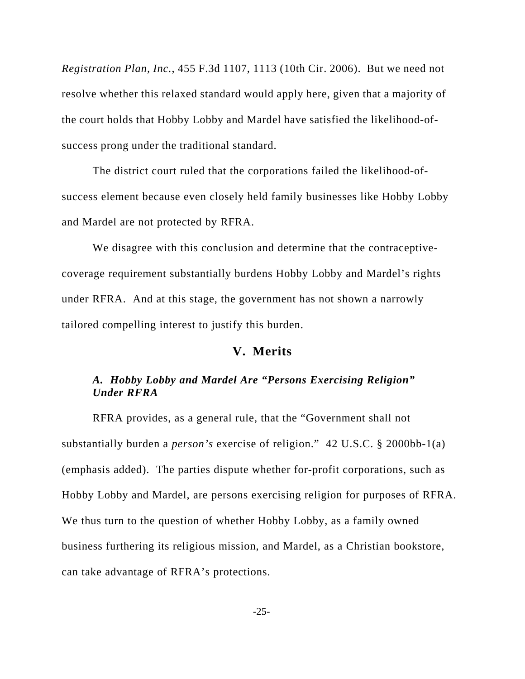*Registration Plan, Inc.*, 455 F.3d 1107, 1113 (10th Cir. 2006). But we need not resolve whether this relaxed standard would apply here, given that a majority of the court holds that Hobby Lobby and Mardel have satisfied the likelihood-ofsuccess prong under the traditional standard.

The district court ruled that the corporations failed the likelihood-ofsuccess element because even closely held family businesses like Hobby Lobby and Mardel are not protected by RFRA.

We disagree with this conclusion and determine that the contraceptivecoverage requirement substantially burdens Hobby Lobby and Mardel's rights under RFRA. And at this stage, the government has not shown a narrowly tailored compelling interest to justify this burden.

## **V. Merits**

# *A. Hobby Lobby and Mardel Are "Persons Exercising Religion" Under RFRA*

RFRA provides, as a general rule, that the "Government shall not substantially burden a *person's* exercise of religion." 42 U.S.C. § 2000bb-1(a) (emphasis added). The parties dispute whether for-profit corporations, such as Hobby Lobby and Mardel, are persons exercising religion for purposes of RFRA. We thus turn to the question of whether Hobby Lobby, as a family owned business furthering its religious mission, and Mardel, as a Christian bookstore, can take advantage of RFRA's protections.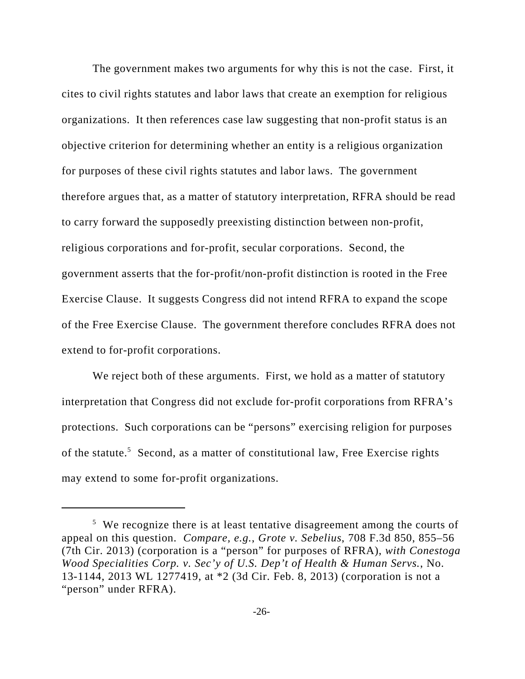The government makes two arguments for why this is not the case. First, it cites to civil rights statutes and labor laws that create an exemption for religious organizations. It then references case law suggesting that non-profit status is an objective criterion for determining whether an entity is a religious organization for purposes of these civil rights statutes and labor laws. The government therefore argues that, as a matter of statutory interpretation, RFRA should be read to carry forward the supposedly preexisting distinction between non-profit, religious corporations and for-profit, secular corporations. Second, the government asserts that the for-profit/non-profit distinction is rooted in the Free Exercise Clause. It suggests Congress did not intend RFRA to expand the scope of the Free Exercise Clause. The government therefore concludes RFRA does not extend to for-profit corporations.

We reject both of these arguments. First, we hold as a matter of statutory interpretation that Congress did not exclude for-profit corporations from RFRA's protections. Such corporations can be "persons" exercising religion for purposes of the statute.<sup>5</sup> Second, as a matter of constitutional law, Free Exercise rights may extend to some for-profit organizations.

<sup>&</sup>lt;sup>5</sup> We recognize there is at least tentative disagreement among the courts of appeal on this question. *Compare, e.g.*, *Grote v. Sebelius*, 708 F.3d 850, 855–56 (7th Cir. 2013) (corporation is a "person" for purposes of RFRA), *with Conestoga Wood Specialities Corp. v. Sec'y of U.S. Dep't of Health & Human Servs.*, No. 13-1144, 2013 WL 1277419, at \*2 (3d Cir. Feb. 8, 2013) (corporation is not a "person" under RFRA).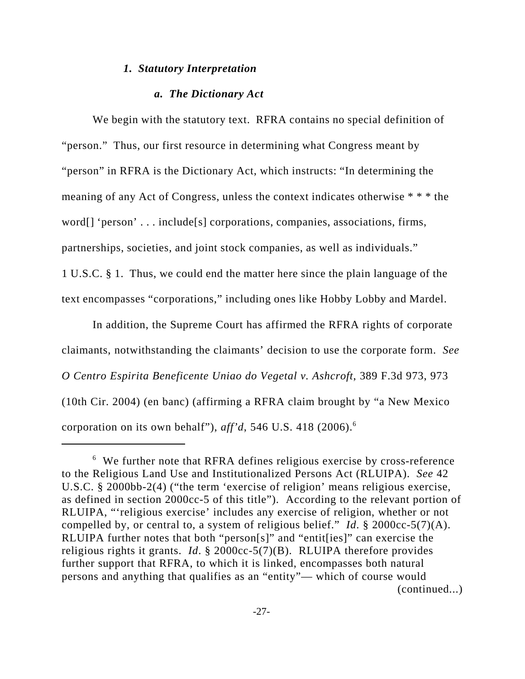#### *1. Statutory Interpretation*

#### *a. The Dictionary Act*

We begin with the statutory text. RFRA contains no special definition of "person." Thus, our first resource in determining what Congress meant by "person" in RFRA is the Dictionary Act, which instructs: "In determining the meaning of any Act of Congress, unless the context indicates otherwise \* \* \* the word[] 'person' . . . include[s] corporations, companies, associations, firms, partnerships, societies, and joint stock companies, as well as individuals." 1 U.S.C. § 1. Thus, we could end the matter here since the plain language of the text encompasses "corporations," including ones like Hobby Lobby and Mardel.

In addition, the Supreme Court has affirmed the RFRA rights of corporate claimants, notwithstanding the claimants' decision to use the corporate form. *See O Centro Espirita Beneficente Uniao do Vegetal v. Ashcroft*, 389 F.3d 973, 973 (10th Cir. 2004) (en banc) (affirming a RFRA claim brought by "a New Mexico corporation on its own behalf"), *aff'd*, 546 U.S. 418 (2006).6

<sup>&</sup>lt;sup>6</sup> We further note that RFRA defines religious exercise by cross-reference to the Religious Land Use and Institutionalized Persons Act (RLUIPA). *See* 42 U.S.C. § 2000bb-2(4) ("the term 'exercise of religion' means religious exercise, as defined in section 2000cc-5 of this title"). According to the relevant portion of RLUIPA, "'religious exercise' includes any exercise of religion, whether or not compelled by, or central to, a system of religious belief." *Id*. § 2000cc-5(7)(A). RLUIPA further notes that both "person[s]" and "entit[ies]" can exercise the religious rights it grants. *Id*. § 2000cc-5(7)(B). RLUIPA therefore provides further support that RFRA, to which it is linked, encompasses both natural persons and anything that qualifies as an "entity"— which of course would (continued...)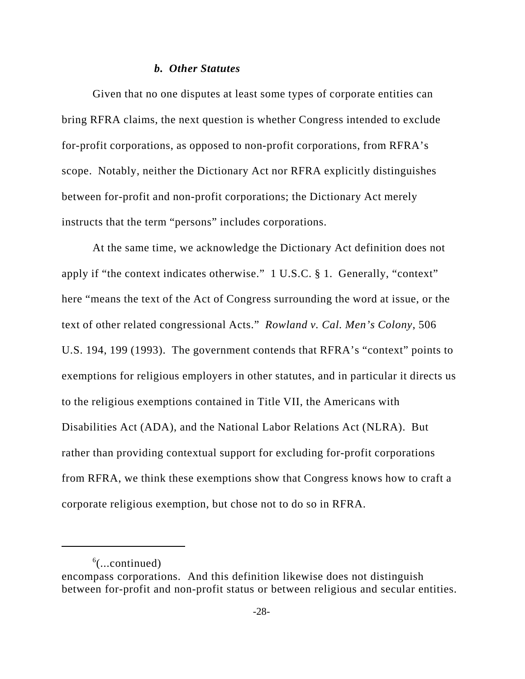#### *b. Other Statutes*

Given that no one disputes at least some types of corporate entities can bring RFRA claims, the next question is whether Congress intended to exclude for-profit corporations, as opposed to non-profit corporations, from RFRA's scope. Notably, neither the Dictionary Act nor RFRA explicitly distinguishes between for-profit and non-profit corporations; the Dictionary Act merely instructs that the term "persons" includes corporations.

At the same time, we acknowledge the Dictionary Act definition does not apply if "the context indicates otherwise." 1 U.S.C. § 1. Generally, "context" here "means the text of the Act of Congress surrounding the word at issue, or the text of other related congressional Acts." *Rowland v. Cal. Men's Colony*, 506 U.S. 194, 199 (1993). The government contends that RFRA's "context" points to exemptions for religious employers in other statutes, and in particular it directs us to the religious exemptions contained in Title VII, the Americans with Disabilities Act (ADA), and the National Labor Relations Act (NLRA). But rather than providing contextual support for excluding for-profit corporations from RFRA, we think these exemptions show that Congress knows how to craft a corporate religious exemption, but chose not to do so in RFRA.

 $6$ (...continued)

encompass corporations. And this definition likewise does not distinguish between for-profit and non-profit status or between religious and secular entities.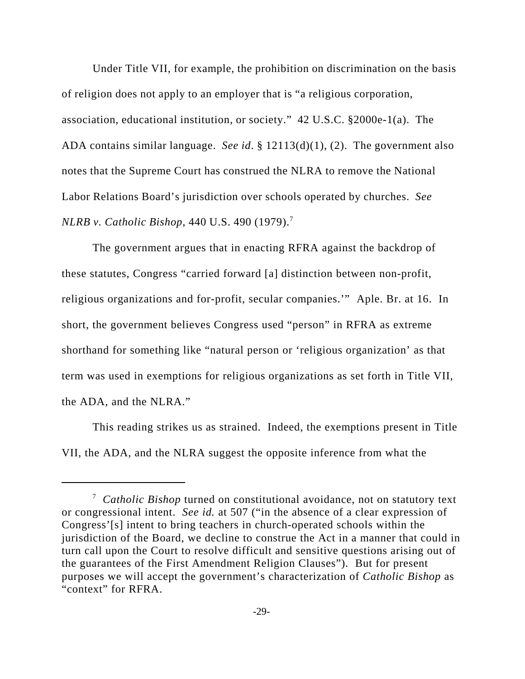Under Title VII, for example, the prohibition on discrimination on the basis of religion does not apply to an employer that is "a religious corporation, association, educational institution, or society." 42 U.S.C. §2000e-1(a). The ADA contains similar language. *See id*. § 12113(d)(1), (2). The government also notes that the Supreme Court has construed the NLRA to remove the National Labor Relations Board's jurisdiction over schools operated by churches. *See NLRB v. Catholic Bishop*, 440 U.S. 490 (1979).<sup>7</sup>

The government argues that in enacting RFRA against the backdrop of these statutes, Congress "carried forward [a] distinction between non-profit, religious organizations and for-profit, secular companies.'" Aple. Br. at 16. In short, the government believes Congress used "person" in RFRA as extreme shorthand for something like "natural person or 'religious organization' as that term was used in exemptions for religious organizations as set forth in Title VII, the ADA, and the NLRA."

This reading strikes us as strained. Indeed, the exemptions present in Title VII, the ADA, and the NLRA suggest the opposite inference from what the

<sup>7</sup> *Catholic Bishop* turned on constitutional avoidance, not on statutory text or congressional intent. *See id.* at 507 ("in the absence of a clear expression of Congress'[s] intent to bring teachers in church-operated schools within the jurisdiction of the Board, we decline to construe the Act in a manner that could in turn call upon the Court to resolve difficult and sensitive questions arising out of the guarantees of the First Amendment Religion Clauses"). But for present purposes we will accept the government's characterization of *Catholic Bishop* as "context" for RFRA.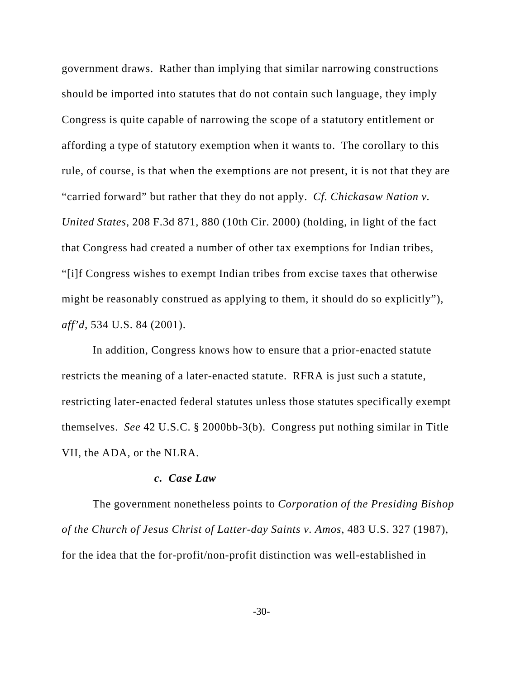government draws. Rather than implying that similar narrowing constructions should be imported into statutes that do not contain such language, they imply Congress is quite capable of narrowing the scope of a statutory entitlement or affording a type of statutory exemption when it wants to. The corollary to this rule, of course, is that when the exemptions are not present, it is not that they are "carried forward" but rather that they do not apply. *Cf. Chickasaw Nation v. United States*, 208 F.3d 871, 880 (10th Cir. 2000) (holding, in light of the fact that Congress had created a number of other tax exemptions for Indian tribes, "[i]f Congress wishes to exempt Indian tribes from excise taxes that otherwise might be reasonably construed as applying to them, it should do so explicitly"), *aff'd*, 534 U.S. 84 (2001).

In addition, Congress knows how to ensure that a prior-enacted statute restricts the meaning of a later-enacted statute. RFRA is just such a statute, restricting later-enacted federal statutes unless those statutes specifically exempt themselves. *See* 42 U.S.C. § 2000bb-3(b). Congress put nothing similar in Title VII, the ADA, or the NLRA.

### *c. Case Law*

The government nonetheless points to *Corporation of the Presiding Bishop of the Church of Jesus Christ of Latter-day Saints v. Amos*, 483 U.S. 327 (1987), for the idea that the for-profit/non-profit distinction was well-established in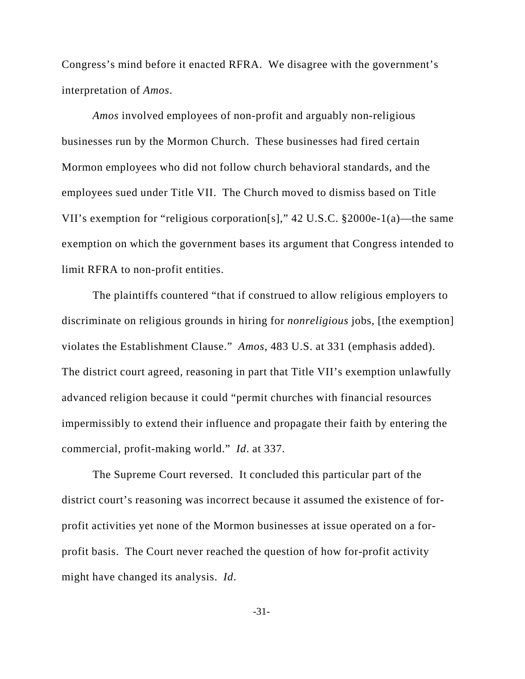Congress's mind before it enacted RFRA. We disagree with the government's interpretation of *Amos*.

*Amos* involved employees of non-profit and arguably non-religious businesses run by the Mormon Church. These businesses had fired certain Mormon employees who did not follow church behavioral standards, and the employees sued under Title VII. The Church moved to dismiss based on Title VII's exemption for "religious corporation[s]," 42 U.S.C. §2000e-1(a)—the same exemption on which the government bases its argument that Congress intended to limit RFRA to non-profit entities.

The plaintiffs countered "that if construed to allow religious employers to discriminate on religious grounds in hiring for *nonreligious* jobs, [the exemption] violates the Establishment Clause." *Amos*, 483 U.S. at 331 (emphasis added). The district court agreed, reasoning in part that Title VII's exemption unlawfully advanced religion because it could "permit churches with financial resources impermissibly to extend their influence and propagate their faith by entering the commercial, profit-making world." *Id*. at 337.

The Supreme Court reversed. It concluded this particular part of the district court's reasoning was incorrect because it assumed the existence of forprofit activities yet none of the Mormon businesses at issue operated on a forprofit basis. The Court never reached the question of how for-profit activity might have changed its analysis. *Id*.

-31-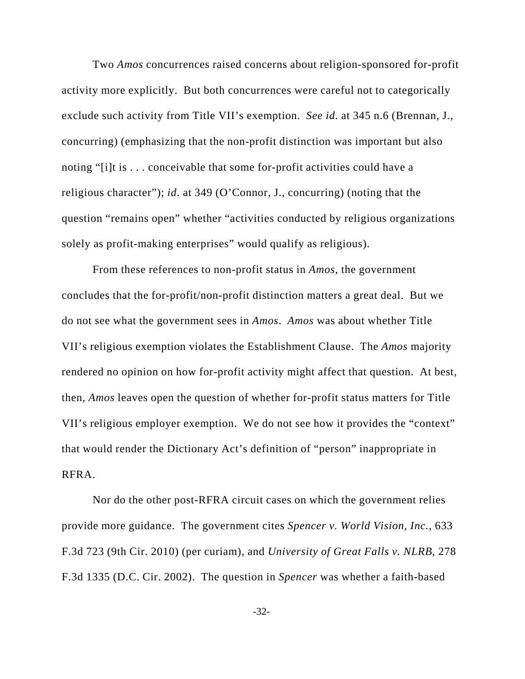Two *Amos* concurrences raised concerns about religion-sponsored for-profit activity more explicitly. But both concurrences were careful not to categorically exclude such activity from Title VII's exemption. *See id*. at 345 n.6 (Brennan, J., concurring) (emphasizing that the non-profit distinction was important but also noting "[i]t is . . . conceivable that some for-profit activities could have a religious character"); *id*. at 349 (O'Connor, J., concurring) (noting that the question "remains open" whether "activities conducted by religious organizations solely as profit-making enterprises" would qualify as religious).

From these references to non-profit status in *Amos*, the government concludes that the for-profit/non-profit distinction matters a great deal. But we do not see what the government sees in *Amos*. *Amos* was about whether Title VII's religious exemption violates the Establishment Clause. The *Amos* majority rendered no opinion on how for-profit activity might affect that question. At best, then, *Amos* leaves open the question of whether for-profit status matters for Title VII's religious employer exemption. We do not see how it provides the "context" that would render the Dictionary Act's definition of "person" inappropriate in RFRA.

Nor do the other post-RFRA circuit cases on which the government relies provide more guidance. The government cites *Spencer v. World Vision, Inc.*, 633 F.3d 723 (9th Cir. 2010) (per curiam), and *University of Great Falls v. NLRB*, 278 F.3d 1335 (D.C. Cir. 2002). The question in *Spencer* was whether a faith-based

-32-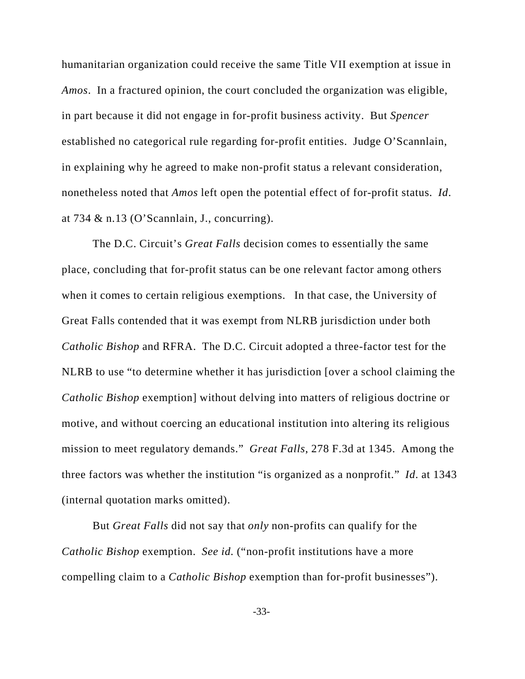humanitarian organization could receive the same Title VII exemption at issue in *Amos*. In a fractured opinion, the court concluded the organization was eligible, in part because it did not engage in for-profit business activity. But *Spencer* established no categorical rule regarding for-profit entities. Judge O'Scannlain, in explaining why he agreed to make non-profit status a relevant consideration, nonetheless noted that *Amos* left open the potential effect of for-profit status. *Id*. at 734 & n.13 (O'Scannlain, J., concurring).

The D.C. Circuit's *Great Falls* decision comes to essentially the same place, concluding that for-profit status can be one relevant factor among others when it comes to certain religious exemptions. In that case, the University of Great Falls contended that it was exempt from NLRB jurisdiction under both *Catholic Bishop* and RFRA. The D.C. Circuit adopted a three-factor test for the NLRB to use "to determine whether it has jurisdiction [over a school claiming the *Catholic Bishop* exemption] without delving into matters of religious doctrine or motive, and without coercing an educational institution into altering its religious mission to meet regulatory demands." *Great Falls*, 278 F.3d at 1345. Among the three factors was whether the institution "is organized as a nonprofit." *Id*. at 1343 (internal quotation marks omitted).

But *Great Falls* did not say that *only* non-profits can qualify for the *Catholic Bishop* exemption. *See id.* ("non-profit institutions have a more compelling claim to a *Catholic Bishop* exemption than for-profit businesses").

-33-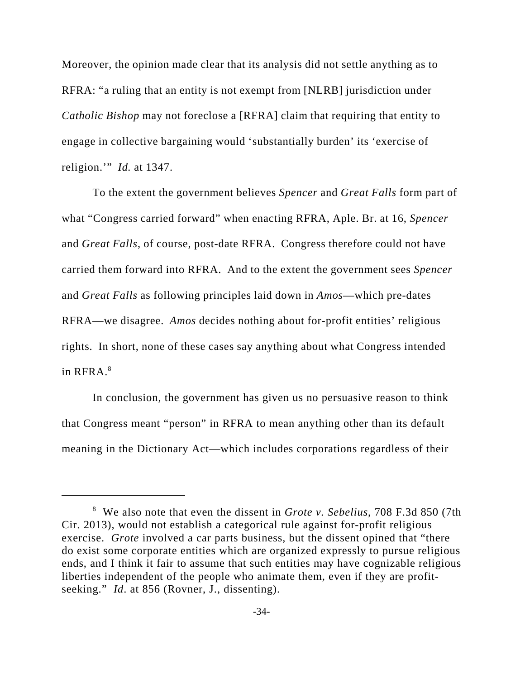Moreover, the opinion made clear that its analysis did not settle anything as to RFRA: "a ruling that an entity is not exempt from [NLRB] jurisdiction under *Catholic Bishop* may not foreclose a [RFRA] claim that requiring that entity to engage in collective bargaining would 'substantially burden' its 'exercise of religion.'" *Id.* at 1347.

To the extent the government believes *Spencer* and *Great Falls* form part of what "Congress carried forward" when enacting RFRA, Aple. Br. at 16, *Spencer* and *Great Falls*, of course, post-date RFRA. Congress therefore could not have carried them forward into RFRA. And to the extent the government sees *Spencer* and *Great Falls* as following principles laid down in *Amos*—which pre-dates RFRA—we disagree. *Amos* decides nothing about for-profit entities' religious rights. In short, none of these cases say anything about what Congress intended in  $RFRA$ . $8$ 

In conclusion, the government has given us no persuasive reason to think that Congress meant "person" in RFRA to mean anything other than its default meaning in the Dictionary Act—which includes corporations regardless of their

<sup>8</sup> We also note that even the dissent in *Grote v. Sebelius*, 708 F.3d 850 (7th Cir. 2013), would not establish a categorical rule against for-profit religious exercise. *Grote* involved a car parts business, but the dissent opined that "there" do exist some corporate entities which are organized expressly to pursue religious ends, and I think it fair to assume that such entities may have cognizable religious liberties independent of the people who animate them, even if they are profitseeking." *Id*. at 856 (Rovner, J., dissenting).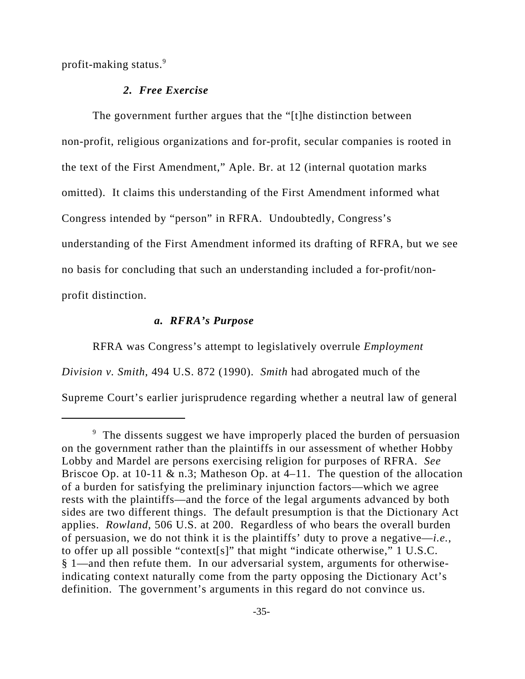profit-making status.9

### *2. Free Exercise*

The government further argues that the "[t]he distinction between non-profit, religious organizations and for-profit, secular companies is rooted in the text of the First Amendment," Aple. Br. at 12 (internal quotation marks omitted). It claims this understanding of the First Amendment informed what Congress intended by "person" in RFRA. Undoubtedly, Congress's understanding of the First Amendment informed its drafting of RFRA, but we see no basis for concluding that such an understanding included a for-profit/nonprofit distinction.

#### *a. RFRA's Purpose*

RFRA was Congress's attempt to legislatively overrule *Employment Division v. Smith*, 494 U.S. 872 (1990). *Smith* had abrogated much of the Supreme Court's earlier jurisprudence regarding whether a neutral law of general

<sup>&</sup>lt;sup>9</sup> The dissents suggest we have improperly placed the burden of persuasion on the government rather than the plaintiffs in our assessment of whether Hobby Lobby and Mardel are persons exercising religion for purposes of RFRA. *See* Briscoe Op. at 10-11  $\&$  n.3; Matheson Op. at 4–11. The question of the allocation of a burden for satisfying the preliminary injunction factors—which we agree rests with the plaintiffs—and the force of the legal arguments advanced by both sides are two different things. The default presumption is that the Dictionary Act applies. *Rowland*, 506 U.S. at 200. Regardless of who bears the overall burden of persuasion, we do not think it is the plaintiffs' duty to prove a negative—*i.e.*, to offer up all possible "context[s]" that might "indicate otherwise," 1 U.S.C. § 1—and then refute them. In our adversarial system, arguments for otherwiseindicating context naturally come from the party opposing the Dictionary Act's definition. The government's arguments in this regard do not convince us.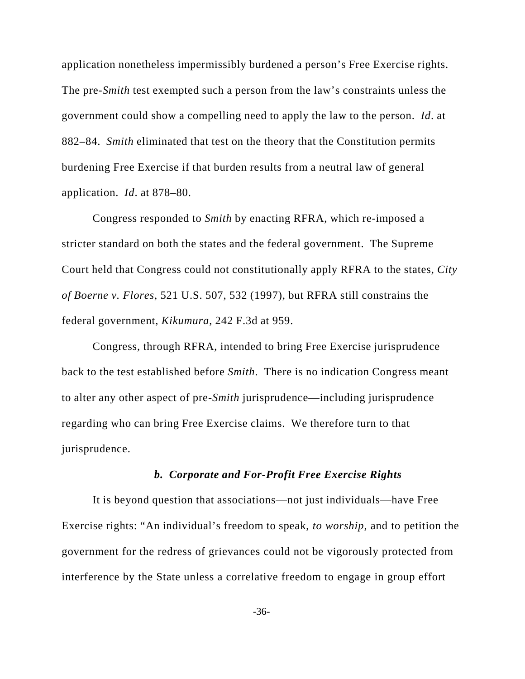application nonetheless impermissibly burdened a person's Free Exercise rights. The pre-*Smith* test exempted such a person from the law's constraints unless the government could show a compelling need to apply the law to the person. *Id*. at 882–84. *Smith* eliminated that test on the theory that the Constitution permits burdening Free Exercise if that burden results from a neutral law of general application. *Id*. at 878–80.

Congress responded to *Smith* by enacting RFRA, which re-imposed a stricter standard on both the states and the federal government. The Supreme Court held that Congress could not constitutionally apply RFRA to the states, *City of Boerne v. Flores*, 521 U.S. 507, 532 (1997), but RFRA still constrains the federal government, *Kikumura*, 242 F.3d at 959.

Congress, through RFRA, intended to bring Free Exercise jurisprudence back to the test established before *Smith*. There is no indication Congress meant to alter any other aspect of pre-*Smith* jurisprudence—including jurisprudence regarding who can bring Free Exercise claims. We therefore turn to that jurisprudence.

#### *b. Corporate and For-Profit Free Exercise Rights*

It is beyond question that associations—not just individuals—have Free Exercise rights: "An individual's freedom to speak, *to worship*, and to petition the government for the redress of grievances could not be vigorously protected from interference by the State unless a correlative freedom to engage in group effort

-36-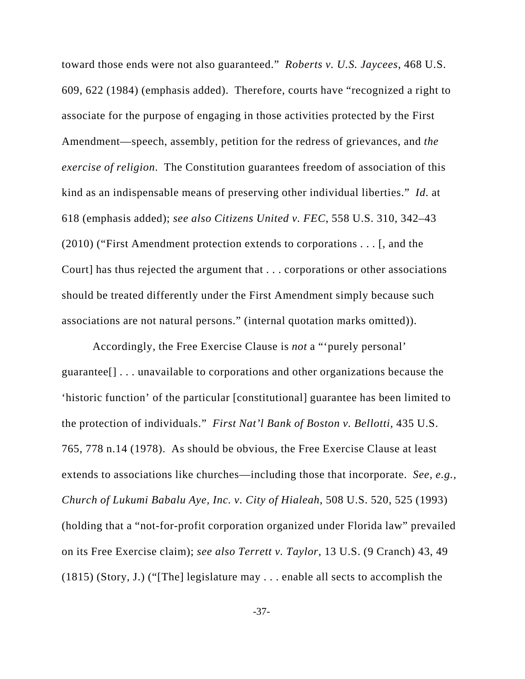toward those ends were not also guaranteed." *Roberts v. U.S. Jaycees*, 468 U.S. 609, 622 (1984) (emphasis added). Therefore, courts have "recognized a right to associate for the purpose of engaging in those activities protected by the First Amendment—speech, assembly, petition for the redress of grievances, and *the exercise of religion*. The Constitution guarantees freedom of association of this kind as an indispensable means of preserving other individual liberties." *Id*. at 618 (emphasis added); *see also Citizens United v. FEC*, 558 U.S. 310, 342–43 (2010) ("First Amendment protection extends to corporations . . . [, and the Court] has thus rejected the argument that . . . corporations or other associations should be treated differently under the First Amendment simply because such associations are not natural persons." (internal quotation marks omitted)).

Accordingly, the Free Exercise Clause is *not* a "'purely personal' guarantee[] . . . unavailable to corporations and other organizations because the 'historic function' of the particular [constitutional] guarantee has been limited to the protection of individuals." *First Nat'l Bank of Boston v. Bellotti*, 435 U.S. 765, 778 n.14 (1978). As should be obvious, the Free Exercise Clause at least extends to associations like churches—including those that incorporate. *See, e.g.*, *Church of Lukumi Babalu Aye, Inc. v. City of Hialeah*, 508 U.S. 520, 525 (1993) (holding that a "not-for-profit corporation organized under Florida law" prevailed on its Free Exercise claim); *see also Terrett v. Taylor*, 13 U.S. (9 Cranch) 43, 49 (1815) (Story, J.) ("[The] legislature may . . . enable all sects to accomplish the

-37-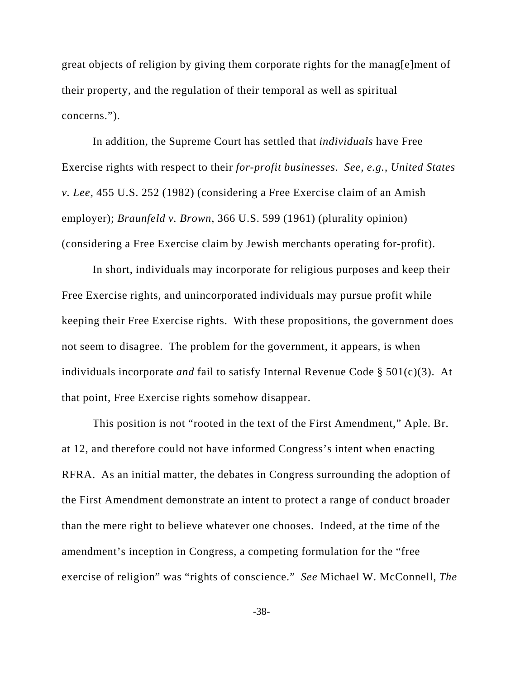great objects of religion by giving them corporate rights for the manag[e]ment of their property, and the regulation of their temporal as well as spiritual concerns.").

In addition, the Supreme Court has settled that *individuals* have Free Exercise rights with respect to their *for-profit businesses*. *See, e.g.*, *United States v. Lee*, 455 U.S. 252 (1982) (considering a Free Exercise claim of an Amish employer); *Braunfeld v. Brown*, 366 U.S. 599 (1961) (plurality opinion) (considering a Free Exercise claim by Jewish merchants operating for-profit).

In short, individuals may incorporate for religious purposes and keep their Free Exercise rights, and unincorporated individuals may pursue profit while keeping their Free Exercise rights. With these propositions, the government does not seem to disagree. The problem for the government, it appears, is when individuals incorporate *and* fail to satisfy Internal Revenue Code § 501(c)(3). At that point, Free Exercise rights somehow disappear.

This position is not "rooted in the text of the First Amendment," Aple. Br. at 12, and therefore could not have informed Congress's intent when enacting RFRA. As an initial matter, the debates in Congress surrounding the adoption of the First Amendment demonstrate an intent to protect a range of conduct broader than the mere right to believe whatever one chooses. Indeed, at the time of the amendment's inception in Congress, a competing formulation for the "free exercise of religion" was "rights of conscience." *See* Michael W. McConnell, *The*

-38-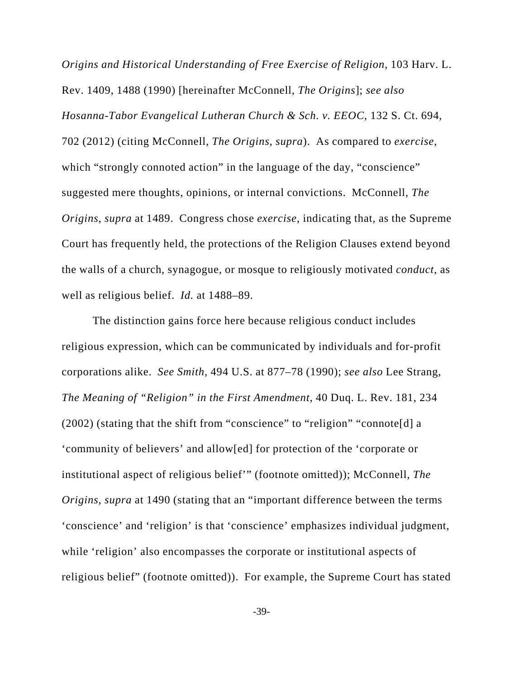*Origins and Historical Understanding of Free Exercise of Religion*, 103 Harv. L. Rev. 1409, 1488 (1990) [hereinafter McConnell, *The Origins*]; *see also Hosanna-Tabor Evangelical Lutheran Church & Sch. v. EEOC*, 132 S. Ct. 694, 702 (2012) (citing McConnell, *The Origins*, *supra*). As compared to *exercise*, which "strongly connoted action" in the language of the day, "conscience" suggested mere thoughts, opinions, or internal convictions. McConnell, *The Origins*, *supra* at 1489. Congress chose *exercise*, indicating that, as the Supreme Court has frequently held, the protections of the Religion Clauses extend beyond the walls of a church, synagogue, or mosque to religiously motivated *conduct*, as well as religious belief. *Id.* at 1488–89.

The distinction gains force here because religious conduct includes religious expression, which can be communicated by individuals and for-profit corporations alike. *See Smith*, 494 U.S. at 877–78 (1990); *see also* Lee Strang, *The Meaning of "Religion" in the First Amendment*, 40 Duq. L. Rev. 181, 234 (2002) (stating that the shift from "conscience" to "religion" "connote[d] a 'community of believers' and allow[ed] for protection of the 'corporate or institutional aspect of religious belief'" (footnote omitted)); McConnell, *The Origins*, *supra* at 1490 (stating that an "important difference between the terms 'conscience' and 'religion' is that 'conscience' emphasizes individual judgment, while 'religion' also encompasses the corporate or institutional aspects of religious belief" (footnote omitted)). For example, the Supreme Court has stated

-39-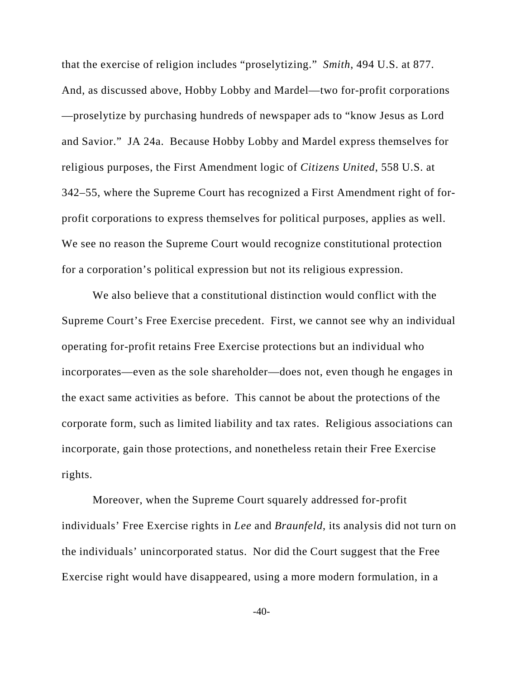that the exercise of religion includes "proselytizing." *Smith*, 494 U.S. at 877. And, as discussed above, Hobby Lobby and Mardel—two for-profit corporations —proselytize by purchasing hundreds of newspaper ads to "know Jesus as Lord and Savior." JA 24a. Because Hobby Lobby and Mardel express themselves for religious purposes, the First Amendment logic of *Citizens United*, 558 U.S. at 342–55, where the Supreme Court has recognized a First Amendment right of forprofit corporations to express themselves for political purposes, applies as well. We see no reason the Supreme Court would recognize constitutional protection for a corporation's political expression but not its religious expression.

We also believe that a constitutional distinction would conflict with the Supreme Court's Free Exercise precedent. First, we cannot see why an individual operating for-profit retains Free Exercise protections but an individual who incorporates—even as the sole shareholder—does not, even though he engages in the exact same activities as before. This cannot be about the protections of the corporate form, such as limited liability and tax rates. Religious associations can incorporate, gain those protections, and nonetheless retain their Free Exercise rights.

Moreover, when the Supreme Court squarely addressed for-profit individuals' Free Exercise rights in *Lee* and *Braunfeld*, its analysis did not turn on the individuals' unincorporated status. Nor did the Court suggest that the Free Exercise right would have disappeared, using a more modern formulation, in a

 $-40-$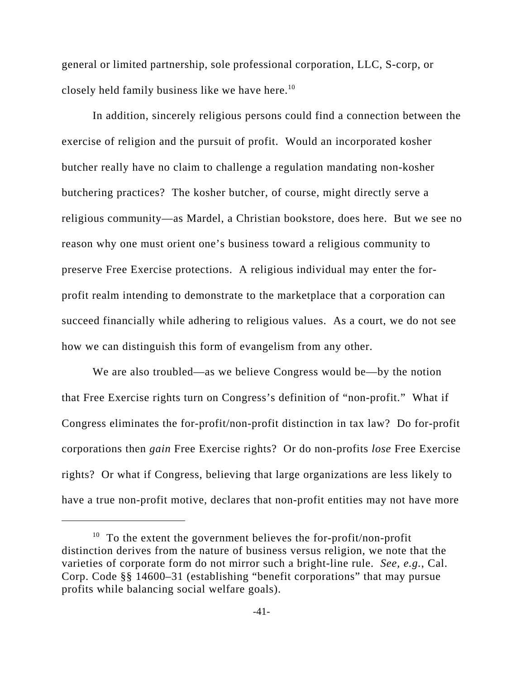general or limited partnership, sole professional corporation, LLC, S-corp, or closely held family business like we have here.<sup>10</sup>

In addition, sincerely religious persons could find a connection between the exercise of religion and the pursuit of profit. Would an incorporated kosher butcher really have no claim to challenge a regulation mandating non-kosher butchering practices? The kosher butcher, of course, might directly serve a religious community—as Mardel, a Christian bookstore, does here. But we see no reason why one must orient one's business toward a religious community to preserve Free Exercise protections. A religious individual may enter the forprofit realm intending to demonstrate to the marketplace that a corporation can succeed financially while adhering to religious values. As a court, we do not see how we can distinguish this form of evangelism from any other.

We are also troubled—as we believe Congress would be—by the notion that Free Exercise rights turn on Congress's definition of "non-profit." What if Congress eliminates the for-profit/non-profit distinction in tax law? Do for-profit corporations then *gain* Free Exercise rights? Or do non-profits *lose* Free Exercise rights? Or what if Congress, believing that large organizations are less likely to have a true non-profit motive, declares that non-profit entities may not have more

 $10$  To the extent the government believes the for-profit/non-profit distinction derives from the nature of business versus religion, we note that the varieties of corporate form do not mirror such a bright-line rule. *See, e.g.*, Cal. Corp. Code §§ 14600–31 (establishing "benefit corporations" that may pursue profits while balancing social welfare goals).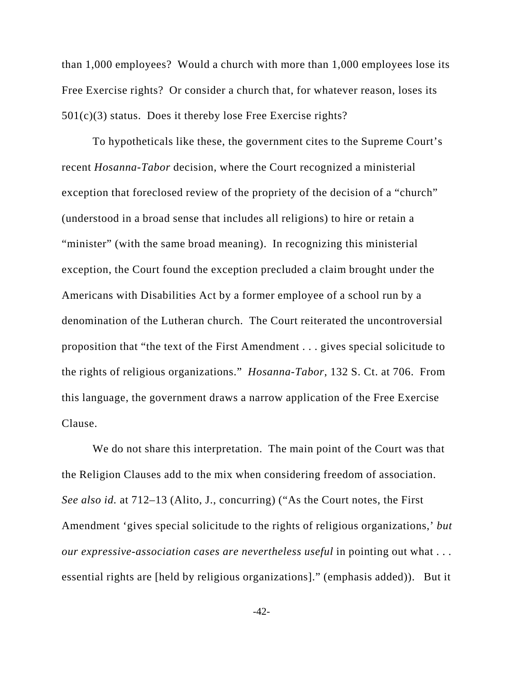than 1,000 employees? Would a church with more than 1,000 employees lose its Free Exercise rights? Or consider a church that, for whatever reason, loses its 501(c)(3) status. Does it thereby lose Free Exercise rights?

To hypotheticals like these, the government cites to the Supreme Court's recent *Hosanna-Tabor* decision, where the Court recognized a ministerial exception that foreclosed review of the propriety of the decision of a "church" (understood in a broad sense that includes all religions) to hire or retain a "minister" (with the same broad meaning). In recognizing this ministerial exception, the Court found the exception precluded a claim brought under the Americans with Disabilities Act by a former employee of a school run by a denomination of the Lutheran church. The Court reiterated the uncontroversial proposition that "the text of the First Amendment . . . gives special solicitude to the rights of religious organizations." *Hosanna-Tabor*, 132 S. Ct. at 706. From this language, the government draws a narrow application of the Free Exercise Clause.

We do not share this interpretation. The main point of the Court was that the Religion Clauses add to the mix when considering freedom of association. *See also id.* at 712–13 (Alito, J., concurring) ("As the Court notes, the First Amendment 'gives special solicitude to the rights of religious organizations,' *but our expressive-association cases are nevertheless useful in pointing out what ...* essential rights are [held by religious organizations]." (emphasis added)). But it

-42-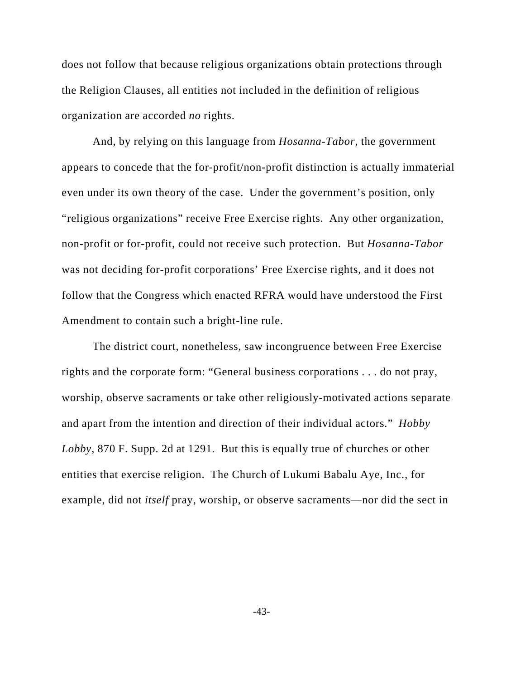does not follow that because religious organizations obtain protections through the Religion Clauses, all entities not included in the definition of religious organization are accorded *no* rights.

And, by relying on this language from *Hosanna-Tabor*, the government appears to concede that the for-profit/non-profit distinction is actually immaterial even under its own theory of the case. Under the government's position, only "religious organizations" receive Free Exercise rights. Any other organization, non-profit or for-profit, could not receive such protection. But *Hosanna-Tabor* was not deciding for-profit corporations' Free Exercise rights, and it does not follow that the Congress which enacted RFRA would have understood the First Amendment to contain such a bright-line rule.

The district court, nonetheless, saw incongruence between Free Exercise rights and the corporate form: "General business corporations . . . do not pray, worship, observe sacraments or take other religiously-motivated actions separate and apart from the intention and direction of their individual actors." *Hobby Lobby*, 870 F. Supp. 2d at 1291. But this is equally true of churches or other entities that exercise religion. The Church of Lukumi Babalu Aye, Inc., for example, did not *itself* pray, worship, or observe sacraments—nor did the sect in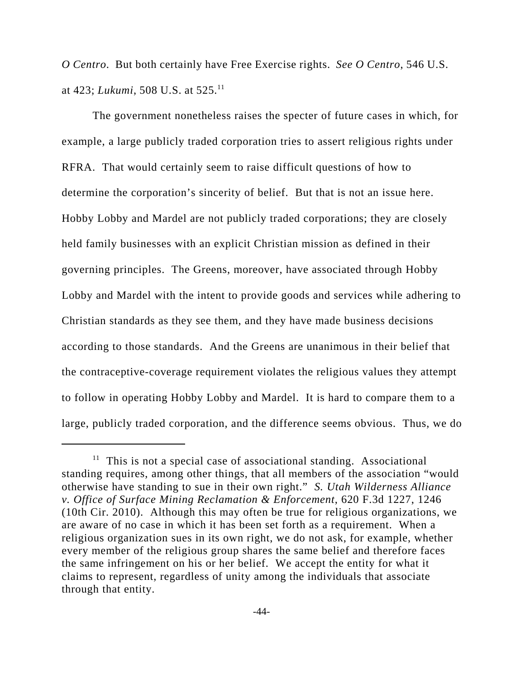*O Centro*. But both certainly have Free Exercise rights. *See O Centro*, 546 U.S. at 423; *Lukumi*, 508 U.S. at 525.11

The government nonetheless raises the specter of future cases in which, for example, a large publicly traded corporation tries to assert religious rights under RFRA. That would certainly seem to raise difficult questions of how to determine the corporation's sincerity of belief. But that is not an issue here. Hobby Lobby and Mardel are not publicly traded corporations; they are closely held family businesses with an explicit Christian mission as defined in their governing principles. The Greens, moreover, have associated through Hobby Lobby and Mardel with the intent to provide goods and services while adhering to Christian standards as they see them, and they have made business decisions according to those standards. And the Greens are unanimous in their belief that the contraceptive-coverage requirement violates the religious values they attempt to follow in operating Hobby Lobby and Mardel. It is hard to compare them to a large, publicly traded corporation, and the difference seems obvious. Thus, we do

 $11$  This is not a special case of associational standing. Associational standing requires, among other things, that all members of the association "would otherwise have standing to sue in their own right." *S. Utah Wilderness Alliance v. Office of Surface Mining Reclamation & Enforcement*, 620 F.3d 1227, 1246 (10th Cir. 2010). Although this may often be true for religious organizations, we are aware of no case in which it has been set forth as a requirement. When a religious organization sues in its own right, we do not ask, for example, whether every member of the religious group shares the same belief and therefore faces the same infringement on his or her belief. We accept the entity for what it claims to represent, regardless of unity among the individuals that associate through that entity.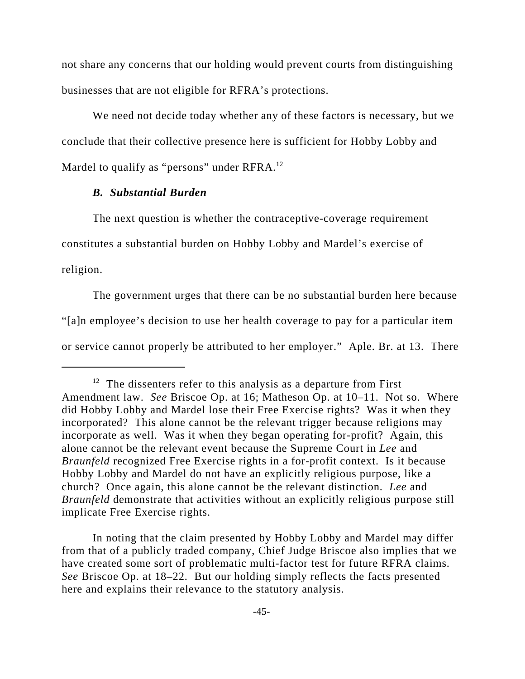not share any concerns that our holding would prevent courts from distinguishing businesses that are not eligible for RFRA's protections.

We need not decide today whether any of these factors is necessary, but we conclude that their collective presence here is sufficient for Hobby Lobby and Mardel to qualify as "persons" under RFRA.<sup>12</sup>

## *B. Substantial Burden*

The next question is whether the contraceptive-coverage requirement constitutes a substantial burden on Hobby Lobby and Mardel's exercise of religion.

The government urges that there can be no substantial burden here because "[a]n employee's decision to use her health coverage to pay for a particular item or service cannot properly be attributed to her employer." Aple. Br. at 13. There

In noting that the claim presented by Hobby Lobby and Mardel may differ from that of a publicly traded company, Chief Judge Briscoe also implies that we have created some sort of problematic multi-factor test for future RFRA claims. *See* Briscoe Op. at 18–22. But our holding simply reflects the facts presented here and explains their relevance to the statutory analysis.

 $12$  The dissenters refer to this analysis as a departure from First Amendment law. *See* Briscoe Op. at 16; Matheson Op. at 10–11. Not so. Where did Hobby Lobby and Mardel lose their Free Exercise rights? Was it when they incorporated? This alone cannot be the relevant trigger because religions may incorporate as well. Was it when they began operating for-profit? Again, this alone cannot be the relevant event because the Supreme Court in *Lee* and *Braunfeld* recognized Free Exercise rights in a for-profit context. Is it because Hobby Lobby and Mardel do not have an explicitly religious purpose, like a church? Once again, this alone cannot be the relevant distinction. *Lee* and *Braunfeld* demonstrate that activities without an explicitly religious purpose still implicate Free Exercise rights.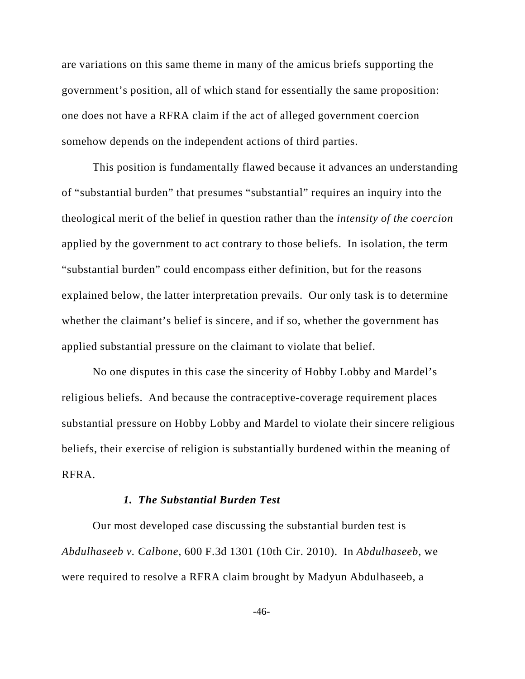are variations on this same theme in many of the amicus briefs supporting the government's position, all of which stand for essentially the same proposition: one does not have a RFRA claim if the act of alleged government coercion somehow depends on the independent actions of third parties.

This position is fundamentally flawed because it advances an understanding of "substantial burden" that presumes "substantial" requires an inquiry into the theological merit of the belief in question rather than the *intensity of the coercion* applied by the government to act contrary to those beliefs. In isolation, the term "substantial burden" could encompass either definition, but for the reasons explained below, the latter interpretation prevails. Our only task is to determine whether the claimant's belief is sincere, and if so, whether the government has applied substantial pressure on the claimant to violate that belief.

No one disputes in this case the sincerity of Hobby Lobby and Mardel's religious beliefs. And because the contraceptive-coverage requirement places substantial pressure on Hobby Lobby and Mardel to violate their sincere religious beliefs, their exercise of religion is substantially burdened within the meaning of RFRA.

## *1. The Substantial Burden Test*

Our most developed case discussing the substantial burden test is *Abdulhaseeb v. Calbone*, 600 F.3d 1301 (10th Cir. 2010). In *Abdulhaseeb*, we were required to resolve a RFRA claim brought by Madyun Abdulhaseeb, a

-46-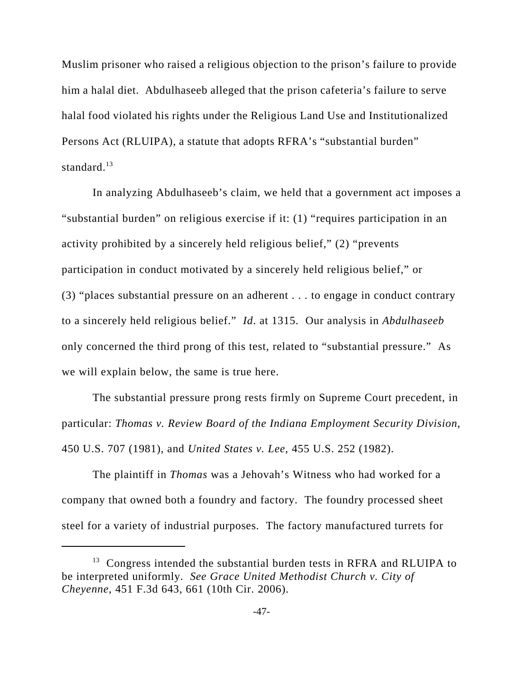Muslim prisoner who raised a religious objection to the prison's failure to provide him a halal diet. Abdulhaseeb alleged that the prison cafeteria's failure to serve halal food violated his rights under the Religious Land Use and Institutionalized Persons Act (RLUIPA), a statute that adopts RFRA's "substantial burden" standard. $13$ 

In analyzing Abdulhaseeb's claim, we held that a government act imposes a "substantial burden" on religious exercise if it: (1) "requires participation in an activity prohibited by a sincerely held religious belief," (2) "prevents participation in conduct motivated by a sincerely held religious belief," or (3) "places substantial pressure on an adherent . . . to engage in conduct contrary to a sincerely held religious belief." *Id*. at 1315. Our analysis in *Abdulhaseeb* only concerned the third prong of this test, related to "substantial pressure." As we will explain below, the same is true here.

The substantial pressure prong rests firmly on Supreme Court precedent, in particular: *Thomas v. Review Board of the Indiana Employment Security Division*, 450 U.S. 707 (1981), and *United States v. Lee*, 455 U.S. 252 (1982).

The plaintiff in *Thomas* was a Jehovah's Witness who had worked for a company that owned both a foundry and factory. The foundry processed sheet steel for a variety of industrial purposes. The factory manufactured turrets for

 $13$  Congress intended the substantial burden tests in RFRA and RLUIPA to be interpreted uniformly. *See Grace United Methodist Church v. City of Cheyenne*, 451 F.3d 643, 661 (10th Cir. 2006).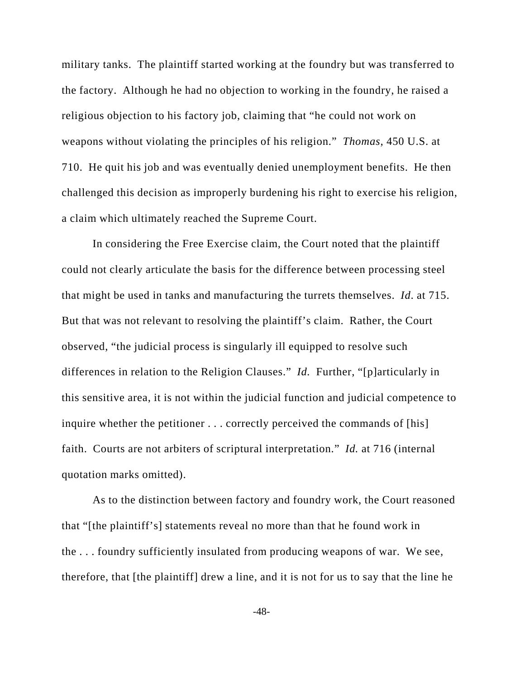military tanks. The plaintiff started working at the foundry but was transferred to the factory. Although he had no objection to working in the foundry, he raised a religious objection to his factory job, claiming that "he could not work on weapons without violating the principles of his religion." *Thomas*, 450 U.S. at 710. He quit his job and was eventually denied unemployment benefits. He then challenged this decision as improperly burdening his right to exercise his religion, a claim which ultimately reached the Supreme Court.

In considering the Free Exercise claim, the Court noted that the plaintiff could not clearly articulate the basis for the difference between processing steel that might be used in tanks and manufacturing the turrets themselves. *Id*. at 715. But that was not relevant to resolving the plaintiff's claim. Rather, the Court observed, "the judicial process is singularly ill equipped to resolve such differences in relation to the Religion Clauses." *Id.* Further, "[p]articularly in this sensitive area, it is not within the judicial function and judicial competence to inquire whether the petitioner . . . correctly perceived the commands of [his] faith. Courts are not arbiters of scriptural interpretation." *Id.* at 716 (internal quotation marks omitted).

As to the distinction between factory and foundry work, the Court reasoned that "[the plaintiff's] statements reveal no more than that he found work in the . . . foundry sufficiently insulated from producing weapons of war. We see, therefore, that [the plaintiff] drew a line, and it is not for us to say that the line he

-48-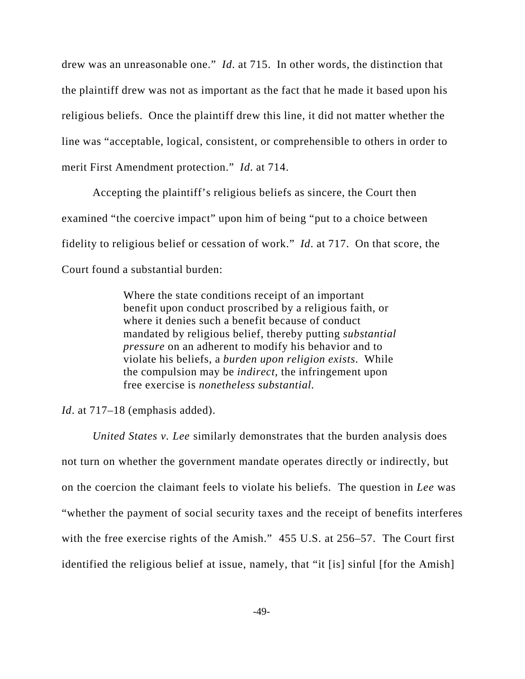drew was an unreasonable one." *Id*. at 715. In other words, the distinction that the plaintiff drew was not as important as the fact that he made it based upon his religious beliefs. Once the plaintiff drew this line, it did not matter whether the line was "acceptable, logical, consistent, or comprehensible to others in order to merit First Amendment protection." *Id*. at 714.

Accepting the plaintiff's religious beliefs as sincere, the Court then examined "the coercive impact" upon him of being "put to a choice between fidelity to religious belief or cessation of work." *Id*. at 717. On that score, the Court found a substantial burden:

> Where the state conditions receipt of an important benefit upon conduct proscribed by a religious faith, or where it denies such a benefit because of conduct mandated by religious belief, thereby putting *substantial pressure* on an adherent to modify his behavior and to violate his beliefs, a *burden upon religion exists*. While the compulsion may be *indirect,* the infringement upon free exercise is *nonetheless substantial.*

*Id*. at 717–18 (emphasis added).

*United States v. Lee* similarly demonstrates that the burden analysis does not turn on whether the government mandate operates directly or indirectly, but on the coercion the claimant feels to violate his beliefs. The question in *Lee* was "whether the payment of social security taxes and the receipt of benefits interferes with the free exercise rights of the Amish." 455 U.S. at 256–57. The Court first identified the religious belief at issue, namely, that "it [is] sinful [for the Amish]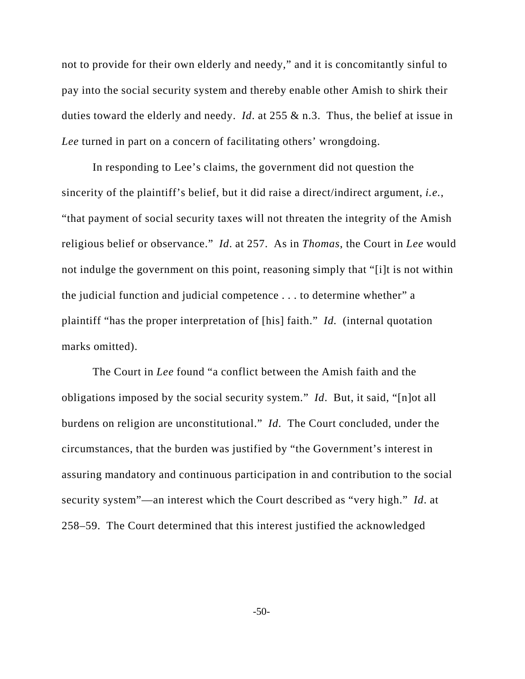not to provide for their own elderly and needy," and it is concomitantly sinful to pay into the social security system and thereby enable other Amish to shirk their duties toward the elderly and needy. *Id*. at 255 & n.3. Thus, the belief at issue in *Lee* turned in part on a concern of facilitating others' wrongdoing.

In responding to Lee's claims, the government did not question the sincerity of the plaintiff's belief, but it did raise a direct/indirect argument, *i.e.*, "that payment of social security taxes will not threaten the integrity of the Amish religious belief or observance." *Id*. at 257. As in *Thomas*, the Court in *Lee* would not indulge the government on this point, reasoning simply that "[i]t is not within the judicial function and judicial competence . . . to determine whether" a plaintiff "has the proper interpretation of [his] faith." *Id.* (internal quotation marks omitted).

The Court in *Lee* found "a conflict between the Amish faith and the obligations imposed by the social security system." *Id*. But, it said, "[n]ot all burdens on religion are unconstitutional." *Id*. The Court concluded, under the circumstances, that the burden was justified by "the Government's interest in assuring mandatory and continuous participation in and contribution to the social security system"—an interest which the Court described as "very high." *Id*. at 258–59. The Court determined that this interest justified the acknowledged

-50-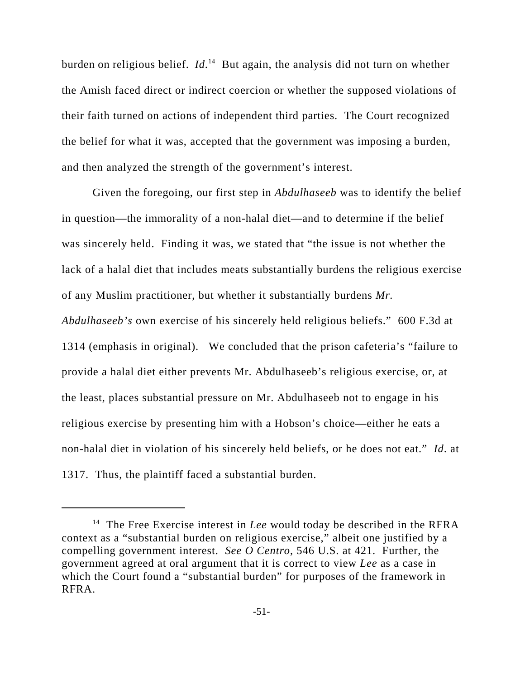burden on religious belief. *Id*.<sup>14</sup> But again, the analysis did not turn on whether the Amish faced direct or indirect coercion or whether the supposed violations of their faith turned on actions of independent third parties. The Court recognized the belief for what it was, accepted that the government was imposing a burden, and then analyzed the strength of the government's interest.

Given the foregoing, our first step in *Abdulhaseeb* was to identify the belief in question—the immorality of a non-halal diet—and to determine if the belief was sincerely held. Finding it was, we stated that "the issue is not whether the lack of a halal diet that includes meats substantially burdens the religious exercise of any Muslim practitioner, but whether it substantially burdens *Mr. Abdulhaseeb's* own exercise of his sincerely held religious beliefs." 600 F.3d at 1314 (emphasis in original). We concluded that the prison cafeteria's "failure to provide a halal diet either prevents Mr. Abdulhaseeb's religious exercise, or, at the least, places substantial pressure on Mr. Abdulhaseeb not to engage in his religious exercise by presenting him with a Hobson's choice—either he eats a non-halal diet in violation of his sincerely held beliefs, or he does not eat." *Id*. at

1317. Thus, the plaintiff faced a substantial burden.

<sup>&</sup>lt;sup>14</sup> The Free Exercise interest in *Lee* would today be described in the RFRA context as a "substantial burden on religious exercise," albeit one justified by a compelling government interest. *See O Centro*, 546 U.S. at 421. Further, the government agreed at oral argument that it is correct to view *Lee* as a case in which the Court found a "substantial burden" for purposes of the framework in RFRA.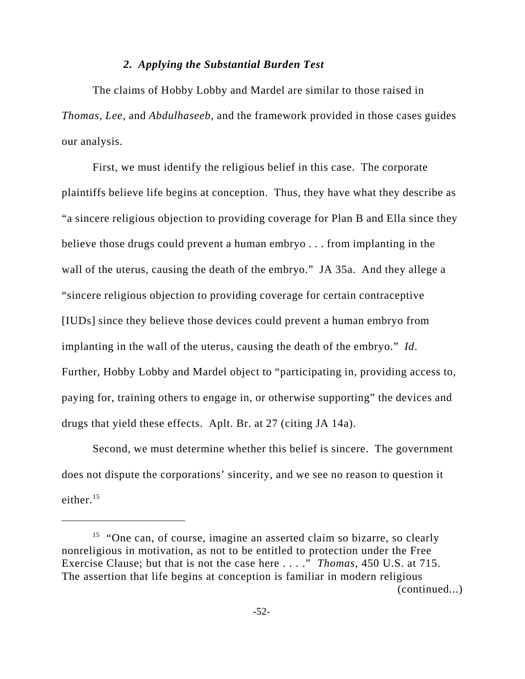## *2. Applying the Substantial Burden Test*

The claims of Hobby Lobby and Mardel are similar to those raised in *Thomas*, *Lee*, and *Abdulhaseeb*, and the framework provided in those cases guides our analysis.

First, we must identify the religious belief in this case. The corporate plaintiffs believe life begins at conception. Thus, they have what they describe as "a sincere religious objection to providing coverage for Plan B and Ella since they believe those drugs could prevent a human embryo . . . from implanting in the wall of the uterus, causing the death of the embryo." JA 35a. And they allege a "sincere religious objection to providing coverage for certain contraceptive [IUDs] since they believe those devices could prevent a human embryo from implanting in the wall of the uterus, causing the death of the embryo." *Id*. Further, Hobby Lobby and Mardel object to "participating in, providing access to, paying for, training others to engage in, or otherwise supporting" the devices and drugs that yield these effects. Aplt. Br. at 27 (citing JA 14a).

Second, we must determine whether this belief is sincere. The government does not dispute the corporations' sincerity, and we see no reason to question it either. $15$ 

<sup>&</sup>lt;sup>15</sup> "One can, of course, imagine an asserted claim so bizarre, so clearly nonreligious in motivation, as not to be entitled to protection under the Free Exercise Clause; but that is not the case here . . . ." *Thomas*, 450 U.S. at 715. The assertion that life begins at conception is familiar in modern religious (continued...)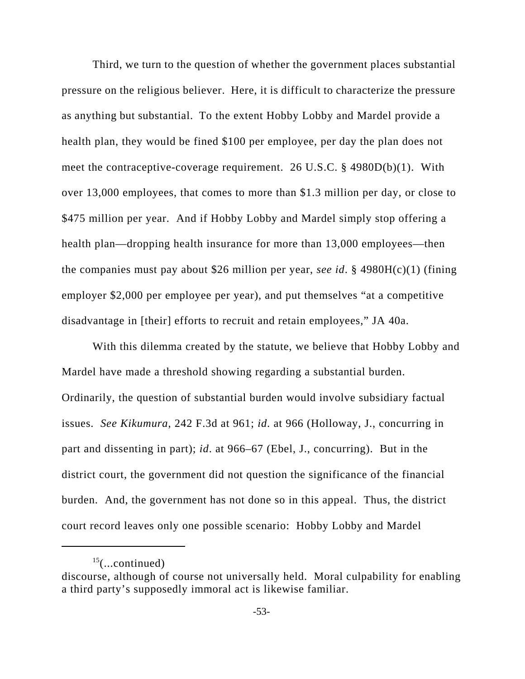Third, we turn to the question of whether the government places substantial pressure on the religious believer. Here, it is difficult to characterize the pressure as anything but substantial. To the extent Hobby Lobby and Mardel provide a health plan, they would be fined \$100 per employee, per day the plan does not meet the contraceptive-coverage requirement. 26 U.S.C. § 4980D(b)(1). With over 13,000 employees, that comes to more than \$1.3 million per day, or close to \$475 million per year. And if Hobby Lobby and Mardel simply stop offering a health plan—dropping health insurance for more than 13,000 employees—then the companies must pay about \$26 million per year, *see id*. § 4980H(c)(1) (fining employer \$2,000 per employee per year), and put themselves "at a competitive disadvantage in [their] efforts to recruit and retain employees," JA 40a.

With this dilemma created by the statute, we believe that Hobby Lobby and Mardel have made a threshold showing regarding a substantial burden. Ordinarily, the question of substantial burden would involve subsidiary factual issues. *See Kikumura*, 242 F.3d at 961; *id*. at 966 (Holloway, J., concurring in part and dissenting in part); *id*. at 966–67 (Ebel, J., concurring). But in the district court, the government did not question the significance of the financial burden. And, the government has not done so in this appeal. Thus, the district court record leaves only one possible scenario: Hobby Lobby and Mardel

 $15$ (...continued)

discourse, although of course not universally held. Moral culpability for enabling a third party's supposedly immoral act is likewise familiar.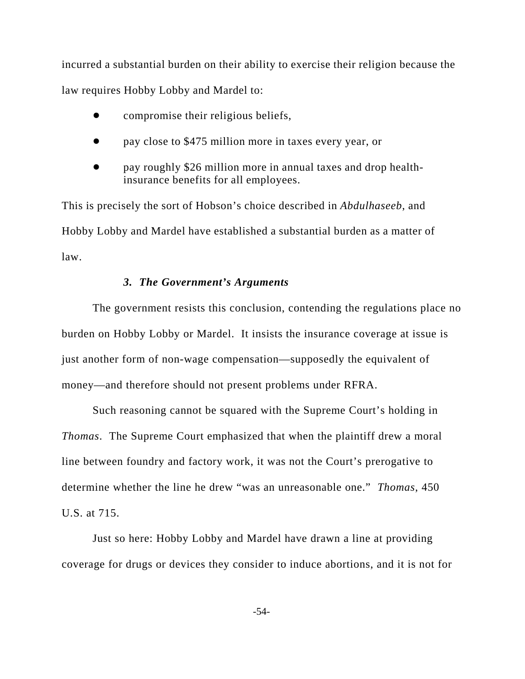incurred a substantial burden on their ability to exercise their religion because the law requires Hobby Lobby and Mardel to:

- compromise their religious beliefs,
- ! pay close to \$475 million more in taxes every year, or
- pay roughly \$26 million more in annual taxes and drop healthinsurance benefits for all employees.

This is precisely the sort of Hobson's choice described in *Abdulhaseeb*, and Hobby Lobby and Mardel have established a substantial burden as a matter of law.

## *3. The Government's Arguments*

The government resists this conclusion, contending the regulations place no burden on Hobby Lobby or Mardel. It insists the insurance coverage at issue is just another form of non-wage compensation—supposedly the equivalent of money—and therefore should not present problems under RFRA.

Such reasoning cannot be squared with the Supreme Court's holding in *Thomas*. The Supreme Court emphasized that when the plaintiff drew a moral line between foundry and factory work, it was not the Court's prerogative to determine whether the line he drew "was an unreasonable one." *Thomas*, 450 U.S. at 715.

Just so here: Hobby Lobby and Mardel have drawn a line at providing coverage for drugs or devices they consider to induce abortions, and it is not for

-54-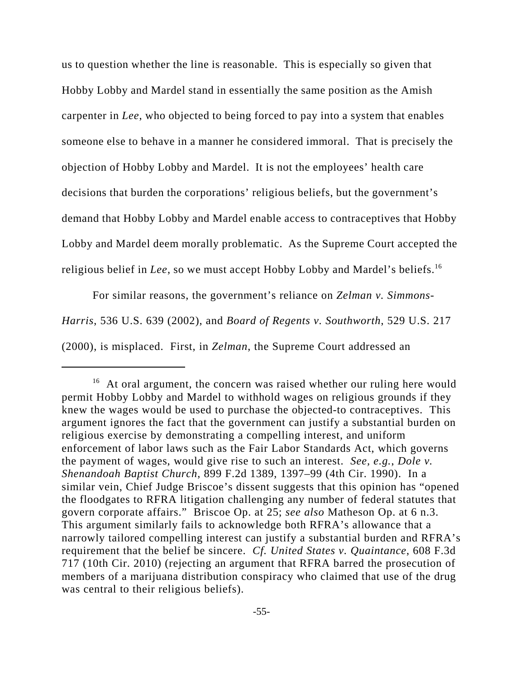us to question whether the line is reasonable. This is especially so given that Hobby Lobby and Mardel stand in essentially the same position as the Amish carpenter in *Lee*, who objected to being forced to pay into a system that enables someone else to behave in a manner he considered immoral. That is precisely the objection of Hobby Lobby and Mardel. It is not the employees' health care decisions that burden the corporations' religious beliefs, but the government's demand that Hobby Lobby and Mardel enable access to contraceptives that Hobby Lobby and Mardel deem morally problematic. As the Supreme Court accepted the religious belief in *Lee*, so we must accept Hobby Lobby and Mardel's beliefs.16

For similar reasons, the government's reliance on *Zelman v. Simmons-Harris*, 536 U.S. 639 (2002), and *Board of Regents v. Southworth*, 529 U.S. 217 (2000), is misplaced. First, in *Zelman*, the Supreme Court addressed an

<sup>&</sup>lt;sup>16</sup> At oral argument, the concern was raised whether our ruling here would permit Hobby Lobby and Mardel to withhold wages on religious grounds if they knew the wages would be used to purchase the objected-to contraceptives. This argument ignores the fact that the government can justify a substantial burden on religious exercise by demonstrating a compelling interest, and uniform enforcement of labor laws such as the Fair Labor Standards Act, which governs the payment of wages, would give rise to such an interest. *See, e.g.*, *Dole v. Shenandoah Baptist Church*, 899 F.2d 1389, 1397–99 (4th Cir. 1990). In a similar vein, Chief Judge Briscoe's dissent suggests that this opinion has "opened the floodgates to RFRA litigation challenging any number of federal statutes that govern corporate affairs." Briscoe Op. at 25; *see also* Matheson Op. at 6 n.3. This argument similarly fails to acknowledge both RFRA's allowance that a narrowly tailored compelling interest can justify a substantial burden and RFRA's requirement that the belief be sincere. *Cf. United States v. Quaintance*, 608 F.3d 717 (10th Cir. 2010) (rejecting an argument that RFRA barred the prosecution of members of a marijuana distribution conspiracy who claimed that use of the drug was central to their religious beliefs).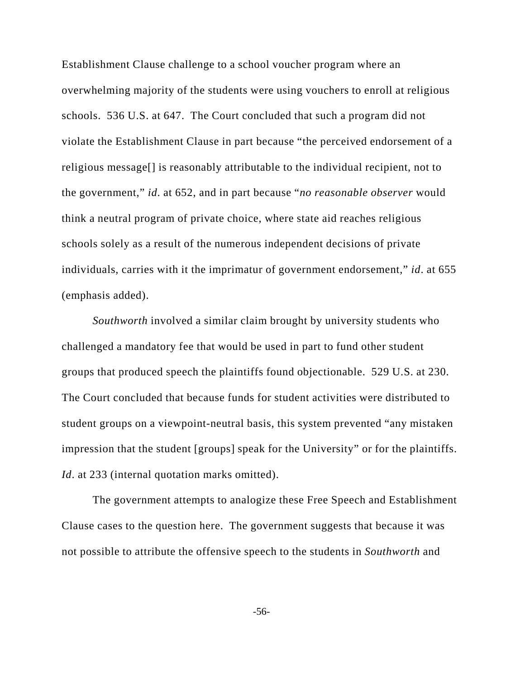Establishment Clause challenge to a school voucher program where an overwhelming majority of the students were using vouchers to enroll at religious schools. 536 U.S. at 647. The Court concluded that such a program did not violate the Establishment Clause in part because "the perceived endorsement of a religious message[] is reasonably attributable to the individual recipient, not to the government," *id*. at 652, and in part because "*no reasonable observer* would think a neutral program of private choice, where state aid reaches religious schools solely as a result of the numerous independent decisions of private individuals, carries with it the imprimatur of government endorsement," *id*. at 655 (emphasis added).

*Southworth* involved a similar claim brought by university students who challenged a mandatory fee that would be used in part to fund other student groups that produced speech the plaintiffs found objectionable. 529 U.S. at 230. The Court concluded that because funds for student activities were distributed to student groups on a viewpoint-neutral basis, this system prevented "any mistaken impression that the student [groups] speak for the University" or for the plaintiffs. *Id*. at 233 (internal quotation marks omitted).

The government attempts to analogize these Free Speech and Establishment Clause cases to the question here. The government suggests that because it was not possible to attribute the offensive speech to the students in *Southworth* and

-56-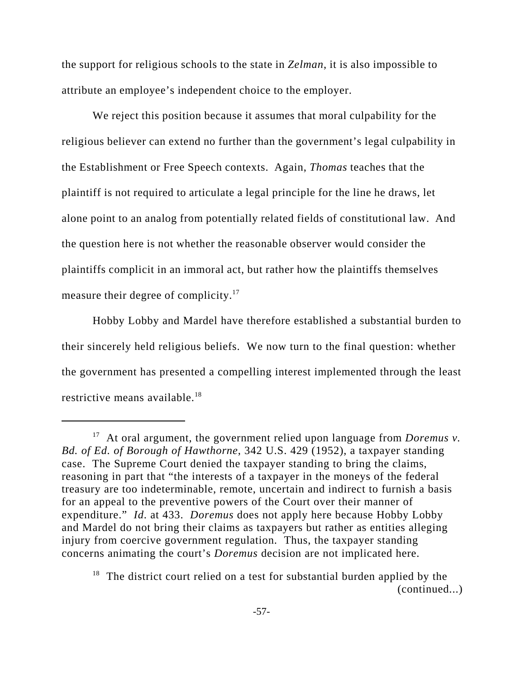the support for religious schools to the state in *Zelman*, it is also impossible to attribute an employee's independent choice to the employer.

We reject this position because it assumes that moral culpability for the religious believer can extend no further than the government's legal culpability in the Establishment or Free Speech contexts. Again, *Thomas* teaches that the plaintiff is not required to articulate a legal principle for the line he draws, let alone point to an analog from potentially related fields of constitutional law. And the question here is not whether the reasonable observer would consider the plaintiffs complicit in an immoral act, but rather how the plaintiffs themselves measure their degree of complicity.<sup>17</sup>

Hobby Lobby and Mardel have therefore established a substantial burden to their sincerely held religious beliefs. We now turn to the final question: whether the government has presented a compelling interest implemented through the least restrictive means available.<sup>18</sup>

<sup>17</sup> At oral argument, the government relied upon language from *Doremus v. Bd. of Ed. of Borough of Hawthorne*, 342 U.S. 429 (1952), a taxpayer standing case. The Supreme Court denied the taxpayer standing to bring the claims, reasoning in part that "the interests of a taxpayer in the moneys of the federal treasury are too indeterminable, remote, uncertain and indirect to furnish a basis for an appeal to the preventive powers of the Court over their manner of expenditure." *Id*. at 433. *Doremus* does not apply here because Hobby Lobby and Mardel do not bring their claims as taxpayers but rather as entities alleging injury from coercive government regulation. Thus, the taxpayer standing concerns animating the court's *Doremus* decision are not implicated here.

 $18$  The district court relied on a test for substantial burden applied by the (continued...)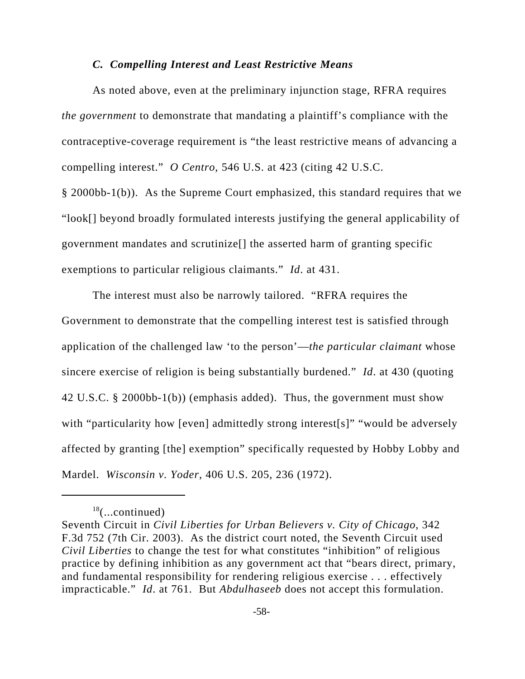## *C. Compelling Interest and Least Restrictive Means*

As noted above, even at the preliminary injunction stage, RFRA requires *the government* to demonstrate that mandating a plaintiff's compliance with the contraceptive-coverage requirement is "the least restrictive means of advancing a compelling interest." *O Centro*, 546 U.S. at 423 (citing 42 U.S.C. § 2000bb-1(b)). As the Supreme Court emphasized, this standard requires that we "look[] beyond broadly formulated interests justifying the general applicability of

government mandates and scrutinize[] the asserted harm of granting specific

exemptions to particular religious claimants." *Id*. at 431.

The interest must also be narrowly tailored. "RFRA requires the Government to demonstrate that the compelling interest test is satisfied through application of the challenged law 'to the person'—*the particular claimant* whose sincere exercise of religion is being substantially burdened." *Id*. at 430 (quoting 42 U.S.C. § 2000bb-1(b)) (emphasis added). Thus, the government must show with "particularity how [even] admittedly strong interest[s]" "would be adversely affected by granting [the] exemption" specifically requested by Hobby Lobby and Mardel. *Wisconsin v. Yoder*, 406 U.S. 205, 236 (1972).

 $18$ (...continued)

Seventh Circuit in *Civil Liberties for Urban Believers v. City of Chicago*, 342 F.3d 752 (7th Cir. 2003). As the district court noted, the Seventh Circuit used *Civil Liberties* to change the test for what constitutes "inhibition" of religious practice by defining inhibition as any government act that "bears direct, primary, and fundamental responsibility for rendering religious exercise . . . effectively impracticable." *Id*. at 761. But *Abdulhaseeb* does not accept this formulation.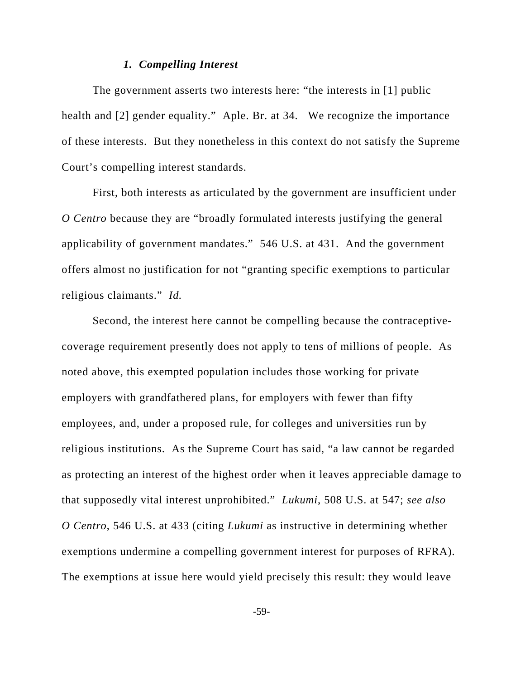## *1. Compelling Interest*

The government asserts two interests here: "the interests in [1] public health and [2] gender equality." Aple. Br. at 34. We recognize the importance of these interests. But they nonetheless in this context do not satisfy the Supreme Court's compelling interest standards.

First, both interests as articulated by the government are insufficient under *O Centro* because they are "broadly formulated interests justifying the general applicability of government mandates." 546 U.S. at 431. And the government offers almost no justification for not "granting specific exemptions to particular religious claimants." *Id.*

Second, the interest here cannot be compelling because the contraceptivecoverage requirement presently does not apply to tens of millions of people. As noted above, this exempted population includes those working for private employers with grandfathered plans, for employers with fewer than fifty employees, and, under a proposed rule, for colleges and universities run by religious institutions. As the Supreme Court has said, "a law cannot be regarded as protecting an interest of the highest order when it leaves appreciable damage to that supposedly vital interest unprohibited." *Lukumi*, 508 U.S. at 547; *see also O Centro*, 546 U.S. at 433 (citing *Lukumi* as instructive in determining whether exemptions undermine a compelling government interest for purposes of RFRA). The exemptions at issue here would yield precisely this result: they would leave

-59-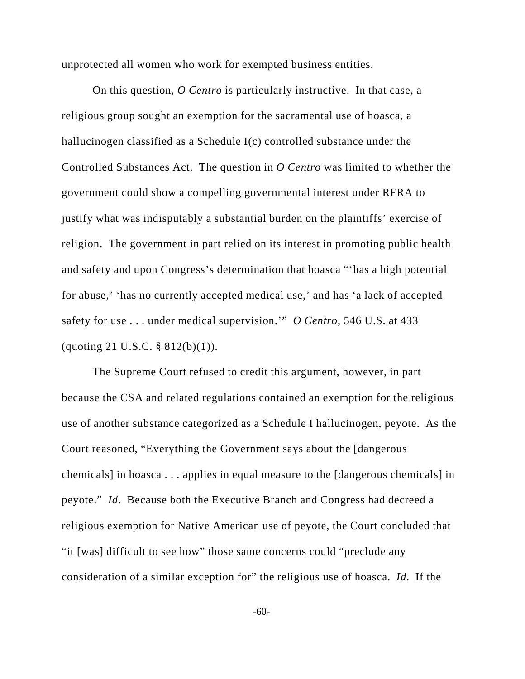unprotected all women who work for exempted business entities.

On this question, *O Centro* is particularly instructive. In that case, a religious group sought an exemption for the sacramental use of hoasca, a hallucinogen classified as a Schedule I(c) controlled substance under the Controlled Substances Act. The question in *O Centro* was limited to whether the government could show a compelling governmental interest under RFRA to justify what was indisputably a substantial burden on the plaintiffs' exercise of religion. The government in part relied on its interest in promoting public health and safety and upon Congress's determination that hoasca "'has a high potential for abuse,' 'has no currently accepted medical use,' and has 'a lack of accepted safety for use . . . under medical supervision.'" *O Centro*, 546 U.S. at 433 (quoting 21 U.S.C. § 812(b)(1)).

The Supreme Court refused to credit this argument, however, in part because the CSA and related regulations contained an exemption for the religious use of another substance categorized as a Schedule I hallucinogen, peyote. As the Court reasoned, "Everything the Government says about the [dangerous chemicals] in hoasca . . . applies in equal measure to the [dangerous chemicals] in peyote." *Id*. Because both the Executive Branch and Congress had decreed a religious exemption for Native American use of peyote, the Court concluded that "it [was] difficult to see how" those same concerns could "preclude any consideration of a similar exception for" the religious use of hoasca. *Id*. If the

-60-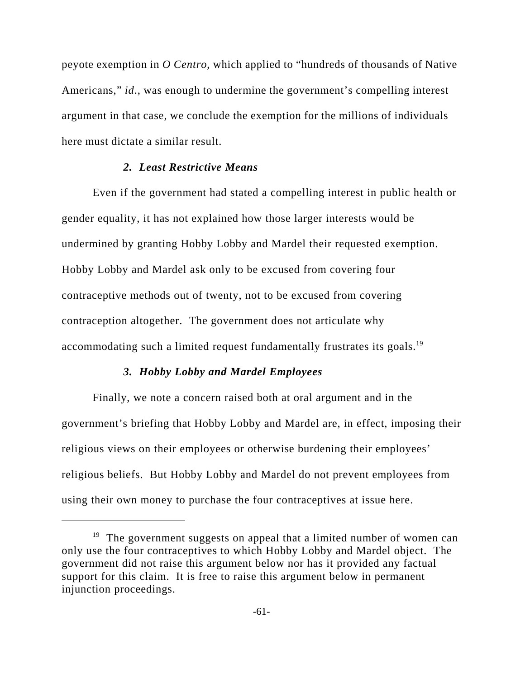peyote exemption in *O Centro*, which applied to "hundreds of thousands of Native Americans," *id*., was enough to undermine the government's compelling interest argument in that case, we conclude the exemption for the millions of individuals here must dictate a similar result.

# *2. Least Restrictive Means*

Even if the government had stated a compelling interest in public health or gender equality, it has not explained how those larger interests would be undermined by granting Hobby Lobby and Mardel their requested exemption. Hobby Lobby and Mardel ask only to be excused from covering four contraceptive methods out of twenty, not to be excused from covering contraception altogether. The government does not articulate why accommodating such a limited request fundamentally frustrates its goals.<sup>19</sup>

## *3. Hobby Lobby and Mardel Employees*

Finally, we note a concern raised both at oral argument and in the government's briefing that Hobby Lobby and Mardel are, in effect, imposing their religious views on their employees or otherwise burdening their employees' religious beliefs. But Hobby Lobby and Mardel do not prevent employees from using their own money to purchase the four contraceptives at issue here.

<sup>&</sup>lt;sup>19</sup> The government suggests on appeal that a limited number of women can only use the four contraceptives to which Hobby Lobby and Mardel object. The government did not raise this argument below nor has it provided any factual support for this claim. It is free to raise this argument below in permanent injunction proceedings.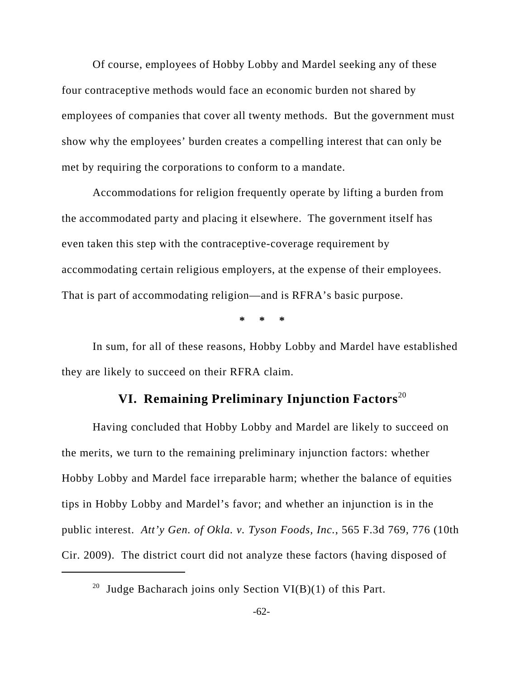Of course, employees of Hobby Lobby and Mardel seeking any of these four contraceptive methods would face an economic burden not shared by employees of companies that cover all twenty methods. But the government must show why the employees' burden creates a compelling interest that can only be met by requiring the corporations to conform to a mandate.

Accommodations for religion frequently operate by lifting a burden from the accommodated party and placing it elsewhere. The government itself has even taken this step with the contraceptive-coverage requirement by accommodating certain religious employers, at the expense of their employees. That is part of accommodating religion—and is RFRA's basic purpose.

**\* \* \***

In sum, for all of these reasons, Hobby Lobby and Mardel have established they are likely to succeed on their RFRA claim.

# **VI. Remaining Preliminary Injunction Factors**<sup>20</sup>

Having concluded that Hobby Lobby and Mardel are likely to succeed on the merits, we turn to the remaining preliminary injunction factors: whether Hobby Lobby and Mardel face irreparable harm; whether the balance of equities tips in Hobby Lobby and Mardel's favor; and whether an injunction is in the public interest. *Att'y Gen. of Okla. v. Tyson Foods, Inc.*, 565 F.3d 769, 776 (10th Cir. 2009). The district court did not analyze these factors (having disposed of

<sup>&</sup>lt;sup>20</sup> Judge Bacharach joins only Section VI(B)(1) of this Part.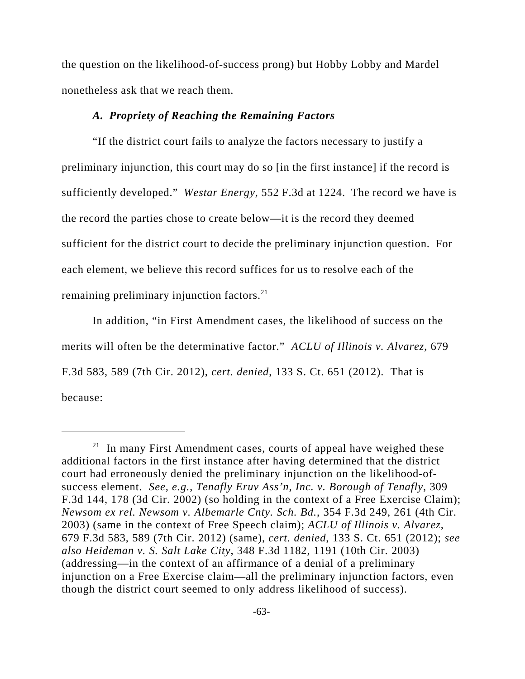the question on the likelihood-of-success prong) but Hobby Lobby and Mardel nonetheless ask that we reach them.

#### *A. Propriety of Reaching the Remaining Factors*

"If the district court fails to analyze the factors necessary to justify a preliminary injunction, this court may do so [in the first instance] if the record is sufficiently developed." *Westar Energy*, 552 F.3d at 1224. The record we have is the record the parties chose to create below—it is the record they deemed sufficient for the district court to decide the preliminary injunction question. For each element, we believe this record suffices for us to resolve each of the remaining preliminary injunction factors.<sup>21</sup>

In addition, "in First Amendment cases, the likelihood of success on the merits will often be the determinative factor." *ACLU of Illinois v. Alvarez*, 679 F.3d 583, 589 (7th Cir. 2012), *cert. denied*, 133 S. Ct. 651 (2012). That is because:

 $21$  In many First Amendment cases, courts of appeal have weighed these additional factors in the first instance after having determined that the district court had erroneously denied the preliminary injunction on the likelihood-ofsuccess element. *See, e.g.*, *Tenafly Eruv Ass'n, Inc. v. Borough of Tenafly*, 309 F.3d 144, 178 (3d Cir. 2002) (so holding in the context of a Free Exercise Claim); *Newsom ex rel. Newsom v. Albemarle Cnty. Sch. Bd.*, 354 F.3d 249, 261 (4th Cir. 2003) (same in the context of Free Speech claim); *ACLU of Illinois v. Alvarez*, 679 F.3d 583, 589 (7th Cir. 2012) (same), *cert. denied*, 133 S. Ct. 651 (2012); *see also Heideman v. S. Salt Lake City*, 348 F.3d 1182, 1191 (10th Cir. 2003) (addressing—in the context of an affirmance of a denial of a preliminary injunction on a Free Exercise claim—all the preliminary injunction factors, even though the district court seemed to only address likelihood of success).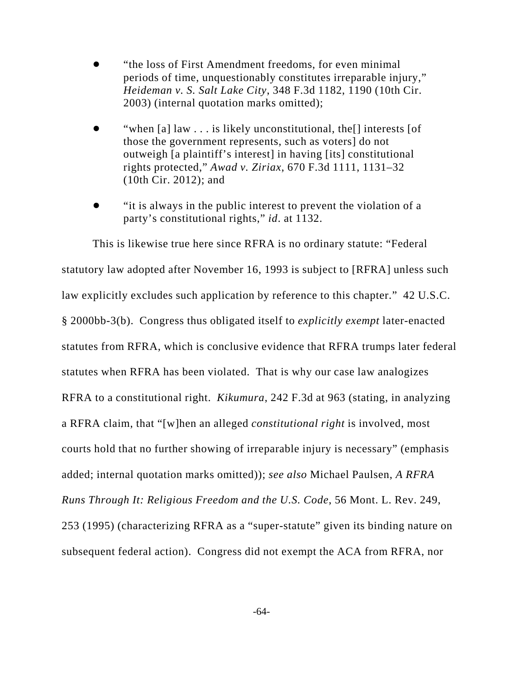- ! "the loss of First Amendment freedoms, for even minimal periods of time, unquestionably constitutes irreparable injury," *Heideman v. S. Salt Lake City*, 348 F.3d 1182, 1190 (10th Cir. 2003) (internal quotation marks omitted);
- "when [a] law . . . is likely unconstitutional, the<sup>[]</sup> interests [of those the government represents, such as voters] do not outweigh [a plaintiff's interest] in having [its] constitutional rights protected," *Awad v. Ziriax*, 670 F.3d 1111, 1131–32 (10th Cir. 2012); and
- ! "it is always in the public interest to prevent the violation of a party's constitutional rights," *id*. at 1132.

This is likewise true here since RFRA is no ordinary statute: "Federal statutory law adopted after November 16, 1993 is subject to [RFRA] unless such law explicitly excludes such application by reference to this chapter." 42 U.S.C. § 2000bb-3(b). Congress thus obligated itself to *explicitly exempt* later-enacted statutes from RFRA, which is conclusive evidence that RFRA trumps later federal statutes when RFRA has been violated. That is why our case law analogizes RFRA to a constitutional right. *Kikumura*, 242 F.3d at 963 (stating, in analyzing a RFRA claim, that "[w]hen an alleged *constitutional right* is involved, most courts hold that no further showing of irreparable injury is necessary" (emphasis added; internal quotation marks omitted)); *see also* Michael Paulsen, *A RFRA Runs Through It: Religious Freedom and the U.S. Code*, 56 Mont. L. Rev. 249, 253 (1995) (characterizing RFRA as a "super-statute" given its binding nature on subsequent federal action). Congress did not exempt the ACA from RFRA, nor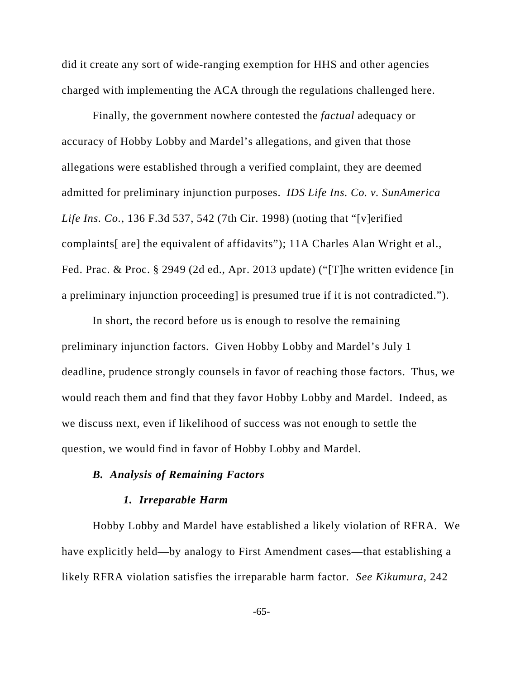did it create any sort of wide-ranging exemption for HHS and other agencies charged with implementing the ACA through the regulations challenged here.

Finally, the government nowhere contested the *factual* adequacy or accuracy of Hobby Lobby and Mardel's allegations, and given that those allegations were established through a verified complaint, they are deemed admitted for preliminary injunction purposes. *IDS Life Ins. Co. v. SunAmerica Life Ins. Co.*, 136 F.3d 537, 542 (7th Cir. 1998) (noting that "[v]erified complaints[ are] the equivalent of affidavits"); 11A Charles Alan Wright et al., Fed. Prac. & Proc. § 2949 (2d ed., Apr. 2013 update) ("[T]he written evidence [in a preliminary injunction proceeding] is presumed true if it is not contradicted.").

In short, the record before us is enough to resolve the remaining preliminary injunction factors. Given Hobby Lobby and Mardel's July 1 deadline, prudence strongly counsels in favor of reaching those factors. Thus, we would reach them and find that they favor Hobby Lobby and Mardel. Indeed, as we discuss next, even if likelihood of success was not enough to settle the question, we would find in favor of Hobby Lobby and Mardel.

# *B. Analysis of Remaining Factors*

## *1. Irreparable Harm*

Hobby Lobby and Mardel have established a likely violation of RFRA. We have explicitly held—by analogy to First Amendment cases—that establishing a likely RFRA violation satisfies the irreparable harm factor. *See Kikumura*, 242

-65-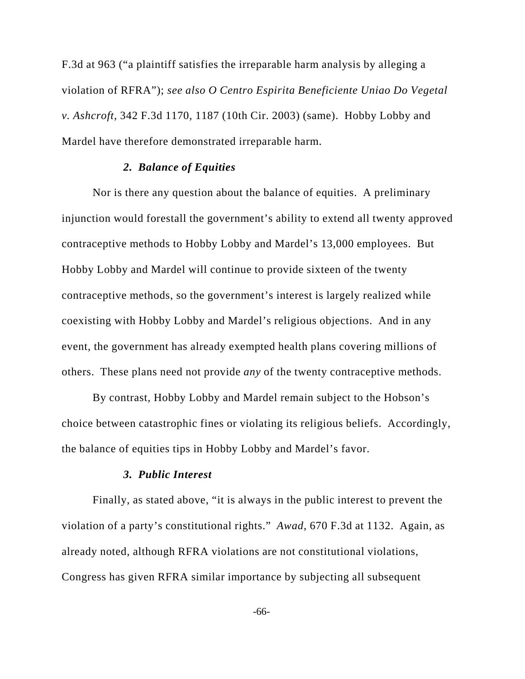F.3d at 963 ("a plaintiff satisfies the irreparable harm analysis by alleging a violation of RFRA"); *see also O Centro Espirita Beneficiente Uniao Do Vegetal v. Ashcroft*, 342 F.3d 1170, 1187 (10th Cir. 2003) (same). Hobby Lobby and Mardel have therefore demonstrated irreparable harm.

## *2. Balance of Equities*

Nor is there any question about the balance of equities. A preliminary injunction would forestall the government's ability to extend all twenty approved contraceptive methods to Hobby Lobby and Mardel's 13,000 employees. But Hobby Lobby and Mardel will continue to provide sixteen of the twenty contraceptive methods, so the government's interest is largely realized while coexisting with Hobby Lobby and Mardel's religious objections. And in any event, the government has already exempted health plans covering millions of others. These plans need not provide *any* of the twenty contraceptive methods.

By contrast, Hobby Lobby and Mardel remain subject to the Hobson's choice between catastrophic fines or violating its religious beliefs. Accordingly, the balance of equities tips in Hobby Lobby and Mardel's favor.

### *3. Public Interest*

Finally, as stated above, "it is always in the public interest to prevent the violation of a party's constitutional rights." *Awad*, 670 F.3d at 1132. Again, as already noted, although RFRA violations are not constitutional violations, Congress has given RFRA similar importance by subjecting all subsequent

-66-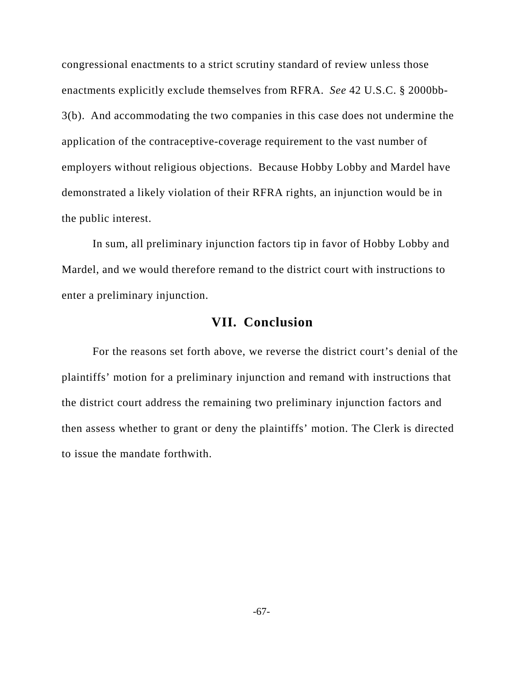congressional enactments to a strict scrutiny standard of review unless those enactments explicitly exclude themselves from RFRA. *See* 42 U.S.C. § 2000bb-3(b). And accommodating the two companies in this case does not undermine the application of the contraceptive-coverage requirement to the vast number of employers without religious objections. Because Hobby Lobby and Mardel have demonstrated a likely violation of their RFRA rights, an injunction would be in the public interest.

In sum, all preliminary injunction factors tip in favor of Hobby Lobby and Mardel, and we would therefore remand to the district court with instructions to enter a preliminary injunction.

# **VII. Conclusion**

For the reasons set forth above, we reverse the district court's denial of the plaintiffs' motion for a preliminary injunction and remand with instructions that the district court address the remaining two preliminary injunction factors and then assess whether to grant or deny the plaintiffs' motion. The Clerk is directed to issue the mandate forthwith.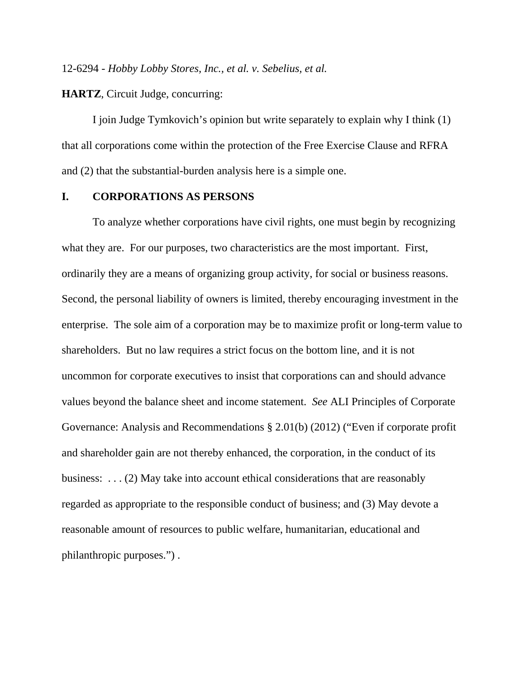12-6294 - *Hobby Lobby Stores, Inc., et al. v. Sebelius, et al.*

**HARTZ**, Circuit Judge, concurring:

I join Judge Tymkovich's opinion but write separately to explain why I think (1) that all corporations come within the protection of the Free Exercise Clause and RFRA and (2) that the substantial-burden analysis here is a simple one.

### **I. CORPORATIONS AS PERSONS**

To analyze whether corporations have civil rights, one must begin by recognizing what they are. For our purposes, two characteristics are the most important. First, ordinarily they are a means of organizing group activity, for social or business reasons. Second, the personal liability of owners is limited, thereby encouraging investment in the enterprise. The sole aim of a corporation may be to maximize profit or long-term value to shareholders. But no law requires a strict focus on the bottom line, and it is not uncommon for corporate executives to insist that corporations can and should advance values beyond the balance sheet and income statement. *See* ALI Principles of Corporate Governance: Analysis and Recommendations § 2.01(b) (2012) ("Even if corporate profit and shareholder gain are not thereby enhanced, the corporation, in the conduct of its business: . . . (2) May take into account ethical considerations that are reasonably regarded as appropriate to the responsible conduct of business; and (3) May devote a reasonable amount of resources to public welfare, humanitarian, educational and philanthropic purposes.") .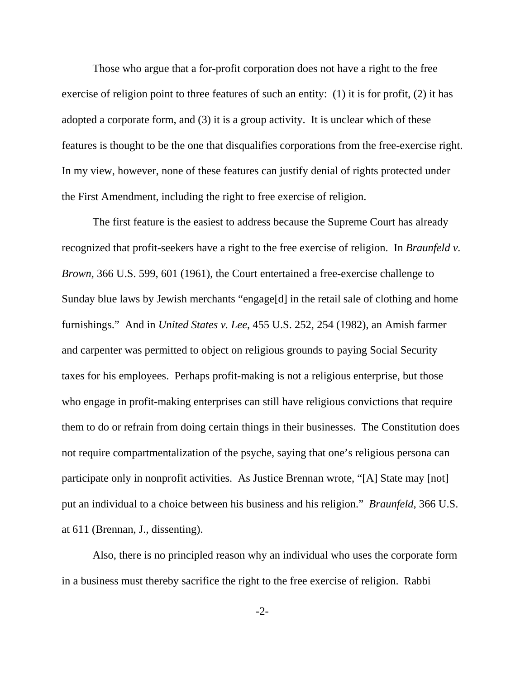Those who argue that a for-profit corporation does not have a right to the free exercise of religion point to three features of such an entity: (1) it is for profit, (2) it has adopted a corporate form, and (3) it is a group activity. It is unclear which of these features is thought to be the one that disqualifies corporations from the free-exercise right. In my view, however, none of these features can justify denial of rights protected under the First Amendment, including the right to free exercise of religion.

The first feature is the easiest to address because the Supreme Court has already recognized that profit-seekers have a right to the free exercise of religion. In *Braunfeld v. Brown*, 366 U.S. 599, 601 (1961), the Court entertained a free-exercise challenge to Sunday blue laws by Jewish merchants "engage[d] in the retail sale of clothing and home furnishings." And in *United States v. Lee*, 455 U.S. 252, 254 (1982), an Amish farmer and carpenter was permitted to object on religious grounds to paying Social Security taxes for his employees. Perhaps profit-making is not a religious enterprise, but those who engage in profit-making enterprises can still have religious convictions that require them to do or refrain from doing certain things in their businesses. The Constitution does not require compartmentalization of the psyche, saying that one's religious persona can participate only in nonprofit activities. As Justice Brennan wrote, "[A] State may [not] put an individual to a choice between his business and his religion." *Braunfeld*, 366 U.S. at 611 (Brennan, J., dissenting).

Also, there is no principled reason why an individual who uses the corporate form in a business must thereby sacrifice the right to the free exercise of religion. Rabbi

-2-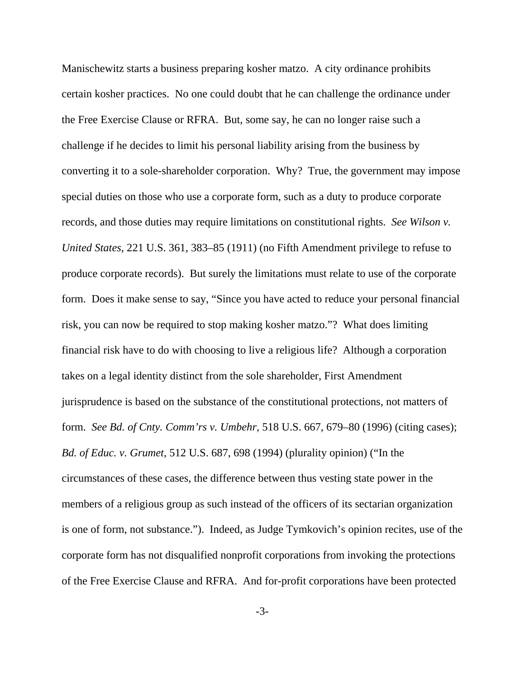Manischewitz starts a business preparing kosher matzo. A city ordinance prohibits certain kosher practices. No one could doubt that he can challenge the ordinance under the Free Exercise Clause or RFRA. But, some say, he can no longer raise such a challenge if he decides to limit his personal liability arising from the business by converting it to a sole-shareholder corporation. Why? True, the government may impose special duties on those who use a corporate form, such as a duty to produce corporate records, and those duties may require limitations on constitutional rights. *See Wilson v. United States*, 221 U.S. 361, 383–85 (1911) (no Fifth Amendment privilege to refuse to produce corporate records). But surely the limitations must relate to use of the corporate form. Does it make sense to say, "Since you have acted to reduce your personal financial risk, you can now be required to stop making kosher matzo."? What does limiting financial risk have to do with choosing to live a religious life? Although a corporation takes on a legal identity distinct from the sole shareholder, First Amendment jurisprudence is based on the substance of the constitutional protections, not matters of form. *See Bd. of Cnty. Comm'rs v. Umbehr*, 518 U.S. 667, 679–80 (1996) (citing cases); *Bd. of Educ. v. Grumet*, 512 U.S. 687, 698 (1994) (plurality opinion) ("In the circumstances of these cases, the difference between thus vesting state power in the members of a religious group as such instead of the officers of its sectarian organization is one of form, not substance."). Indeed, as Judge Tymkovich's opinion recites, use of the corporate form has not disqualified nonprofit corporations from invoking the protections of the Free Exercise Clause and RFRA. And for-profit corporations have been protected

-3-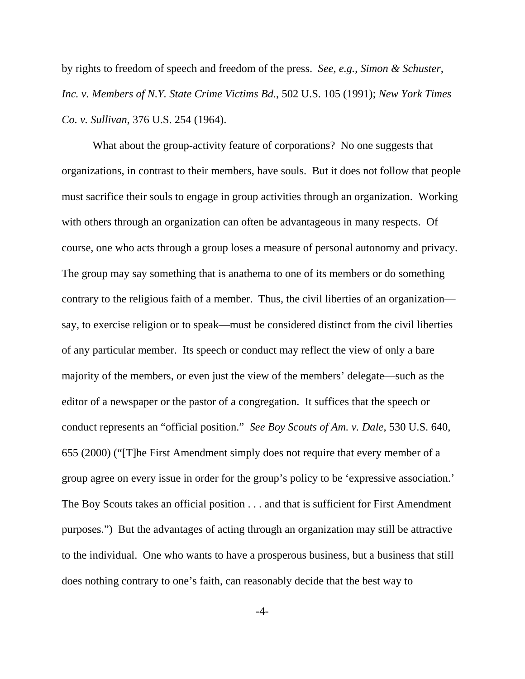by rights to freedom of speech and freedom of the press. *See, e.g.*, *Simon & Schuster, Inc. v. Members of N.Y. State Crime Victims Bd.*, 502 U.S. 105 (1991); *New York Times Co. v. Sullivan*, 376 U.S. 254 (1964).

What about the group-activity feature of corporations? No one suggests that organizations, in contrast to their members, have souls. But it does not follow that people must sacrifice their souls to engage in group activities through an organization. Working with others through an organization can often be advantageous in many respects. Of course, one who acts through a group loses a measure of personal autonomy and privacy. The group may say something that is anathema to one of its members or do something contrary to the religious faith of a member. Thus, the civil liberties of an organization say, to exercise religion or to speak—must be considered distinct from the civil liberties of any particular member. Its speech or conduct may reflect the view of only a bare majority of the members, or even just the view of the members' delegate—such as the editor of a newspaper or the pastor of a congregation. It suffices that the speech or conduct represents an "official position." *See Boy Scouts of Am. v. Dale*, 530 U.S. 640, 655 (2000) ("[T]he First Amendment simply does not require that every member of a group agree on every issue in order for the group's policy to be 'expressive association.' The Boy Scouts takes an official position . . . and that is sufficient for First Amendment purposes.") But the advantages of acting through an organization may still be attractive to the individual. One who wants to have a prosperous business, but a business that still does nothing contrary to one's faith, can reasonably decide that the best way to

-4-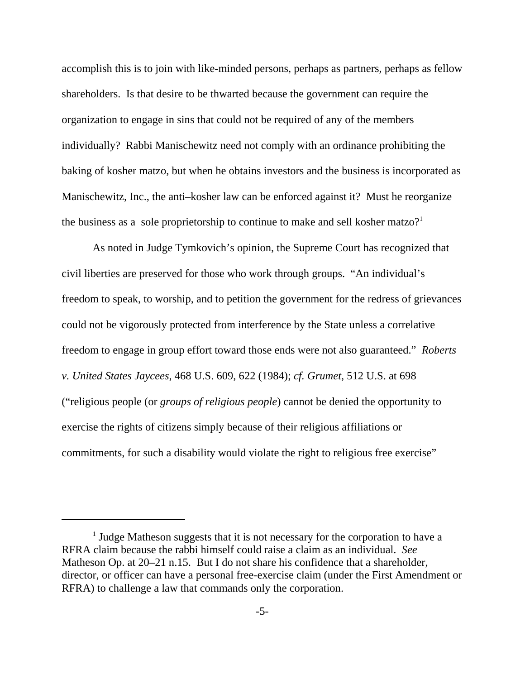accomplish this is to join with like-minded persons, perhaps as partners, perhaps as fellow shareholders. Is that desire to be thwarted because the government can require the organization to engage in sins that could not be required of any of the members individually? Rabbi Manischewitz need not comply with an ordinance prohibiting the baking of kosher matzo, but when he obtains investors and the business is incorporated as Manischewitz, Inc., the anti–kosher law can be enforced against it? Must he reorganize the business as a sole proprietorship to continue to make and sell kosher matzo?<sup>1</sup>

As noted in Judge Tymkovich's opinion, the Supreme Court has recognized that civil liberties are preserved for those who work through groups. "An individual's freedom to speak, to worship, and to petition the government for the redress of grievances could not be vigorously protected from interference by the State unless a correlative freedom to engage in group effort toward those ends were not also guaranteed." *Roberts v. United States Jaycees*, 468 U.S. 609, 622 (1984); *cf. Grumet*, 512 U.S. at 698 ("religious people (or *groups of religious people*) cannot be denied the opportunity to exercise the rights of citizens simply because of their religious affiliations or commitments, for such a disability would violate the right to religious free exercise"

<sup>&</sup>lt;sup>1</sup> Judge Matheson suggests that it is not necessary for the corporation to have a RFRA claim because the rabbi himself could raise a claim as an individual. *See* Matheson Op. at 20–21 n.15. But I do not share his confidence that a shareholder, director, or officer can have a personal free-exercise claim (under the First Amendment or RFRA) to challenge a law that commands only the corporation.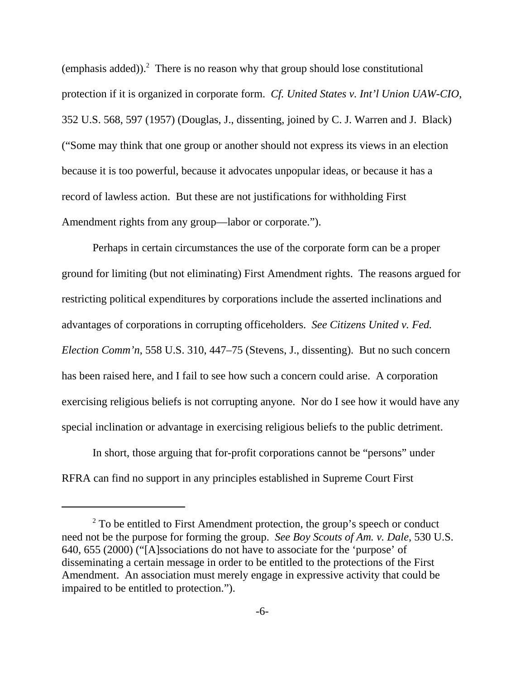(emphasis added)). $^2$  There is no reason why that group should lose constitutional protection if it is organized in corporate form. *Cf. United States v. Int'l Union UAW-CIO*, 352 U.S. 568, 597 (1957) (Douglas, J., dissenting, joined by C. J. Warren and J. Black) ("Some may think that one group or another should not express its views in an election because it is too powerful, because it advocates unpopular ideas, or because it has a record of lawless action. But these are not justifications for withholding First Amendment rights from any group—labor or corporate.").

Perhaps in certain circumstances the use of the corporate form can be a proper ground for limiting (but not eliminating) First Amendment rights. The reasons argued for restricting political expenditures by corporations include the asserted inclinations and advantages of corporations in corrupting officeholders. *See Citizens United v. Fed. Election Comm'n*, 558 U.S. 310, 447–75 (Stevens, J., dissenting). But no such concern has been raised here, and I fail to see how such a concern could arise. A corporation exercising religious beliefs is not corrupting anyone. Nor do I see how it would have any special inclination or advantage in exercising religious beliefs to the public detriment.

In short, those arguing that for-profit corporations cannot be "persons" under RFRA can find no support in any principles established in Supreme Court First

 $2^2$  To be entitled to First Amendment protection, the group's speech or conduct need not be the purpose for forming the group. *See Boy Scouts of Am. v. Dale*, 530 U.S. 640, 655 (2000) ("[A]ssociations do not have to associate for the 'purpose' of disseminating a certain message in order to be entitled to the protections of the First Amendment. An association must merely engage in expressive activity that could be impaired to be entitled to protection.").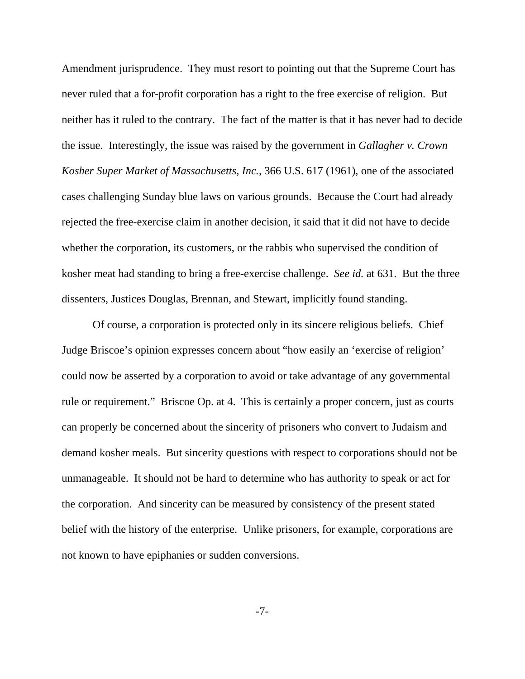Amendment jurisprudence. They must resort to pointing out that the Supreme Court has never ruled that a for-profit corporation has a right to the free exercise of religion. But neither has it ruled to the contrary. The fact of the matter is that it has never had to decide the issue. Interestingly, the issue was raised by the government in *Gallagher v. Crown Kosher Super Market of Massachusetts, Inc.*, 366 U.S. 617 (1961), one of the associated cases challenging Sunday blue laws on various grounds. Because the Court had already rejected the free-exercise claim in another decision, it said that it did not have to decide whether the corporation, its customers, or the rabbis who supervised the condition of kosher meat had standing to bring a free-exercise challenge. *See id.* at 631. But the three dissenters, Justices Douglas, Brennan, and Stewart, implicitly found standing.

Of course, a corporation is protected only in its sincere religious beliefs. Chief Judge Briscoe's opinion expresses concern about "how easily an 'exercise of religion' could now be asserted by a corporation to avoid or take advantage of any governmental rule or requirement." Briscoe Op. at 4. This is certainly a proper concern, just as courts can properly be concerned about the sincerity of prisoners who convert to Judaism and demand kosher meals. But sincerity questions with respect to corporations should not be unmanageable. It should not be hard to determine who has authority to speak or act for the corporation. And sincerity can be measured by consistency of the present stated belief with the history of the enterprise. Unlike prisoners, for example, corporations are not known to have epiphanies or sudden conversions.

-7-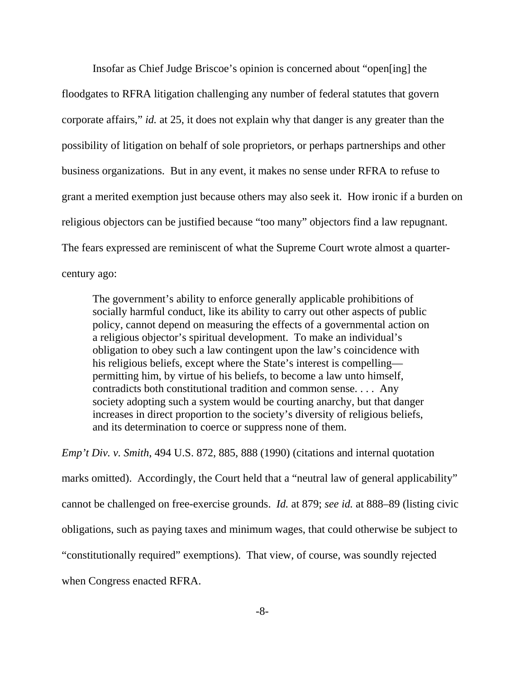Insofar as Chief Judge Briscoe's opinion is concerned about "open[ing] the floodgates to RFRA litigation challenging any number of federal statutes that govern corporate affairs," *id.* at 25, it does not explain why that danger is any greater than the possibility of litigation on behalf of sole proprietors, or perhaps partnerships and other business organizations. But in any event, it makes no sense under RFRA to refuse to grant a merited exemption just because others may also seek it. How ironic if a burden on religious objectors can be justified because "too many" objectors find a law repugnant. The fears expressed are reminiscent of what the Supreme Court wrote almost a quartercentury ago:

The government's ability to enforce generally applicable prohibitions of socially harmful conduct, like its ability to carry out other aspects of public policy, cannot depend on measuring the effects of a governmental action on a religious objector's spiritual development. To make an individual's obligation to obey such a law contingent upon the law's coincidence with his religious beliefs, except where the State's interest is compelling permitting him, by virtue of his beliefs, to become a law unto himself, contradicts both constitutional tradition and common sense. . . . Any society adopting such a system would be courting anarchy, but that danger increases in direct proportion to the society's diversity of religious beliefs, and its determination to coerce or suppress none of them.

*Emp't Div. v. Smith*, 494 U.S. 872, 885, 888 (1990) (citations and internal quotation marks omitted). Accordingly, the Court held that a "neutral law of general applicability" cannot be challenged on free-exercise grounds. *Id.* at 879; *see id.* at 888–89 (listing civic obligations, such as paying taxes and minimum wages, that could otherwise be subject to "constitutionally required" exemptions). That view, of course, was soundly rejected when Congress enacted RFRA.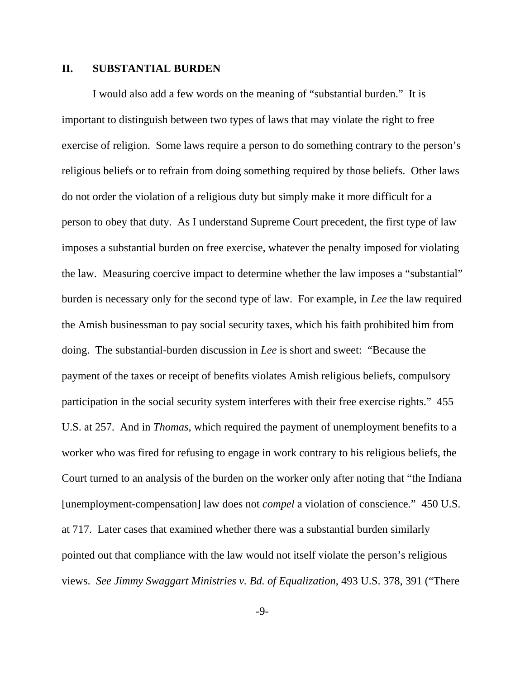### **II. SUBSTANTIAL BURDEN**

I would also add a few words on the meaning of "substantial burden." It is important to distinguish between two types of laws that may violate the right to free exercise of religion. Some laws require a person to do something contrary to the person's religious beliefs or to refrain from doing something required by those beliefs. Other laws do not order the violation of a religious duty but simply make it more difficult for a person to obey that duty. As I understand Supreme Court precedent, the first type of law imposes a substantial burden on free exercise, whatever the penalty imposed for violating the law. Measuring coercive impact to determine whether the law imposes a "substantial" burden is necessary only for the second type of law. For example, in *Lee* the law required the Amish businessman to pay social security taxes, which his faith prohibited him from doing. The substantial-burden discussion in *Lee* is short and sweet: "Because the payment of the taxes or receipt of benefits violates Amish religious beliefs, compulsory participation in the social security system interferes with their free exercise rights." 455 U.S. at 257. And in *Thomas*, which required the payment of unemployment benefits to a worker who was fired for refusing to engage in work contrary to his religious beliefs, the Court turned to an analysis of the burden on the worker only after noting that "the Indiana [unemployment-compensation] law does not *compel* a violation of conscience." 450 U.S. at 717. Later cases that examined whether there was a substantial burden similarly pointed out that compliance with the law would not itself violate the person's religious views. *See Jimmy Swaggart Ministries v. Bd. of Equalization*, 493 U.S. 378, 391 ("There

-9-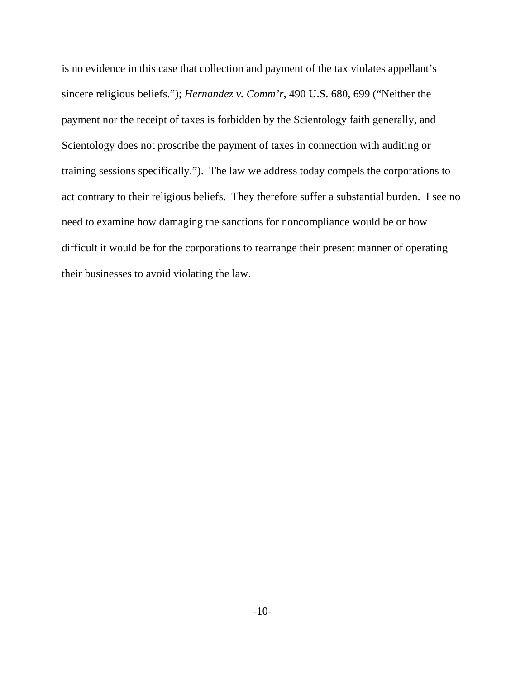is no evidence in this case that collection and payment of the tax violates appellant's sincere religious beliefs."); *Hernandez v. Comm'r*, 490 U.S. 680, 699 ("Neither the payment nor the receipt of taxes is forbidden by the Scientology faith generally, and Scientology does not proscribe the payment of taxes in connection with auditing or training sessions specifically."). The law we address today compels the corporations to act contrary to their religious beliefs. They therefore suffer a substantial burden. I see no need to examine how damaging the sanctions for noncompliance would be or how difficult it would be for the corporations to rearrange their present manner of operating their businesses to avoid violating the law.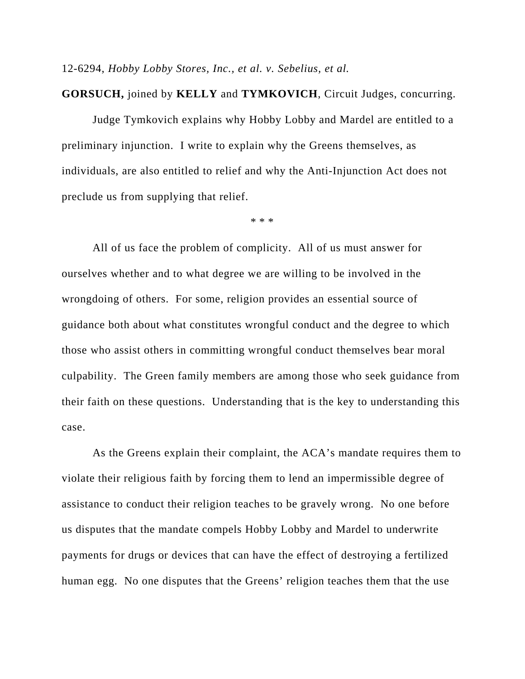12-6294, *Hobby Lobby Stores, Inc., et al. v. Sebelius, et al.*

#### **GORSUCH,** joined by **KELLY** and **TYMKOVICH**, Circuit Judges, concurring.

Judge Tymkovich explains why Hobby Lobby and Mardel are entitled to a preliminary injunction. I write to explain why the Greens themselves, as individuals, are also entitled to relief and why the Anti-Injunction Act does not preclude us from supplying that relief.

\* \* \*

All of us face the problem of complicity. All of us must answer for ourselves whether and to what degree we are willing to be involved in the wrongdoing of others. For some, religion provides an essential source of guidance both about what constitutes wrongful conduct and the degree to which those who assist others in committing wrongful conduct themselves bear moral culpability. The Green family members are among those who seek guidance from their faith on these questions. Understanding that is the key to understanding this case.

As the Greens explain their complaint, the ACA's mandate requires them to violate their religious faith by forcing them to lend an impermissible degree of assistance to conduct their religion teaches to be gravely wrong. No one before us disputes that the mandate compels Hobby Lobby and Mardel to underwrite payments for drugs or devices that can have the effect of destroying a fertilized human egg. No one disputes that the Greens' religion teaches them that the use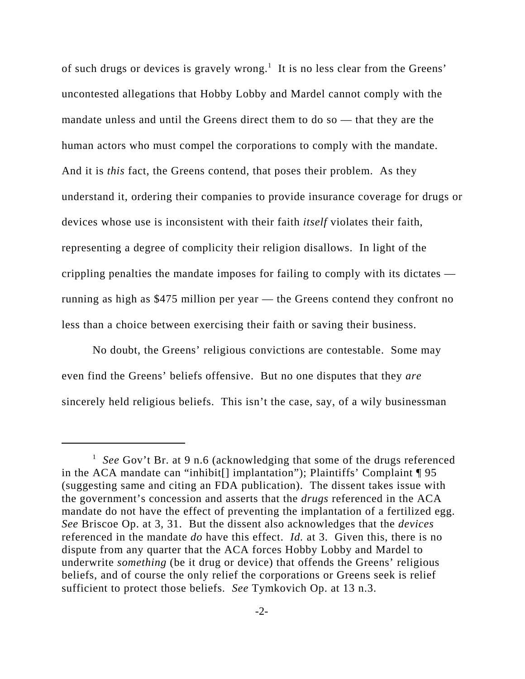of such drugs or devices is gravely wrong.<sup>1</sup> It is no less clear from the Greens' uncontested allegations that Hobby Lobby and Mardel cannot comply with the mandate unless and until the Greens direct them to do so — that they are the human actors who must compel the corporations to comply with the mandate. And it is *this* fact, the Greens contend, that poses their problem. As they understand it, ordering their companies to provide insurance coverage for drugs or devices whose use is inconsistent with their faith *itself* violates their faith, representing a degree of complicity their religion disallows. In light of the crippling penalties the mandate imposes for failing to comply with its dictates running as high as \$475 million per year — the Greens contend they confront no less than a choice between exercising their faith or saving their business.

No doubt, the Greens' religious convictions are contestable. Some may even find the Greens' beliefs offensive. But no one disputes that they *are* sincerely held religious beliefs. This isn't the case, say, of a wily businessman

<sup>&</sup>lt;sup>1</sup> See Gov't Br. at 9 n.6 (acknowledging that some of the drugs referenced in the ACA mandate can "inhibit[] implantation"); Plaintiffs' Complaint ¶ 95 (suggesting same and citing an FDA publication). The dissent takes issue with the government's concession and asserts that the *drugs* referenced in the ACA mandate do not have the effect of preventing the implantation of a fertilized egg. *See* Briscoe Op. at 3, 31. But the dissent also acknowledges that the *devices* referenced in the mandate *do* have this effect. *Id.* at 3. Given this, there is no dispute from any quarter that the ACA forces Hobby Lobby and Mardel to underwrite *something* (be it drug or device) that offends the Greens' religious beliefs, and of course the only relief the corporations or Greens seek is relief sufficient to protect those beliefs. *See* Tymkovich Op. at 13 n.3.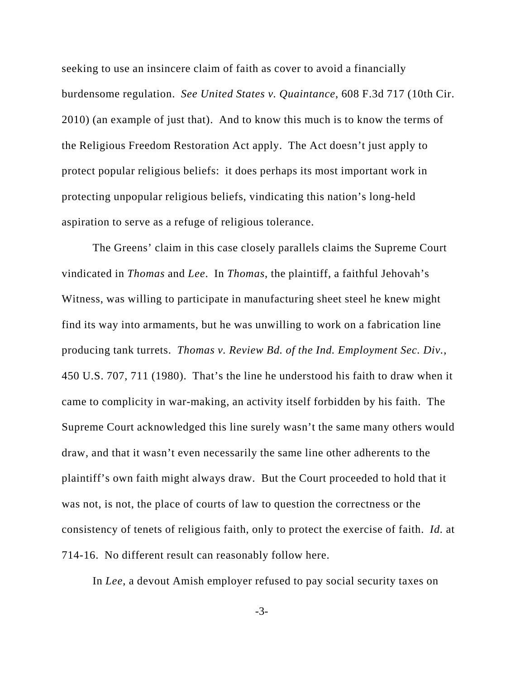seeking to use an insincere claim of faith as cover to avoid a financially burdensome regulation. *See United States v. Quaintance*, 608 F.3d 717 (10th Cir. 2010) (an example of just that). And to know this much is to know the terms of the Religious Freedom Restoration Act apply. The Act doesn't just apply to protect popular religious beliefs: it does perhaps its most important work in protecting unpopular religious beliefs, vindicating this nation's long-held aspiration to serve as a refuge of religious tolerance.

The Greens' claim in this case closely parallels claims the Supreme Court vindicated in *Thomas* and *Lee*. In *Thomas*, the plaintiff, a faithful Jehovah's Witness, was willing to participate in manufacturing sheet steel he knew might find its way into armaments, but he was unwilling to work on a fabrication line producing tank turrets. *Thomas v. Review Bd. of the Ind. Employment Sec. Div.*, 450 U.S. 707, 711 (1980). That's the line he understood his faith to draw when it came to complicity in war-making, an activity itself forbidden by his faith. The Supreme Court acknowledged this line surely wasn't the same many others would draw, and that it wasn't even necessarily the same line other adherents to the plaintiff's own faith might always draw. But the Court proceeded to hold that it was not, is not, the place of courts of law to question the correctness or the consistency of tenets of religious faith, only to protect the exercise of faith. *Id.* at 714-16. No different result can reasonably follow here.

In *Lee*, a devout Amish employer refused to pay social security taxes on

-3-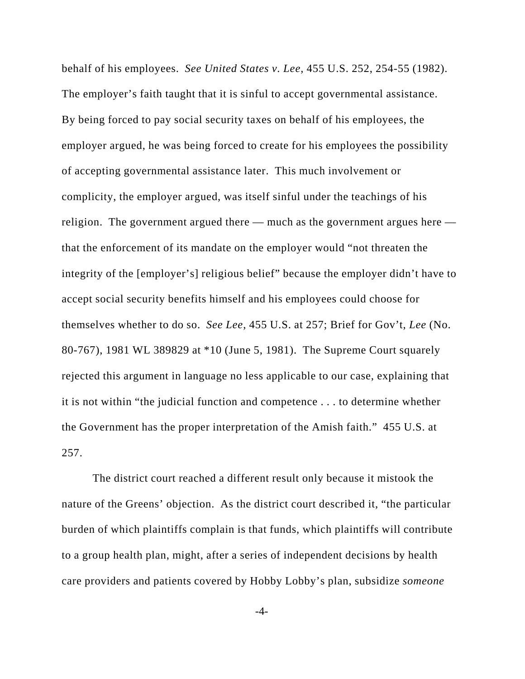behalf of his employees. *See United States v. Lee*, 455 U.S. 252, 254-55 (1982). The employer's faith taught that it is sinful to accept governmental assistance. By being forced to pay social security taxes on behalf of his employees, the employer argued, he was being forced to create for his employees the possibility of accepting governmental assistance later. This much involvement or complicity, the employer argued, was itself sinful under the teachings of his religion. The government argued there — much as the government argues here that the enforcement of its mandate on the employer would "not threaten the integrity of the [employer's] religious belief" because the employer didn't have to accept social security benefits himself and his employees could choose for themselves whether to do so. *See Lee*, 455 U.S. at 257; Brief for Gov't, *Lee* (No. 80-767), 1981 WL 389829 at \*10 (June 5, 1981). The Supreme Court squarely rejected this argument in language no less applicable to our case, explaining that it is not within "the judicial function and competence . . . to determine whether the Government has the proper interpretation of the Amish faith." 455 U.S. at 257.

The district court reached a different result only because it mistook the nature of the Greens' objection. As the district court described it, "the particular burden of which plaintiffs complain is that funds, which plaintiffs will contribute to a group health plan, might, after a series of independent decisions by health care providers and patients covered by Hobby Lobby's plan, subsidize *someone*

-4-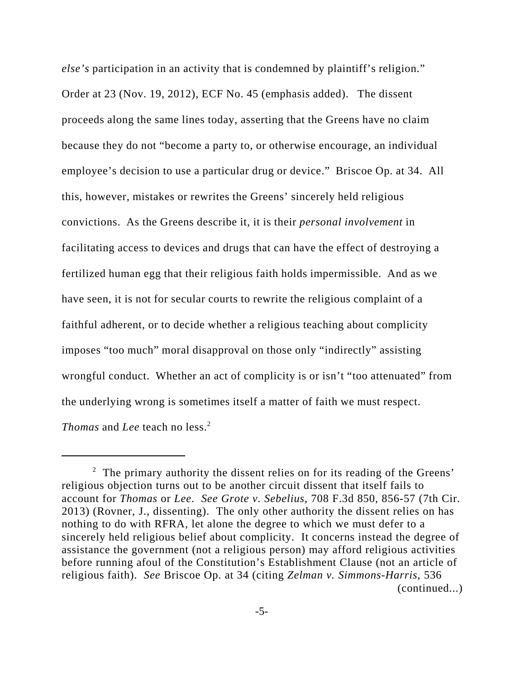*else's* participation in an activity that is condemned by plaintiff's religion." Order at 23 (Nov. 19, 2012), ECF No. 45 (emphasis added). The dissent proceeds along the same lines today, asserting that the Greens have no claim because they do not "become a party to, or otherwise encourage, an individual employee's decision to use a particular drug or device." Briscoe Op. at 34. All this, however, mistakes or rewrites the Greens' sincerely held religious convictions. As the Greens describe it, it is their *personal involvement* in facilitating access to devices and drugs that can have the effect of destroying a fertilized human egg that their religious faith holds impermissible. And as we have seen, it is not for secular courts to rewrite the religious complaint of a faithful adherent, or to decide whether a religious teaching about complicity imposes "too much" moral disapproval on those only "indirectly" assisting wrongful conduct. Whether an act of complicity is or isn't "too attenuated" from the underlying wrong is sometimes itself a matter of faith we must respect. *Thomas* and *Lee* teach no less.<sup>2</sup>

 $2$  The primary authority the dissent relies on for its reading of the Greens' religious objection turns out to be another circuit dissent that itself fails to account for *Thomas* or *Lee*. *See Grote v. Sebelius*, 708 F.3d 850, 856-57 (7th Cir. 2013) (Rovner, J., dissenting). The only other authority the dissent relies on has nothing to do with RFRA, let alone the degree to which we must defer to a sincerely held religious belief about complicity. It concerns instead the degree of assistance the government (not a religious person) may afford religious activities before running afoul of the Constitution's Establishment Clause (not an article of religious faith). *See* Briscoe Op. at 34 (citing *Zelman v. Simmons-Harris*, 536 (continued...)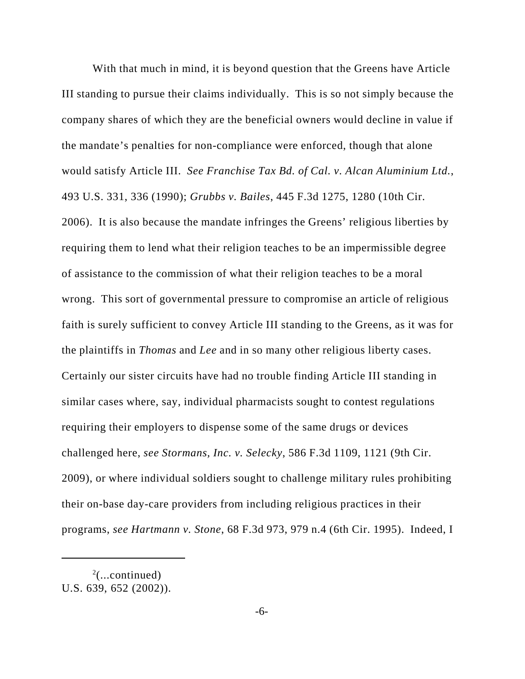With that much in mind, it is beyond question that the Greens have Article III standing to pursue their claims individually. This is so not simply because the company shares of which they are the beneficial owners would decline in value if the mandate's penalties for non-compliance were enforced, though that alone would satisfy Article III. *See Franchise Tax Bd. of Cal. v. Alcan Aluminium Ltd.*, 493 U.S. 331, 336 (1990); *Grubbs v. Bailes*, 445 F.3d 1275, 1280 (10th Cir. 2006). It is also because the mandate infringes the Greens' religious liberties by requiring them to lend what their religion teaches to be an impermissible degree of assistance to the commission of what their religion teaches to be a moral wrong. This sort of governmental pressure to compromise an article of religious faith is surely sufficient to convey Article III standing to the Greens, as it was for the plaintiffs in *Thomas* and *Lee* and in so many other religious liberty cases. Certainly our sister circuits have had no trouble finding Article III standing in similar cases where, say, individual pharmacists sought to contest regulations requiring their employers to dispense some of the same drugs or devices challenged here, *see Stormans, Inc. v. Selecky*, 586 F.3d 1109, 1121 (9th Cir. 2009), or where individual soldiers sought to challenge military rules prohibiting their on-base day-care providers from including religious practices in their programs, *see Hartmann v. Stone*, 68 F.3d 973, 979 n.4 (6th Cir. 1995). Indeed, I

 $2$ (...continued) U.S. 639, 652 (2002)).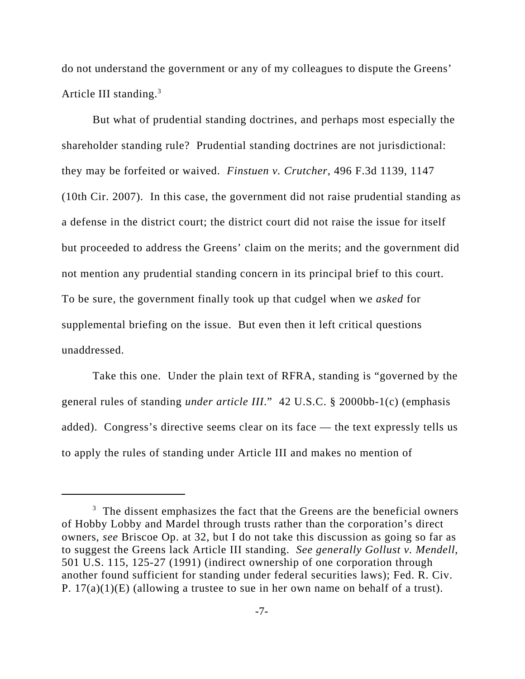do not understand the government or any of my colleagues to dispute the Greens' Article III standing.3

But what of prudential standing doctrines, and perhaps most especially the shareholder standing rule? Prudential standing doctrines are not jurisdictional: they may be forfeited or waived. *Finstuen v. Crutcher*, 496 F.3d 1139, 1147 (10th Cir. 2007). In this case, the government did not raise prudential standing as a defense in the district court; the district court did not raise the issue for itself but proceeded to address the Greens' claim on the merits; and the government did not mention any prudential standing concern in its principal brief to this court. To be sure, the government finally took up that cudgel when we *asked* for supplemental briefing on the issue. But even then it left critical questions unaddressed.

Take this one. Under the plain text of RFRA, standing is "governed by the general rules of standing *under article III*." 42 U.S.C. § 2000bb-1(c) (emphasis added). Congress's directive seems clear on its face — the text expressly tells us to apply the rules of standing under Article III and makes no mention of

 $3$  The dissent emphasizes the fact that the Greens are the beneficial owners of Hobby Lobby and Mardel through trusts rather than the corporation's direct owners, *see* Briscoe Op. at 32, but I do not take this discussion as going so far as to suggest the Greens lack Article III standing. *See generally Gollust v. Mendell*, 501 U.S. 115, 125-27 (1991) (indirect ownership of one corporation through another found sufficient for standing under federal securities laws); Fed. R. Civ. P. 17(a)(1)(E) (allowing a trustee to sue in her own name on behalf of a trust).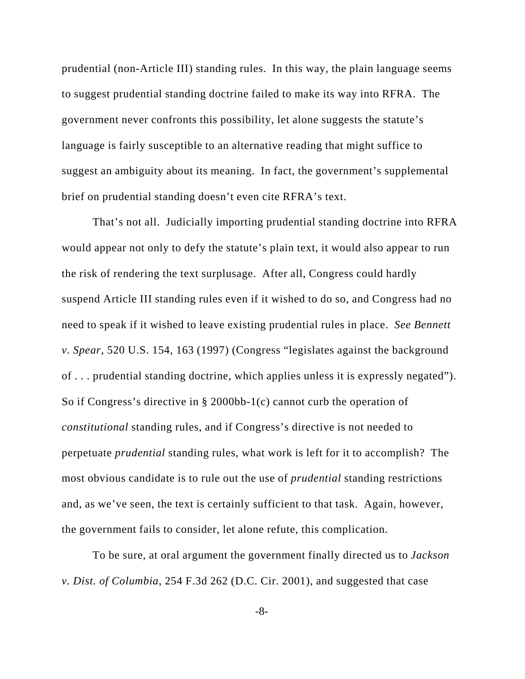prudential (non-Article III) standing rules. In this way, the plain language seems to suggest prudential standing doctrine failed to make its way into RFRA. The government never confronts this possibility, let alone suggests the statute's language is fairly susceptible to an alternative reading that might suffice to suggest an ambiguity about its meaning. In fact, the government's supplemental brief on prudential standing doesn't even cite RFRA's text.

That's not all. Judicially importing prudential standing doctrine into RFRA would appear not only to defy the statute's plain text, it would also appear to run the risk of rendering the text surplusage. After all, Congress could hardly suspend Article III standing rules even if it wished to do so, and Congress had no need to speak if it wished to leave existing prudential rules in place. *See Bennett v. Spear*, 520 U.S. 154, 163 (1997) (Congress "legislates against the background of . . . prudential standing doctrine, which applies unless it is expressly negated"). So if Congress's directive in § 2000bb-1(c) cannot curb the operation of *constitutional* standing rules, and if Congress's directive is not needed to perpetuate *prudential* standing rules, what work is left for it to accomplish? The most obvious candidate is to rule out the use of *prudential* standing restrictions and, as we've seen, the text is certainly sufficient to that task. Again, however, the government fails to consider, let alone refute, this complication.

To be sure, at oral argument the government finally directed us to *Jackson v. Dist. of Columbia*, 254 F.3d 262 (D.C. Cir. 2001), and suggested that case

-8-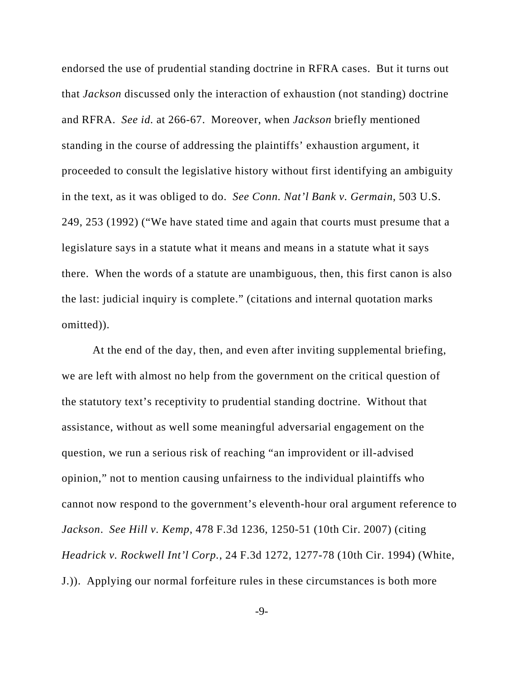endorsed the use of prudential standing doctrine in RFRA cases. But it turns out that *Jackson* discussed only the interaction of exhaustion (not standing) doctrine and RFRA. *See id.* at 266-67. Moreover, when *Jackson* briefly mentioned standing in the course of addressing the plaintiffs' exhaustion argument, it proceeded to consult the legislative history without first identifying an ambiguity in the text, as it was obliged to do. *See Conn. Nat'l Bank v. Germain*, 503 U.S. 249, 253 (1992) ("We have stated time and again that courts must presume that a legislature says in a statute what it means and means in a statute what it says there. When the words of a statute are unambiguous, then, this first canon is also the last: judicial inquiry is complete." (citations and internal quotation marks omitted)).

At the end of the day, then, and even after inviting supplemental briefing, we are left with almost no help from the government on the critical question of the statutory text's receptivity to prudential standing doctrine. Without that assistance, without as well some meaningful adversarial engagement on the question, we run a serious risk of reaching "an improvident or ill-advised opinion," not to mention causing unfairness to the individual plaintiffs who cannot now respond to the government's eleventh-hour oral argument reference to *Jackson*. *See Hill v. Kemp*, 478 F.3d 1236, 1250-51 (10th Cir. 2007) (citing *Headrick v. Rockwell Int'l Corp.*, 24 F.3d 1272, 1277-78 (10th Cir. 1994) (White, J.)). Applying our normal forfeiture rules in these circumstances is both more

-9-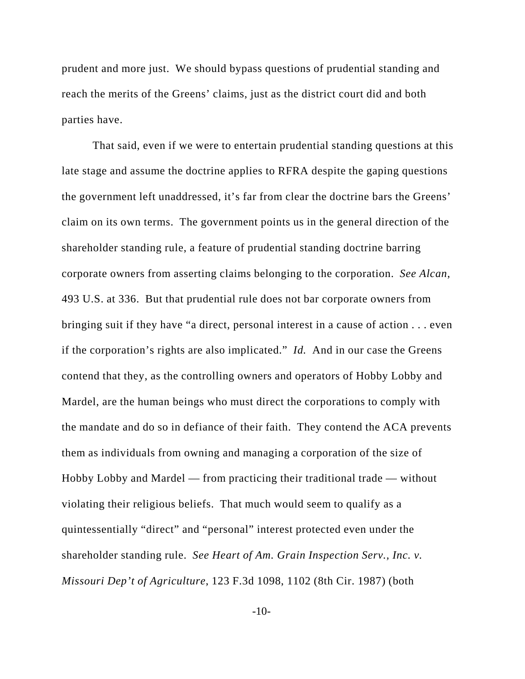prudent and more just. We should bypass questions of prudential standing and reach the merits of the Greens' claims, just as the district court did and both parties have.

That said, even if we were to entertain prudential standing questions at this late stage and assume the doctrine applies to RFRA despite the gaping questions the government left unaddressed, it's far from clear the doctrine bars the Greens' claim on its own terms. The government points us in the general direction of the shareholder standing rule, a feature of prudential standing doctrine barring corporate owners from asserting claims belonging to the corporation. *See Alcan*, 493 U.S. at 336. But that prudential rule does not bar corporate owners from bringing suit if they have "a direct, personal interest in a cause of action . . . even if the corporation's rights are also implicated." *Id.* And in our case the Greens contend that they, as the controlling owners and operators of Hobby Lobby and Mardel, are the human beings who must direct the corporations to comply with the mandate and do so in defiance of their faith. They contend the ACA prevents them as individuals from owning and managing a corporation of the size of Hobby Lobby and Mardel — from practicing their traditional trade — without violating their religious beliefs. That much would seem to qualify as a quintessentially "direct" and "personal" interest protected even under the shareholder standing rule. *See Heart of Am. Grain Inspection Serv., Inc. v. Missouri Dep't of Agriculture*, 123 F.3d 1098, 1102 (8th Cir. 1987) (both

-10-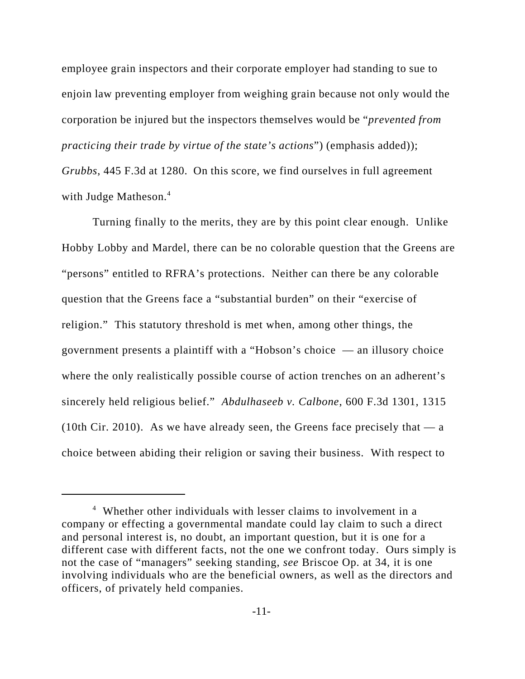employee grain inspectors and their corporate employer had standing to sue to enjoin law preventing employer from weighing grain because not only would the corporation be injured but the inspectors themselves would be "*prevented from practicing their trade by virtue of the state's actions*") (emphasis added)); *Grubbs*, 445 F.3d at 1280. On this score, we find ourselves in full agreement with Judge Matheson.<sup>4</sup>

Turning finally to the merits, they are by this point clear enough. Unlike Hobby Lobby and Mardel, there can be no colorable question that the Greens are "persons" entitled to RFRA's protections. Neither can there be any colorable question that the Greens face a "substantial burden" on their "exercise of religion." This statutory threshold is met when, among other things, the government presents a plaintiff with a "Hobson's choice — an illusory choice where the only realistically possible course of action trenches on an adherent's sincerely held religious belief." *Abdulhaseeb v. Calbone*, 600 F.3d 1301, 1315 (10th Cir. 2010). As we have already seen, the Greens face precisely that  $-a$ choice between abiding their religion or saving their business. With respect to

<sup>4</sup> Whether other individuals with lesser claims to involvement in a company or effecting a governmental mandate could lay claim to such a direct and personal interest is, no doubt, an important question, but it is one for a different case with different facts, not the one we confront today. Ours simply is not the case of "managers" seeking standing, *see* Briscoe Op. at 34, it is one involving individuals who are the beneficial owners, as well as the directors and officers, of privately held companies.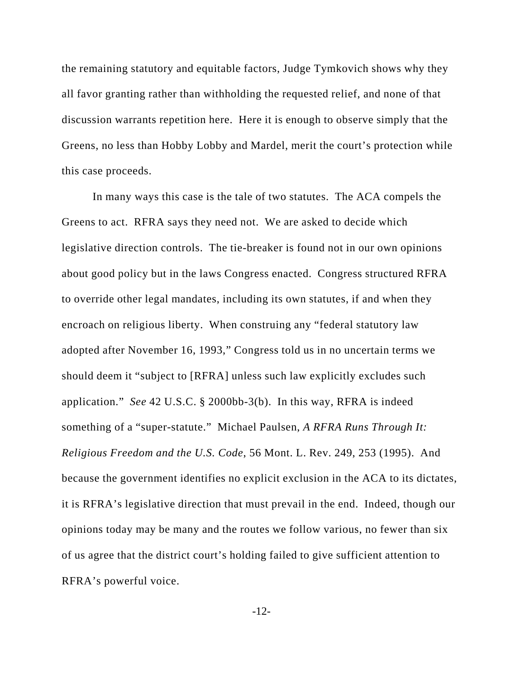the remaining statutory and equitable factors, Judge Tymkovich shows why they all favor granting rather than withholding the requested relief, and none of that discussion warrants repetition here. Here it is enough to observe simply that the Greens, no less than Hobby Lobby and Mardel, merit the court's protection while this case proceeds.

In many ways this case is the tale of two statutes. The ACA compels the Greens to act. RFRA says they need not. We are asked to decide which legislative direction controls. The tie-breaker is found not in our own opinions about good policy but in the laws Congress enacted. Congress structured RFRA to override other legal mandates, including its own statutes, if and when they encroach on religious liberty. When construing any "federal statutory law adopted after November 16, 1993," Congress told us in no uncertain terms we should deem it "subject to [RFRA] unless such law explicitly excludes such application." *See* 42 U.S.C. § 2000bb-3(b). In this way, RFRA is indeed something of a "super-statute." Michael Paulsen, *A RFRA Runs Through It: Religious Freedom and the U.S. Code*, 56 Mont. L. Rev. 249, 253 (1995). And because the government identifies no explicit exclusion in the ACA to its dictates, it is RFRA's legislative direction that must prevail in the end. Indeed, though our opinions today may be many and the routes we follow various, no fewer than six of us agree that the district court's holding failed to give sufficient attention to RFRA's powerful voice.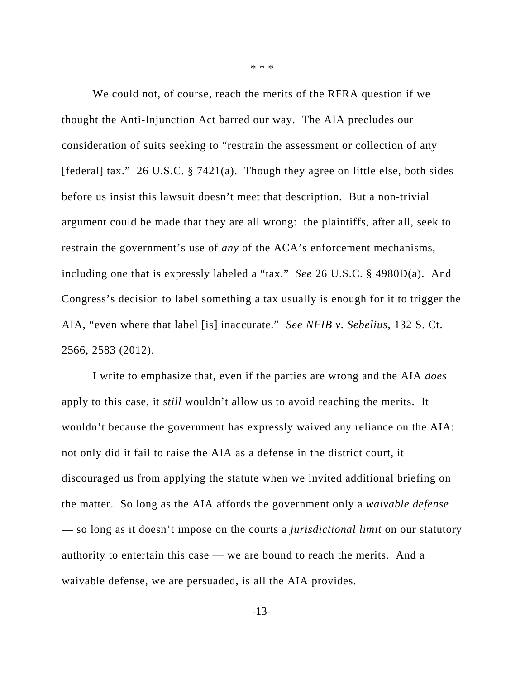We could not, of course, reach the merits of the RFRA question if we thought the Anti-Injunction Act barred our way. The AIA precludes our consideration of suits seeking to "restrain the assessment or collection of any [federal] tax." 26 U.S.C. § 7421(a). Though they agree on little else, both sides before us insist this lawsuit doesn't meet that description. But a non-trivial argument could be made that they are all wrong: the plaintiffs, after all, seek to restrain the government's use of *any* of the ACA's enforcement mechanisms, including one that is expressly labeled a "tax." *See* 26 U.S.C. § 4980D(a). And Congress's decision to label something a tax usually is enough for it to trigger the AIA, "even where that label [is] inaccurate." *See NFIB v. Sebelius*, 132 S. Ct. 2566, 2583 (2012).

I write to emphasize that, even if the parties are wrong and the AIA *does* apply to this case, it *still* wouldn't allow us to avoid reaching the merits. It wouldn't because the government has expressly waived any reliance on the AIA: not only did it fail to raise the AIA as a defense in the district court, it discouraged us from applying the statute when we invited additional briefing on the matter. So long as the AIA affords the government only a *waivable defense* — so long as it doesn't impose on the courts a *jurisdictional limit* on our statutory authority to entertain this case — we are bound to reach the merits. And a waivable defense, we are persuaded, is all the AIA provides.

\* \* \*

-13-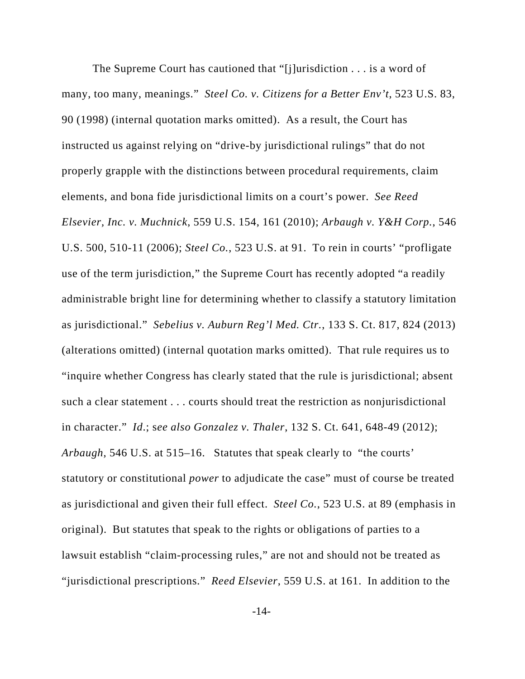The Supreme Court has cautioned that "[j]urisdiction . . . is a word of many, too many, meanings." *Steel Co. v. Citizens for a Better Env't*, 523 U.S. 83, 90 (1998) (internal quotation marks omitted). As a result, the Court has instructed us against relying on "drive-by jurisdictional rulings" that do not properly grapple with the distinctions between procedural requirements, claim elements, and bona fide jurisdictional limits on a court's power. *See Reed Elsevier, Inc. v. Muchnick*, 559 U.S. 154, 161 (2010); *Arbaugh v. Y&H Corp.*, 546 U.S. 500, 510-11 (2006); *Steel Co.*, 523 U.S. at 91. To rein in courts' "profligate use of the term jurisdiction," the Supreme Court has recently adopted "a readily administrable bright line for determining whether to classify a statutory limitation as jurisdictional." *Sebelius v. Auburn Reg'l Med. Ctr.*, 133 S. Ct. 817, 824 (2013) (alterations omitted) (internal quotation marks omitted). That rule requires us to "inquire whether Congress has clearly stated that the rule is jurisdictional; absent such a clear statement . . . courts should treat the restriction as nonjurisdictional in character." *Id*.; s*ee also Gonzalez v. Thaler*, 132 S. Ct. 641, 648-49 (2012); *Arbaugh*, 546 U.S. at 515–16. Statutes that speak clearly to "the courts' statutory or constitutional *power* to adjudicate the case" must of course be treated as jurisdictional and given their full effect. *Steel Co.*, 523 U.S. at 89 (emphasis in original). But statutes that speak to the rights or obligations of parties to a lawsuit establish "claim-processing rules," are not and should not be treated as "jurisdictional prescriptions." *Reed Elsevier*, 559 U.S. at 161. In addition to the

-14-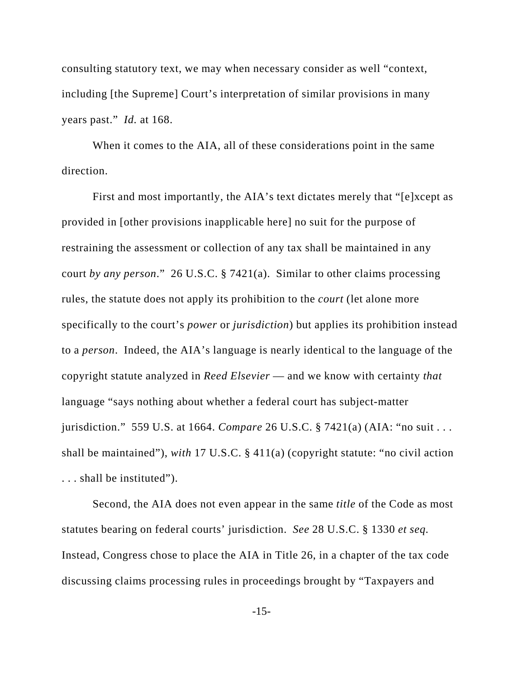consulting statutory text, we may when necessary consider as well "context, including [the Supreme] Court's interpretation of similar provisions in many years past." *Id.* at 168.

When it comes to the AIA, all of these considerations point in the same direction.

First and most importantly, the AIA's text dictates merely that "[e]xcept as provided in [other provisions inapplicable here] no suit for the purpose of restraining the assessment or collection of any tax shall be maintained in any court *by any person*." 26 U.S.C. § 7421(a). Similar to other claims processing rules, the statute does not apply its prohibition to the *court* (let alone more specifically to the court's *power* or *jurisdiction*) but applies its prohibition instead to a *person*. Indeed, the AIA's language is nearly identical to the language of the copyright statute analyzed in *Reed Elsevier* — and we know with certainty *that* language "says nothing about whether a federal court has subject-matter jurisdiction." 559 U.S. at 1664. *Compare* 26 U.S.C. § 7421(a) (AIA: "no suit . . . shall be maintained"), *with* 17 U.S.C. § 411(a) (copyright statute: "no civil action . . . shall be instituted").

Second, the AIA does not even appear in the same *title* of the Code as most statutes bearing on federal courts' jurisdiction. *See* 28 U.S.C. § 1330 *et seq.* Instead, Congress chose to place the AIA in Title 26, in a chapter of the tax code discussing claims processing rules in proceedings brought by "Taxpayers and

-15-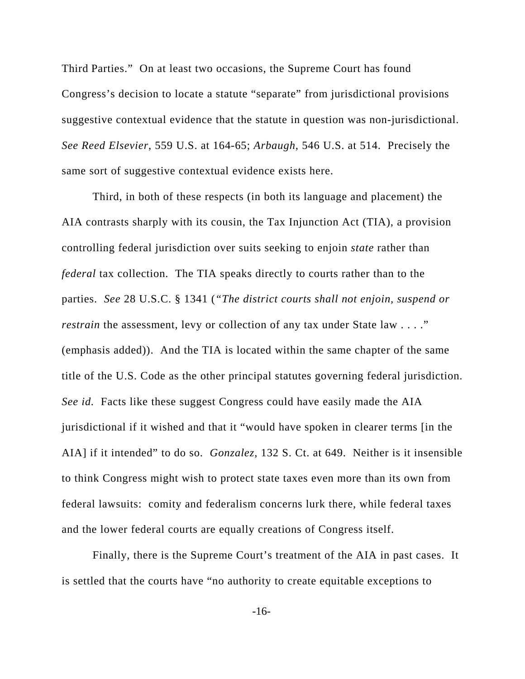Third Parties." On at least two occasions, the Supreme Court has found Congress's decision to locate a statute "separate" from jurisdictional provisions suggestive contextual evidence that the statute in question was non-jurisdictional. *See Reed Elsevier*, 559 U.S. at 164-65; *Arbaugh*, 546 U.S. at 514. Precisely the same sort of suggestive contextual evidence exists here.

Third, in both of these respects (in both its language and placement) the AIA contrasts sharply with its cousin, the Tax Injunction Act (TIA), a provision controlling federal jurisdiction over suits seeking to enjoin *state* rather than *federal* tax collection. The TIA speaks directly to courts rather than to the parties. *See* 28 U.S.C. § 1341 (*"The district courts shall not enjoin, suspend or restrain* the assessment, levy or collection of any tax under State law . . . ." (emphasis added)). And the TIA is located within the same chapter of the same title of the U.S. Code as the other principal statutes governing federal jurisdiction. *See id.* Facts like these suggest Congress could have easily made the AIA jurisdictional if it wished and that it "would have spoken in clearer terms [in the AIA] if it intended" to do so. *Gonzalez*, 132 S. Ct. at 649. Neither is it insensible to think Congress might wish to protect state taxes even more than its own from federal lawsuits: comity and federalism concerns lurk there, while federal taxes and the lower federal courts are equally creations of Congress itself.

Finally, there is the Supreme Court's treatment of the AIA in past cases. It is settled that the courts have "no authority to create equitable exceptions to

-16-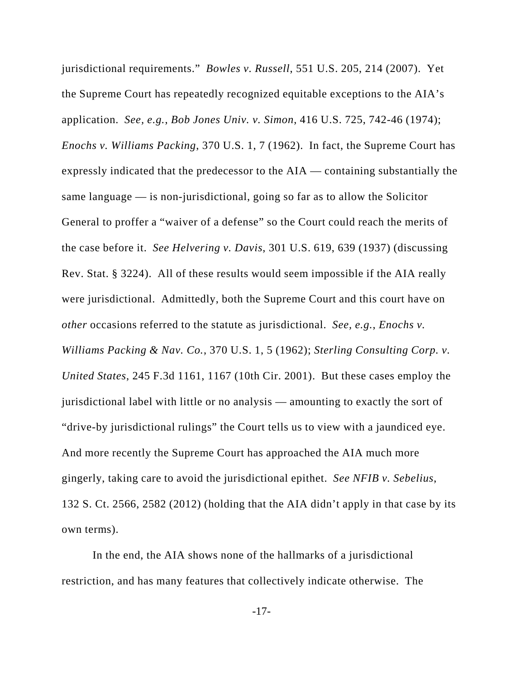jurisdictional requirements." *Bowles v. Russell*, 551 U.S. 205, 214 (2007). Yet the Supreme Court has repeatedly recognized equitable exceptions to the AIA's application. *See, e.g.*, *Bob Jones Univ. v. Simon*, 416 U.S. 725, 742-46 (1974); *Enochs v. Williams Packing*, 370 U.S. 1, 7 (1962). In fact, the Supreme Court has expressly indicated that the predecessor to the AIA — containing substantially the same language — is non-jurisdictional, going so far as to allow the Solicitor General to proffer a "waiver of a defense" so the Court could reach the merits of the case before it. *See Helvering v. Davis*, 301 U.S. 619, 639 (1937) (discussing Rev. Stat. § 3224). All of these results would seem impossible if the AIA really were jurisdictional. Admittedly, both the Supreme Court and this court have on *other* occasions referred to the statute as jurisdictional. *See, e.g.*, *Enochs v. Williams Packing & Nav. Co.*, 370 U.S. 1, 5 (1962); *Sterling Consulting Corp. v. United States*, 245 F.3d 1161, 1167 (10th Cir. 2001). But these cases employ the jurisdictional label with little or no analysis — amounting to exactly the sort of "drive-by jurisdictional rulings" the Court tells us to view with a jaundiced eye. And more recently the Supreme Court has approached the AIA much more gingerly, taking care to avoid the jurisdictional epithet. *See NFIB v. Sebelius*, 132 S. Ct. 2566, 2582 (2012) (holding that the AIA didn't apply in that case by its own terms).

In the end, the AIA shows none of the hallmarks of a jurisdictional restriction, and has many features that collectively indicate otherwise. The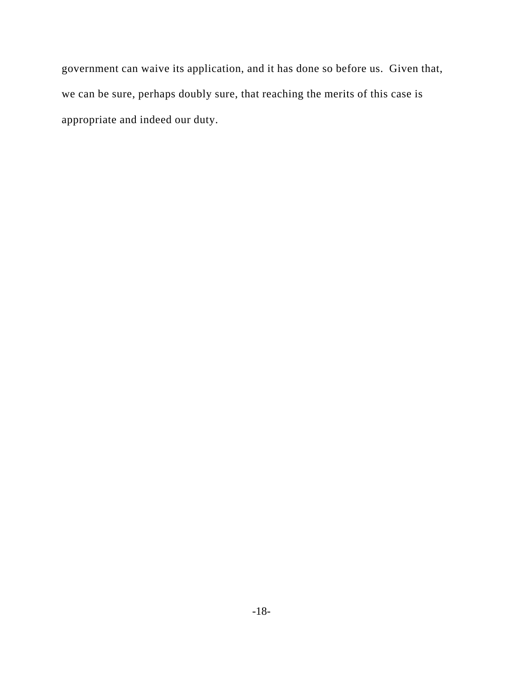government can waive its application, and it has done so before us. Given that, we can be sure, perhaps doubly sure, that reaching the merits of this case is appropriate and indeed our duty.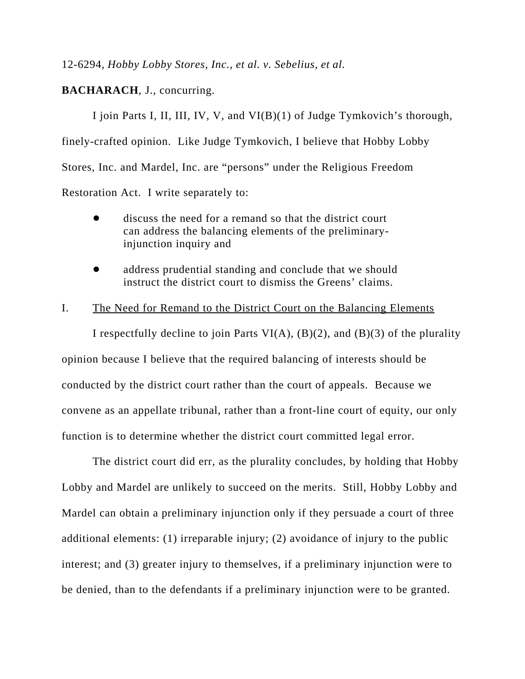12-6294*, Hobby Lobby Stores, Inc., et al. v. Sebelius, et al.*

## **BACHARACH**, J., concurring.

I join Parts I, II, III, IV, V, and VI(B)(1) of Judge Tymkovich's thorough, finely-crafted opinion. Like Judge Tymkovich, I believe that Hobby Lobby Stores, Inc. and Mardel, Inc. are "persons" under the Religious Freedom Restoration Act. I write separately to:

- discuss the need for a remand so that the district court can address the balancing elements of the preliminaryinjunction inquiry and
- address prudential standing and conclude that we should instruct the district court to dismiss the Greens' claims.

## I. The Need for Remand to the District Court on the Balancing Elements

I respectfully decline to join Parts VI(A),  $(B)(2)$ , and  $(B)(3)$  of the plurality opinion because I believe that the required balancing of interests should be conducted by the district court rather than the court of appeals. Because we convene as an appellate tribunal, rather than a front-line court of equity, our only function is to determine whether the district court committed legal error.

The district court did err, as the plurality concludes, by holding that Hobby Lobby and Mardel are unlikely to succeed on the merits. Still, Hobby Lobby and Mardel can obtain a preliminary injunction only if they persuade a court of three additional elements: (1) irreparable injury; (2) avoidance of injury to the public interest; and (3) greater injury to themselves, if a preliminary injunction were to be denied, than to the defendants if a preliminary injunction were to be granted.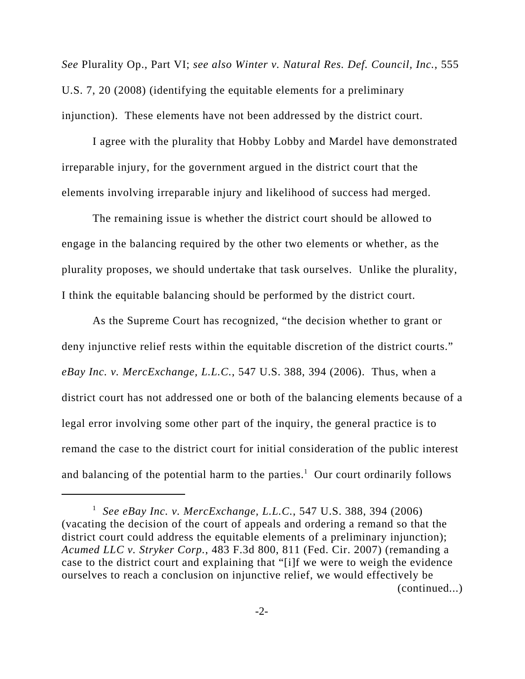*See* Plurality Op., Part VI; *see also Winter v. Natural Res. Def. Council, Inc.*, 555 U.S. 7, 20 (2008) (identifying the equitable elements for a preliminary injunction). These elements have not been addressed by the district court.

I agree with the plurality that Hobby Lobby and Mardel have demonstrated irreparable injury, for the government argued in the district court that the elements involving irreparable injury and likelihood of success had merged.

The remaining issue is whether the district court should be allowed to engage in the balancing required by the other two elements or whether, as the plurality proposes, we should undertake that task ourselves. Unlike the plurality, I think the equitable balancing should be performed by the district court.

As the Supreme Court has recognized, "the decision whether to grant or deny injunctive relief rests within the equitable discretion of the district courts." *eBay Inc. v. MercExchange, L.L.C.*, 547 U.S. 388, 394 (2006). Thus, when a district court has not addressed one or both of the balancing elements because of a legal error involving some other part of the inquiry, the general practice is to remand the case to the district court for initial consideration of the public interest and balancing of the potential harm to the parties.<sup>1</sup> Our court ordinarily follows

<sup>1</sup> *See eBay Inc. v. MercExchange, L.L.C.*, 547 U.S. 388, 394 (2006) (vacating the decision of the court of appeals and ordering a remand so that the district court could address the equitable elements of a preliminary injunction); *Acumed LLC v. Stryker Corp.*, 483 F.3d 800, 811 (Fed. Cir. 2007) (remanding a case to the district court and explaining that "[i]f we were to weigh the evidence ourselves to reach a conclusion on injunctive relief, we would effectively be (continued...)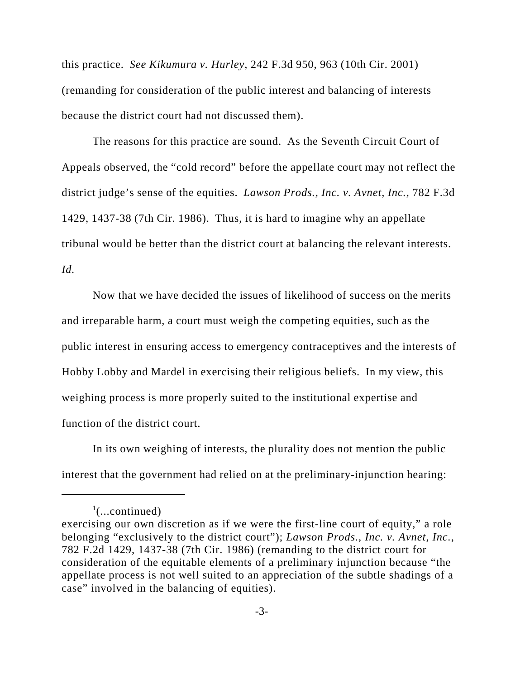this practice. *See Kikumura v. Hurley*, 242 F.3d 950, 963 (10th Cir. 2001) (remanding for consideration of the public interest and balancing of interests because the district court had not discussed them).

The reasons for this practice are sound. As the Seventh Circuit Court of Appeals observed, the "cold record" before the appellate court may not reflect the district judge's sense of the equities. *Lawson Prods., Inc. v. Avnet, Inc.*, 782 F.3d 1429, 1437-38 (7th Cir. 1986). Thus, it is hard to imagine why an appellate tribunal would be better than the district court at balancing the relevant interests. *Id.* 

Now that we have decided the issues of likelihood of success on the merits and irreparable harm, a court must weigh the competing equities, such as the public interest in ensuring access to emergency contraceptives and the interests of Hobby Lobby and Mardel in exercising their religious beliefs. In my view, this weighing process is more properly suited to the institutional expertise and function of the district court.

In its own weighing of interests, the plurality does not mention the public interest that the government had relied on at the preliminary-injunction hearing:

 $\cdot$ <sup>1</sup>(...continued)

exercising our own discretion as if we were the first-line court of equity," a role belonging "exclusively to the district court"); *Lawson Prods., Inc. v. Avnet, Inc.*, 782 F.2d 1429, 1437-38 (7th Cir. 1986) (remanding to the district court for consideration of the equitable elements of a preliminary injunction because "the appellate process is not well suited to an appreciation of the subtle shadings of a case" involved in the balancing of equities).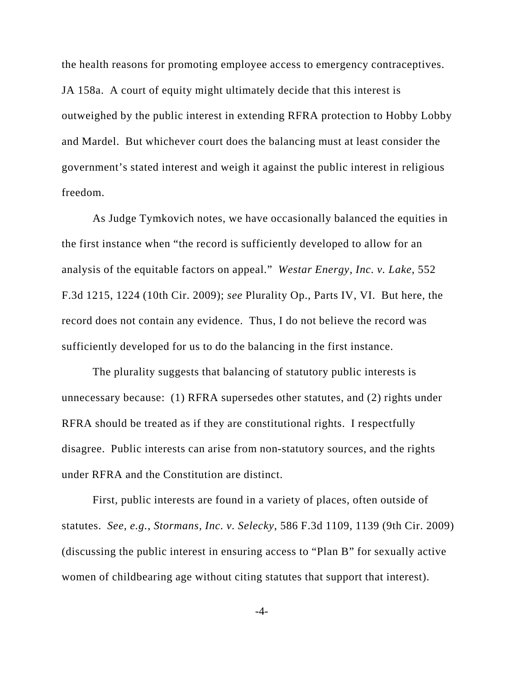the health reasons for promoting employee access to emergency contraceptives. JA 158a. A court of equity might ultimately decide that this interest is outweighed by the public interest in extending RFRA protection to Hobby Lobby and Mardel. But whichever court does the balancing must at least consider the government's stated interest and weigh it against the public interest in religious freedom.

As Judge Tymkovich notes, we have occasionally balanced the equities in the first instance when "the record is sufficiently developed to allow for an analysis of the equitable factors on appeal." *Westar Energy, Inc. v. Lake*, 552 F.3d 1215, 1224 (10th Cir. 2009); *see* Plurality Op., Parts IV, VI. But here, the record does not contain any evidence. Thus, I do not believe the record was sufficiently developed for us to do the balancing in the first instance.

The plurality suggests that balancing of statutory public interests is unnecessary because: (1) RFRA supersedes other statutes, and (2) rights under RFRA should be treated as if they are constitutional rights. I respectfully disagree. Public interests can arise from non-statutory sources, and the rights under RFRA and the Constitution are distinct.

First, public interests are found in a variety of places, often outside of statutes. *See, e.g.*, *Stormans, Inc. v. Selecky*, 586 F.3d 1109, 1139 (9th Cir. 2009) (discussing the public interest in ensuring access to "Plan B" for sexually active women of childbearing age without citing statutes that support that interest).

-4-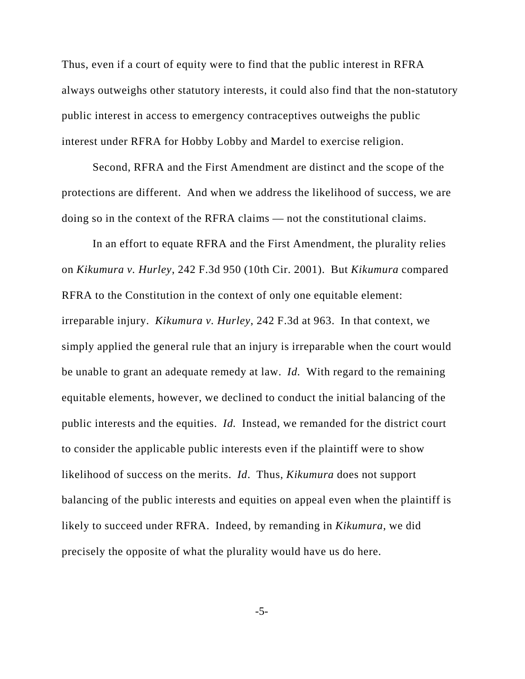Thus, even if a court of equity were to find that the public interest in RFRA always outweighs other statutory interests, it could also find that the non-statutory public interest in access to emergency contraceptives outweighs the public interest under RFRA for Hobby Lobby and Mardel to exercise religion.

Second, RFRA and the First Amendment are distinct and the scope of the protections are different. And when we address the likelihood of success, we are doing so in the context of the RFRA claims — not the constitutional claims.

In an effort to equate RFRA and the First Amendment, the plurality relies on *Kikumura v. Hurley*, 242 F.3d 950 (10th Cir. 2001). But *Kikumura* compared RFRA to the Constitution in the context of only one equitable element: irreparable injury. *Kikumura v. Hurley*, 242 F.3d at 963. In that context, we simply applied the general rule that an injury is irreparable when the court would be unable to grant an adequate remedy at law. *Id.* With regard to the remaining equitable elements, however, we declined to conduct the initial balancing of the public interests and the equities. *Id.* Instead, we remanded for the district court to consider the applicable public interests even if the plaintiff were to show likelihood of success on the merits. *Id*. Thus, *Kikumura* does not support balancing of the public interests and equities on appeal even when the plaintiff is likely to succeed under RFRA. Indeed, by remanding in *Kikumura*, we did precisely the opposite of what the plurality would have us do here.

-5-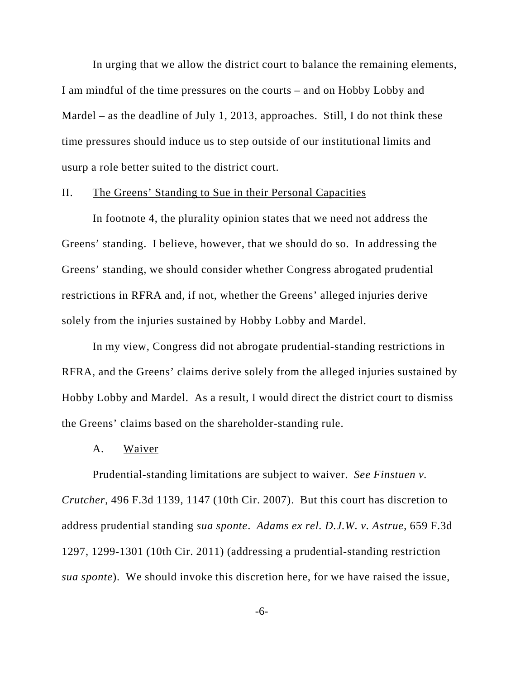In urging that we allow the district court to balance the remaining elements, I am mindful of the time pressures on the courts – and on Hobby Lobby and Mardel – as the deadline of July 1, 2013, approaches. Still, I do not think these time pressures should induce us to step outside of our institutional limits and usurp a role better suited to the district court.

#### II. The Greens' Standing to Sue in their Personal Capacities

In footnote 4, the plurality opinion states that we need not address the Greens' standing. I believe, however, that we should do so. In addressing the Greens' standing, we should consider whether Congress abrogated prudential restrictions in RFRA and, if not, whether the Greens' alleged injuries derive solely from the injuries sustained by Hobby Lobby and Mardel.

In my view, Congress did not abrogate prudential-standing restrictions in RFRA, and the Greens' claims derive solely from the alleged injuries sustained by Hobby Lobby and Mardel. As a result, I would direct the district court to dismiss the Greens' claims based on the shareholder-standing rule.

#### A. Waiver

Prudential-standing limitations are subject to waiver. *See Finstuen v. Crutcher*, 496 F.3d 1139, 1147 (10th Cir. 2007). But this court has discretion to address prudential standing *sua sponte*. *Adams ex rel. D.J.W. v. Astrue*, 659 F.3d 1297, 1299-1301 (10th Cir. 2011) (addressing a prudential-standing restriction *sua sponte*). We should invoke this discretion here, for we have raised the issue,

-6-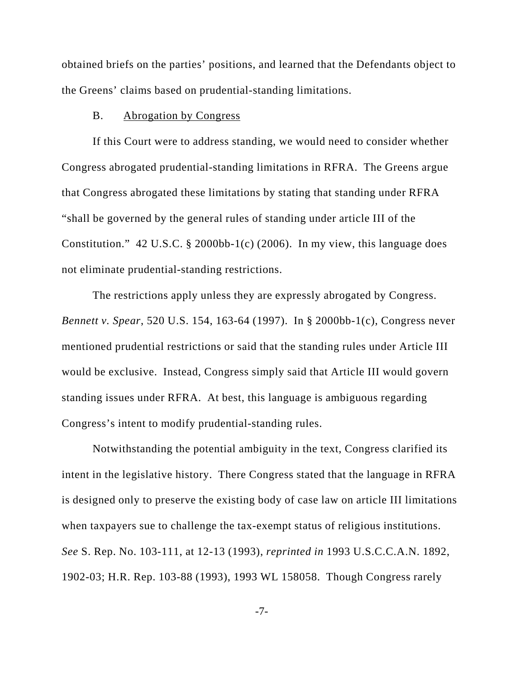obtained briefs on the parties' positions, and learned that the Defendants object to the Greens' claims based on prudential-standing limitations.

#### B. Abrogation by Congress

If this Court were to address standing, we would need to consider whether Congress abrogated prudential-standing limitations in RFRA. The Greens argue that Congress abrogated these limitations by stating that standing under RFRA "shall be governed by the general rules of standing under article III of the Constitution." 42 U.S.C. § 2000bb-1(c) (2006). In my view, this language does not eliminate prudential-standing restrictions.

The restrictions apply unless they are expressly abrogated by Congress. *Bennett v. Spear*, 520 U.S. 154, 163-64 (1997). In § 2000bb-1(c), Congress never mentioned prudential restrictions or said that the standing rules under Article III would be exclusive. Instead, Congress simply said that Article III would govern standing issues under RFRA. At best, this language is ambiguous regarding Congress's intent to modify prudential-standing rules.

Notwithstanding the potential ambiguity in the text, Congress clarified its intent in the legislative history. There Congress stated that the language in RFRA is designed only to preserve the existing body of case law on article III limitations when taxpayers sue to challenge the tax-exempt status of religious institutions. *See* S. Rep. No. 103-111, at 12-13 (1993), *reprinted in* 1993 U.S.C.C.A.N. 1892, 1902-03; H.R. Rep. 103-88 (1993), 1993 WL 158058. Though Congress rarely

-7-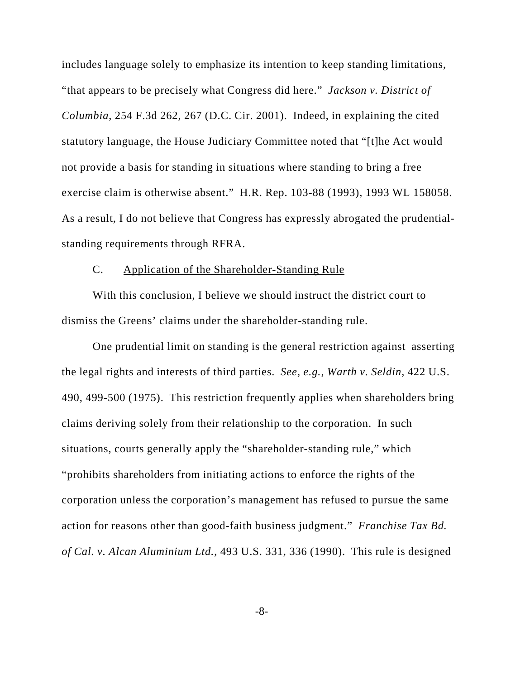includes language solely to emphasize its intention to keep standing limitations, "that appears to be precisely what Congress did here." *Jackson v. District of Columbia*, 254 F.3d 262, 267 (D.C. Cir. 2001). Indeed, in explaining the cited statutory language, the House Judiciary Committee noted that "[t]he Act would not provide a basis for standing in situations where standing to bring a free exercise claim is otherwise absent." H.R. Rep. 103-88 (1993), 1993 WL 158058. As a result, I do not believe that Congress has expressly abrogated the prudentialstanding requirements through RFRA.

# C. Application of the Shareholder-Standing Rule

With this conclusion, I believe we should instruct the district court to dismiss the Greens' claims under the shareholder-standing rule.

One prudential limit on standing is the general restriction against asserting the legal rights and interests of third parties. *See, e.g.*, *Warth v. Seldin*, 422 U.S. 490, 499-500 (1975). This restriction frequently applies when shareholders bring claims deriving solely from their relationship to the corporation. In such situations, courts generally apply the "shareholder-standing rule," which "prohibits shareholders from initiating actions to enforce the rights of the corporation unless the corporation's management has refused to pursue the same action for reasons other than good-faith business judgment." *Franchise Tax Bd. of Cal. v. Alcan Aluminium Ltd.*, 493 U.S. 331, 336 (1990). This rule is designed

-8-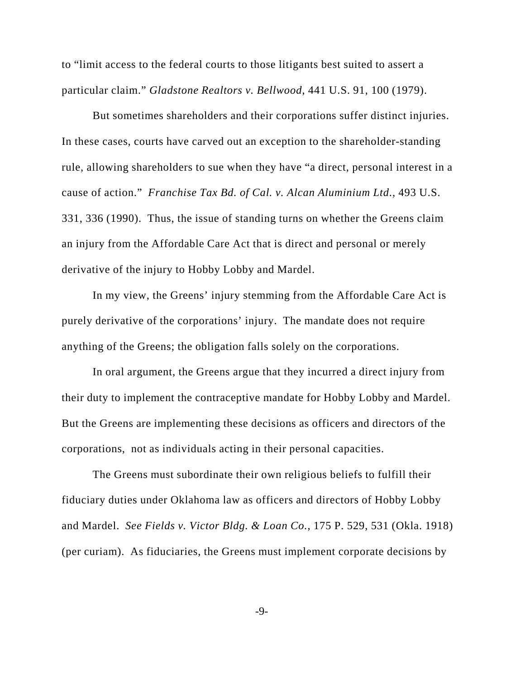to "limit access to the federal courts to those litigants best suited to assert a particular claim." *Gladstone Realtors v. Bellwood*, 441 U.S. 91, 100 (1979).

But sometimes shareholders and their corporations suffer distinct injuries. In these cases, courts have carved out an exception to the shareholder-standing rule, allowing shareholders to sue when they have "a direct, personal interest in a cause of action." *Franchise Tax Bd. of Cal. v. Alcan Aluminium Ltd*., 493 U.S. 331, 336 (1990). Thus, the issue of standing turns on whether the Greens claim an injury from the Affordable Care Act that is direct and personal or merely derivative of the injury to Hobby Lobby and Mardel.

In my view, the Greens' injury stemming from the Affordable Care Act is purely derivative of the corporations' injury. The mandate does not require anything of the Greens; the obligation falls solely on the corporations.

In oral argument, the Greens argue that they incurred a direct injury from their duty to implement the contraceptive mandate for Hobby Lobby and Mardel. But the Greens are implementing these decisions as officers and directors of the corporations, not as individuals acting in their personal capacities.

The Greens must subordinate their own religious beliefs to fulfill their fiduciary duties under Oklahoma law as officers and directors of Hobby Lobby and Mardel. *See Fields v. Victor Bldg. & Loan Co.*, 175 P. 529, 531 (Okla. 1918) (per curiam). As fiduciaries, the Greens must implement corporate decisions by

-9-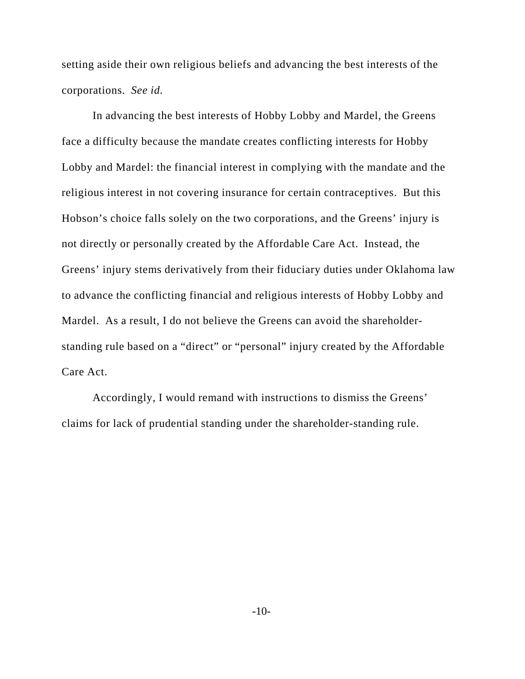setting aside their own religious beliefs and advancing the best interests of the corporations. *See id.*

In advancing the best interests of Hobby Lobby and Mardel, the Greens face a difficulty because the mandate creates conflicting interests for Hobby Lobby and Mardel: the financial interest in complying with the mandate and the religious interest in not covering insurance for certain contraceptives. But this Hobson's choice falls solely on the two corporations, and the Greens' injury is not directly or personally created by the Affordable Care Act. Instead, the Greens' injury stems derivatively from their fiduciary duties under Oklahoma law to advance the conflicting financial and religious interests of Hobby Lobby and Mardel. As a result, I do not believe the Greens can avoid the shareholderstanding rule based on a "direct" or "personal" injury created by the Affordable Care Act.

Accordingly, I would remand with instructions to dismiss the Greens' claims for lack of prudential standing under the shareholder-standing rule.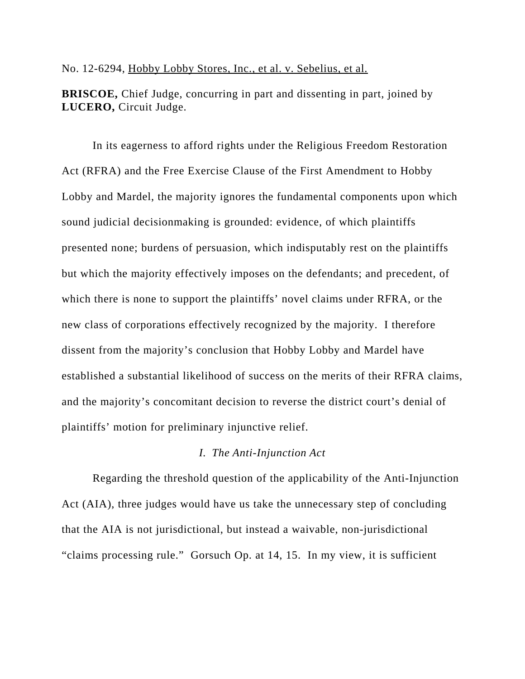### No. 12-6294, Hobby Lobby Stores, Inc., et al. v. Sebelius, et al.

**BRISCOE,** Chief Judge, concurring in part and dissenting in part, joined by **LUCERO,** Circuit Judge.

In its eagerness to afford rights under the Religious Freedom Restoration Act (RFRA) and the Free Exercise Clause of the First Amendment to Hobby Lobby and Mardel, the majority ignores the fundamental components upon which sound judicial decisionmaking is grounded: evidence, of which plaintiffs presented none; burdens of persuasion, which indisputably rest on the plaintiffs but which the majority effectively imposes on the defendants; and precedent, of which there is none to support the plaintiffs' novel claims under RFRA, or the new class of corporations effectively recognized by the majority. I therefore dissent from the majority's conclusion that Hobby Lobby and Mardel have established a substantial likelihood of success on the merits of their RFRA claims, and the majority's concomitant decision to reverse the district court's denial of plaintiffs' motion for preliminary injunctive relief.

## *I. The Anti-Injunction Act*

Regarding the threshold question of the applicability of the Anti-Injunction Act (AIA), three judges would have us take the unnecessary step of concluding that the AIA is not jurisdictional, but instead a waivable, non-jurisdictional "claims processing rule." Gorsuch Op. at 14, 15. In my view, it is sufficient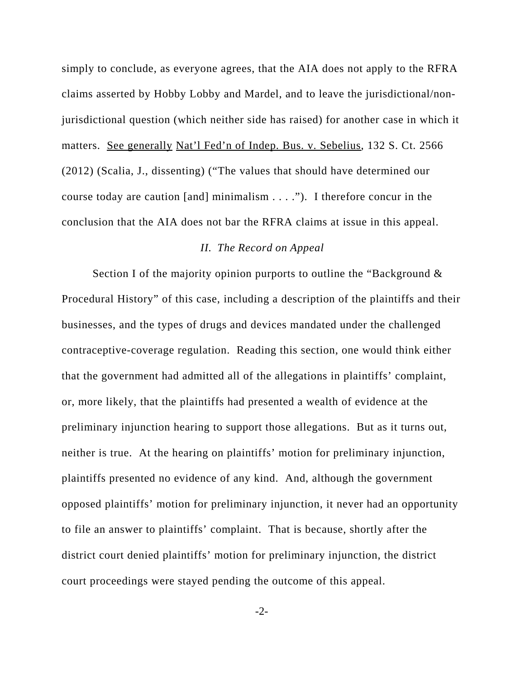simply to conclude, as everyone agrees, that the AIA does not apply to the RFRA claims asserted by Hobby Lobby and Mardel, and to leave the jurisdictional/nonjurisdictional question (which neither side has raised) for another case in which it matters. See generally Nat'l Fed'n of Indep. Bus. v. Sebelius, 132 S. Ct. 2566 (2012) (Scalia, J., dissenting) ("The values that should have determined our course today are caution [and] minimalism . . . ."). I therefore concur in the conclusion that the AIA does not bar the RFRA claims at issue in this appeal.

### *II. The Record on Appeal*

Section I of the majority opinion purports to outline the "Background & Procedural History" of this case, including a description of the plaintiffs and their businesses, and the types of drugs and devices mandated under the challenged contraceptive-coverage regulation. Reading this section, one would think either that the government had admitted all of the allegations in plaintiffs' complaint, or, more likely, that the plaintiffs had presented a wealth of evidence at the preliminary injunction hearing to support those allegations. But as it turns out, neither is true. At the hearing on plaintiffs' motion for preliminary injunction, plaintiffs presented no evidence of any kind. And, although the government opposed plaintiffs' motion for preliminary injunction, it never had an opportunity to file an answer to plaintiffs' complaint. That is because, shortly after the district court denied plaintiffs' motion for preliminary injunction, the district court proceedings were stayed pending the outcome of this appeal.

 $-2$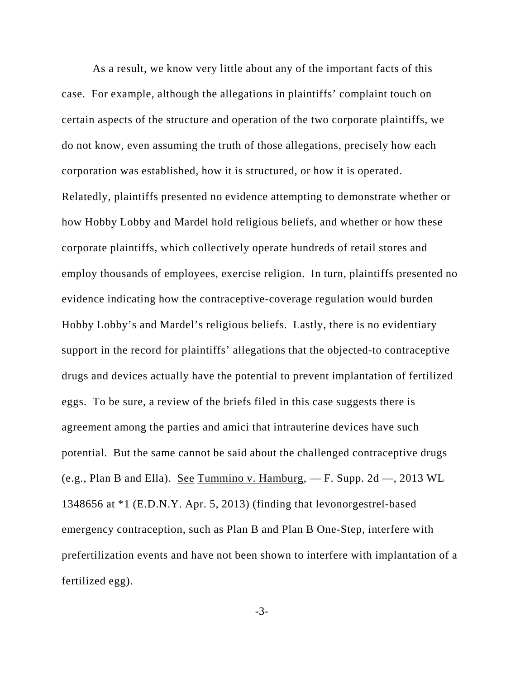As a result, we know very little about any of the important facts of this case. For example, although the allegations in plaintiffs' complaint touch on certain aspects of the structure and operation of the two corporate plaintiffs, we do not know, even assuming the truth of those allegations, precisely how each corporation was established, how it is structured, or how it is operated. Relatedly, plaintiffs presented no evidence attempting to demonstrate whether or how Hobby Lobby and Mardel hold religious beliefs, and whether or how these corporate plaintiffs, which collectively operate hundreds of retail stores and employ thousands of employees, exercise religion. In turn, plaintiffs presented no evidence indicating how the contraceptive-coverage regulation would burden Hobby Lobby's and Mardel's religious beliefs. Lastly, there is no evidentiary support in the record for plaintiffs' allegations that the objected-to contraceptive drugs and devices actually have the potential to prevent implantation of fertilized eggs. To be sure, a review of the briefs filed in this case suggests there is agreement among the parties and amici that intrauterine devices have such potential. But the same cannot be said about the challenged contraceptive drugs (e.g., Plan B and Ella). See Tummino v. Hamburg,  $- F$ . Supp. 2d  $-$ , 2013 WL 1348656 at \*1 (E.D.N.Y. Apr. 5, 2013) (finding that levonorgestrel-based emergency contraception, such as Plan B and Plan B One-Step, interfere with prefertilization events and have not been shown to interfere with implantation of a fertilized egg).

-3-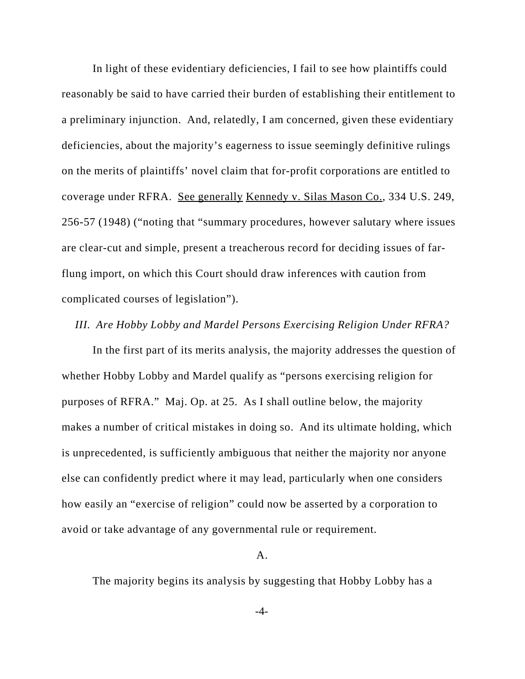In light of these evidentiary deficiencies, I fail to see how plaintiffs could reasonably be said to have carried their burden of establishing their entitlement to a preliminary injunction. And, relatedly, I am concerned, given these evidentiary deficiencies, about the majority's eagerness to issue seemingly definitive rulings on the merits of plaintiffs' novel claim that for-profit corporations are entitled to coverage under RFRA. See generally Kennedy v. Silas Mason Co., 334 U.S. 249, 256-57 (1948) ("noting that "summary procedures, however salutary where issues are clear-cut and simple, present a treacherous record for deciding issues of farflung import, on which this Court should draw inferences with caution from complicated courses of legislation").

## *III. Are Hobby Lobby and Mardel Persons Exercising Religion Under RFRA?*

In the first part of its merits analysis, the majority addresses the question of whether Hobby Lobby and Mardel qualify as "persons exercising religion for purposes of RFRA." Maj. Op. at 25. As I shall outline below, the majority makes a number of critical mistakes in doing so. And its ultimate holding, which is unprecedented, is sufficiently ambiguous that neither the majority nor anyone else can confidently predict where it may lead, particularly when one considers how easily an "exercise of religion" could now be asserted by a corporation to avoid or take advantage of any governmental rule or requirement.

#### A.

The majority begins its analysis by suggesting that Hobby Lobby has a

-4-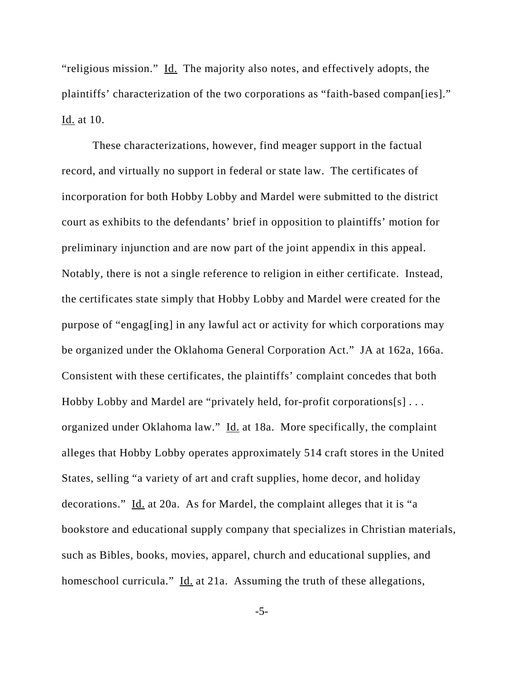"religious mission." Id. The majority also notes, and effectively adopts, the plaintiffs' characterization of the two corporations as "faith-based compan[ies]." Id. at 10.

These characterizations, however, find meager support in the factual record, and virtually no support in federal or state law. The certificates of incorporation for both Hobby Lobby and Mardel were submitted to the district court as exhibits to the defendants' brief in opposition to plaintiffs' motion for preliminary injunction and are now part of the joint appendix in this appeal. Notably, there is not a single reference to religion in either certificate. Instead, the certificates state simply that Hobby Lobby and Mardel were created for the purpose of "engag[ing] in any lawful act or activity for which corporations may be organized under the Oklahoma General Corporation Act." JA at 162a, 166a. Consistent with these certificates, the plaintiffs' complaint concedes that both Hobby Lobby and Mardel are "privately held, for-profit corporations[s] . . . organized under Oklahoma law." Id. at 18a. More specifically, the complaint alleges that Hobby Lobby operates approximately 514 craft stores in the United States, selling "a variety of art and craft supplies, home decor, and holiday decorations." Id. at 20a. As for Mardel, the complaint alleges that it is "a bookstore and educational supply company that specializes in Christian materials, such as Bibles, books, movies, apparel, church and educational supplies, and homeschool curricula." Id. at 21a. Assuming the truth of these allegations,

-5-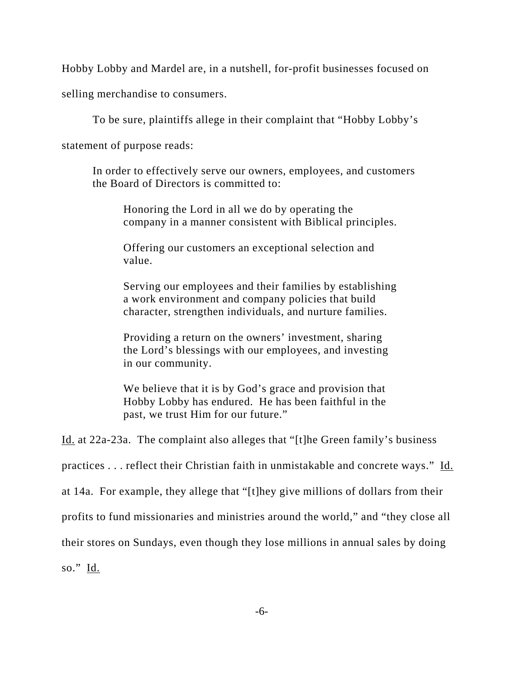Hobby Lobby and Mardel are, in a nutshell, for-profit businesses focused on

selling merchandise to consumers.

To be sure, plaintiffs allege in their complaint that "Hobby Lobby's

statement of purpose reads:

In order to effectively serve our owners, employees, and customers the Board of Directors is committed to:

Honoring the Lord in all we do by operating the company in a manner consistent with Biblical principles.

Offering our customers an exceptional selection and value.

Serving our employees and their families by establishing a work environment and company policies that build character, strengthen individuals, and nurture families.

Providing a return on the owners' investment, sharing the Lord's blessings with our employees, and investing in our community.

We believe that it is by God's grace and provision that Hobby Lobby has endured. He has been faithful in the past, we trust Him for our future."

Id. at 22a-23a. The complaint also alleges that "[t]he Green family's business

practices . . . reflect their Christian faith in unmistakable and concrete ways." Id.

at 14a. For example, they allege that "[t]hey give millions of dollars from their

profits to fund missionaries and ministries around the world," and "they close all

their stores on Sundays, even though they lose millions in annual sales by doing

so." Id.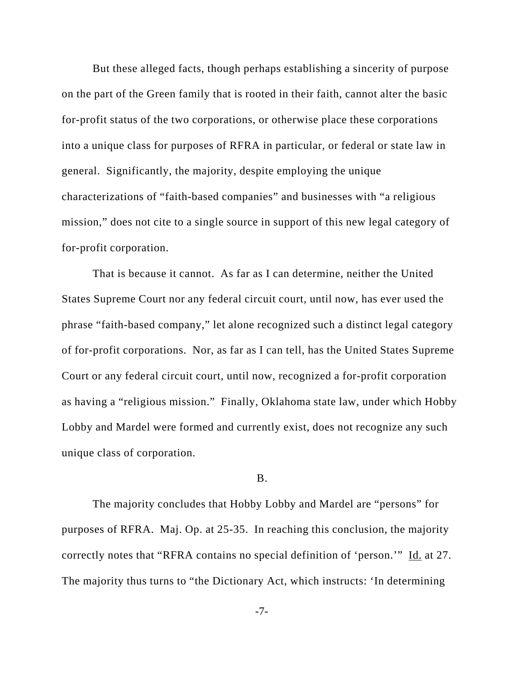But these alleged facts, though perhaps establishing a sincerity of purpose on the part of the Green family that is rooted in their faith, cannot alter the basic for-profit status of the two corporations, or otherwise place these corporations into a unique class for purposes of RFRA in particular, or federal or state law in general. Significantly, the majority, despite employing the unique characterizations of "faith-based companies" and businesses with "a religious mission," does not cite to a single source in support of this new legal category of for-profit corporation.

That is because it cannot. As far as I can determine, neither the United States Supreme Court nor any federal circuit court, until now, has ever used the phrase "faith-based company," let alone recognized such a distinct legal category of for-profit corporations. Nor, as far as I can tell, has the United States Supreme Court or any federal circuit court, until now, recognized a for-profit corporation as having a "religious mission." Finally, Oklahoma state law, under which Hobby Lobby and Mardel were formed and currently exist, does not recognize any such unique class of corporation.

#### B.

The majority concludes that Hobby Lobby and Mardel are "persons" for purposes of RFRA. Maj. Op. at 25-35. In reaching this conclusion, the majority correctly notes that "RFRA contains no special definition of 'person.'" Id. at 27. The majority thus turns to "the Dictionary Act, which instructs: 'In determining

-7-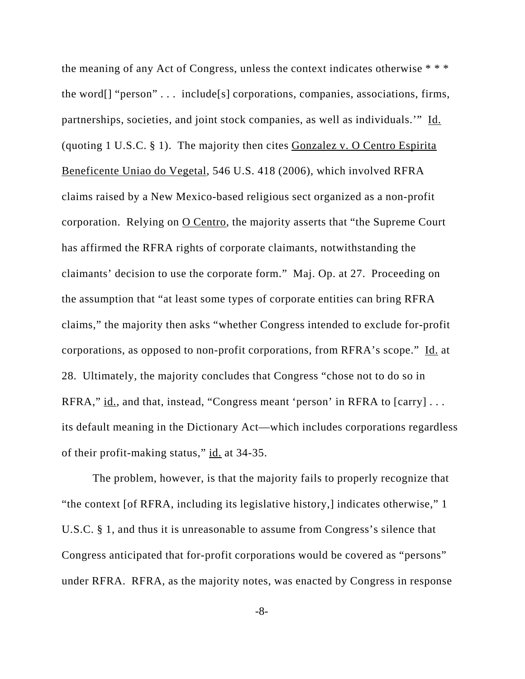the meaning of any Act of Congress, unless the context indicates otherwise \* \* \* the word[] "person" . . . include[s] corporations, companies, associations, firms, partnerships, societies, and joint stock companies, as well as individuals.'" Id. (quoting 1 U.S.C. § 1). The majority then cites Gonzalez v. O Centro Espirita Beneficente Uniao do Vegetal, 546 U.S. 418 (2006), which involved RFRA claims raised by a New Mexico-based religious sect organized as a non-profit corporation. Relying on  $Q$  Centro, the majority asserts that "the Supreme Court" has affirmed the RFRA rights of corporate claimants, notwithstanding the claimants' decision to use the corporate form." Maj. Op. at 27. Proceeding on the assumption that "at least some types of corporate entities can bring RFRA claims," the majority then asks "whether Congress intended to exclude for-profit corporations, as opposed to non-profit corporations, from RFRA's scope." Id. at 28. Ultimately, the majority concludes that Congress "chose not to do so in RFRA,"  $id.$ , and that, instead, "Congress meant 'person' in RFRA to  $[carry] \ldots$ its default meaning in the Dictionary Act—which includes corporations regardless of their profit-making status," id. at 34-35.

The problem, however, is that the majority fails to properly recognize that "the context [of RFRA, including its legislative history,] indicates otherwise," 1 U.S.C. § 1, and thus it is unreasonable to assume from Congress's silence that Congress anticipated that for-profit corporations would be covered as "persons" under RFRA. RFRA, as the majority notes, was enacted by Congress in response

-8-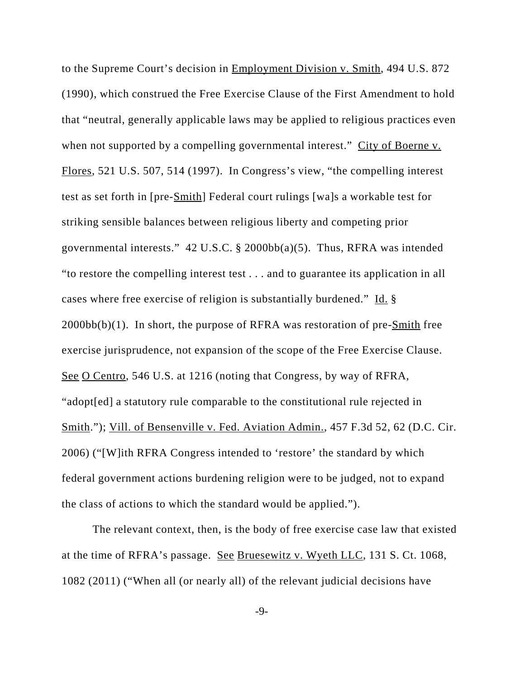to the Supreme Court's decision in Employment Division v. Smith, 494 U.S. 872 (1990), which construed the Free Exercise Clause of the First Amendment to hold that "neutral, generally applicable laws may be applied to religious practices even when not supported by a compelling governmental interest." City of Boerne v. Flores, 521 U.S. 507, 514 (1997). In Congress's view, "the compelling interest test as set forth in [pre-Smith] Federal court rulings [wa]s a workable test for striking sensible balances between religious liberty and competing prior governmental interests."  $42 \text{ U.S.C. }$ § 2000bb(a)(5). Thus, RFRA was intended "to restore the compelling interest test . . . and to guarantee its application in all cases where free exercise of religion is substantially burdened." Id. §  $2000bb(b)(1)$ . In short, the purpose of RFRA was restoration of pre- $Smith$  free exercise jurisprudence, not expansion of the scope of the Free Exercise Clause. See O Centro, 546 U.S. at 1216 (noting that Congress, by way of RFRA, "adopt[ed] a statutory rule comparable to the constitutional rule rejected in Smith."); Vill. of Bensenville v. Fed. Aviation Admin., 457 F.3d 52, 62 (D.C. Cir. 2006) ("[W]ith RFRA Congress intended to 'restore' the standard by which federal government actions burdening religion were to be judged, not to expand the class of actions to which the standard would be applied.").

The relevant context, then, is the body of free exercise case law that existed at the time of RFRA's passage. See Bruesewitz v. Wyeth LLC, 131 S. Ct. 1068, 1082 (2011) ("When all (or nearly all) of the relevant judicial decisions have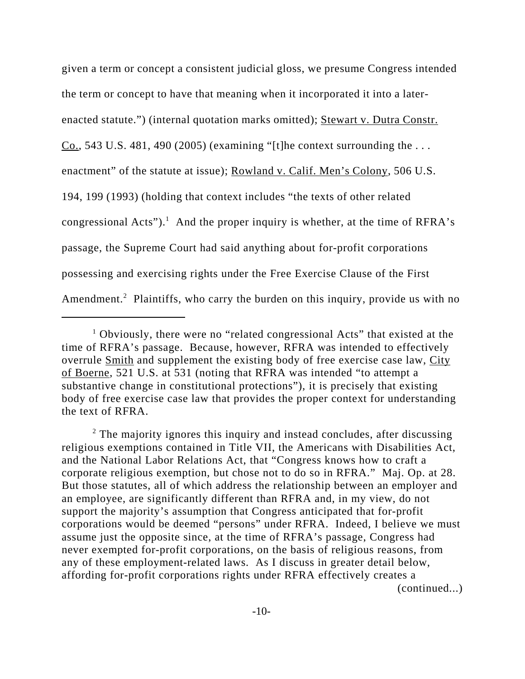given a term or concept a consistent judicial gloss, we presume Congress intended the term or concept to have that meaning when it incorporated it into a laterenacted statute.") (internal quotation marks omitted); Stewart v. Dutra Constr.  $Co., 543 U.S. 481, 490 (2005)$  (examining "[t]he context surrounding the ... enactment" of the statute at issue); Rowland v. Calif. Men's Colony, 506 U.S. 194, 199 (1993) (holding that context includes "the texts of other related congressional Acts").<sup>1</sup> And the proper inquiry is whether, at the time of RFRA's passage, the Supreme Court had said anything about for-profit corporations possessing and exercising rights under the Free Exercise Clause of the First Amendment.<sup>2</sup> Plaintiffs, who carry the burden on this inquiry, provide us with no

<sup>&</sup>lt;sup>1</sup> Obviously, there were no "related congressional Acts" that existed at the time of RFRA's passage. Because, however, RFRA was intended to effectively overrule Smith and supplement the existing body of free exercise case law, City of Boerne, 521 U.S. at 531 (noting that RFRA was intended "to attempt a substantive change in constitutional protections"), it is precisely that existing body of free exercise case law that provides the proper context for understanding the text of RFRA.

 $2$  The majority ignores this inquiry and instead concludes, after discussing religious exemptions contained in Title VII, the Americans with Disabilities Act, and the National Labor Relations Act, that "Congress knows how to craft a corporate religious exemption, but chose not to do so in RFRA." Maj. Op. at 28. But those statutes, all of which address the relationship between an employer and an employee, are significantly different than RFRA and, in my view, do not support the majority's assumption that Congress anticipated that for-profit corporations would be deemed "persons" under RFRA. Indeed, I believe we must assume just the opposite since, at the time of RFRA's passage, Congress had never exempted for-profit corporations, on the basis of religious reasons, from any of these employment-related laws. As I discuss in greater detail below, affording for-profit corporations rights under RFRA effectively creates a (continued...)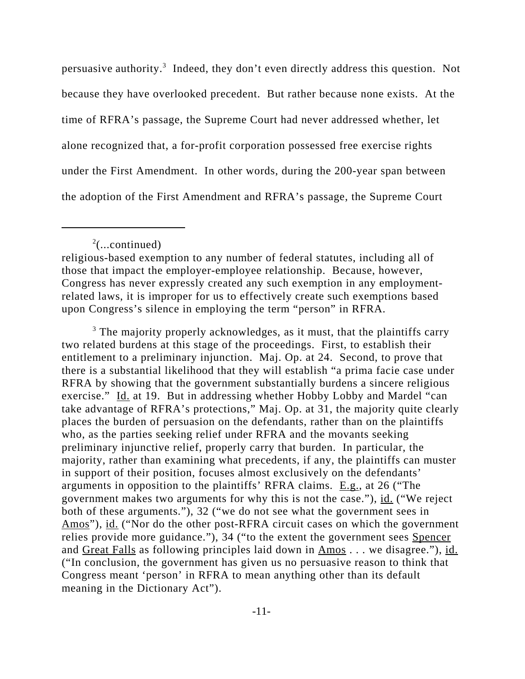persuasive authority.<sup>3</sup> Indeed, they don't even directly address this question. Not because they have overlooked precedent. But rather because none exists. At the time of RFRA's passage, the Supreme Court had never addressed whether, let alone recognized that, a for-profit corporation possessed free exercise rights under the First Amendment. In other words, during the 200-year span between the adoption of the First Amendment and RFRA's passage, the Supreme Court

 $2$ (...continued)

<sup>3</sup> The majority properly acknowledges, as it must, that the plaintiffs carry two related burdens at this stage of the proceedings. First, to establish their entitlement to a preliminary injunction. Maj. Op. at 24. Second, to prove that there is a substantial likelihood that they will establish "a prima facie case under RFRA by showing that the government substantially burdens a sincere religious exercise." Id. at 19. But in addressing whether Hobby Lobby and Mardel "can take advantage of RFRA's protections," Maj. Op. at 31, the majority quite clearly places the burden of persuasion on the defendants, rather than on the plaintiffs who, as the parties seeking relief under RFRA and the movants seeking preliminary injunctive relief, properly carry that burden. In particular, the majority, rather than examining what precedents, if any, the plaintiffs can muster in support of their position, focuses almost exclusively on the defendants' arguments in opposition to the plaintiffs' RFRA claims. E.g., at 26 ("The government makes two arguments for why this is not the case."), id. ("We reject both of these arguments."), 32 ("we do not see what the government sees in Amos"), id. ("Nor do the other post-RFRA circuit cases on which the government relies provide more guidance."), 34 ("to the extent the government sees Spencer and Great Falls as following principles laid down in Amos . . . we disagree."), id. ("In conclusion, the government has given us no persuasive reason to think that Congress meant 'person' in RFRA to mean anything other than its default meaning in the Dictionary Act").

religious-based exemption to any number of federal statutes, including all of those that impact the employer-employee relationship. Because, however, Congress has never expressly created any such exemption in any employmentrelated laws, it is improper for us to effectively create such exemptions based upon Congress's silence in employing the term "person" in RFRA.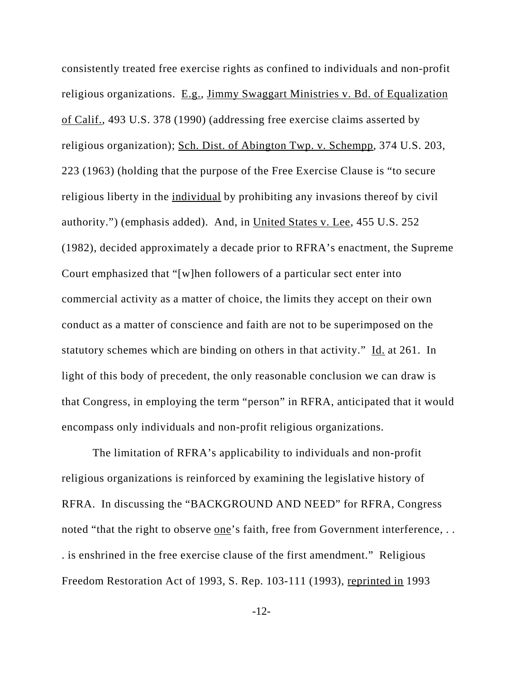consistently treated free exercise rights as confined to individuals and non-profit religious organizations. E.g., Jimmy Swaggart Ministries v. Bd. of Equalization of Calif., 493 U.S. 378 (1990) (addressing free exercise claims asserted by religious organization); Sch. Dist. of Abington Twp. v. Schempp, 374 U.S. 203, 223 (1963) (holding that the purpose of the Free Exercise Clause is "to secure religious liberty in the individual by prohibiting any invasions thereof by civil authority.") (emphasis added). And, in United States v. Lee, 455 U.S. 252 (1982), decided approximately a decade prior to RFRA's enactment, the Supreme Court emphasized that "[w]hen followers of a particular sect enter into commercial activity as a matter of choice, the limits they accept on their own conduct as a matter of conscience and faith are not to be superimposed on the statutory schemes which are binding on others in that activity." Id. at 261. In light of this body of precedent, the only reasonable conclusion we can draw is that Congress, in employing the term "person" in RFRA, anticipated that it would encompass only individuals and non-profit religious organizations.

The limitation of RFRA's applicability to individuals and non-profit religious organizations is reinforced by examining the legislative history of RFRA. In discussing the "BACKGROUND AND NEED" for RFRA, Congress noted "that the right to observe <u>one</u>'s faith, free from Government interference, ... . is enshrined in the free exercise clause of the first amendment." Religious Freedom Restoration Act of 1993, S. Rep. 103-111 (1993), reprinted in 1993

-12-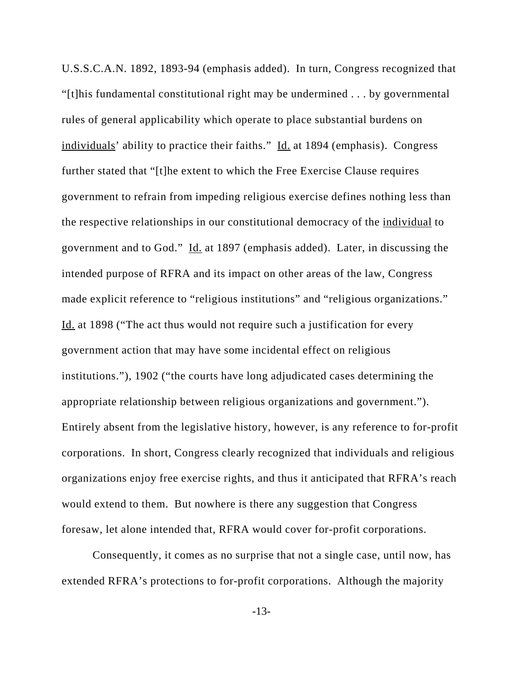U.S.S.C.A.N. 1892, 1893-94 (emphasis added). In turn, Congress recognized that "[t]his fundamental constitutional right may be undermined . . . by governmental rules of general applicability which operate to place substantial burdens on individuals' ability to practice their faiths." Id. at 1894 (emphasis). Congress further stated that "[t]he extent to which the Free Exercise Clause requires government to refrain from impeding religious exercise defines nothing less than the respective relationships in our constitutional democracy of the individual to government and to God." Id. at 1897 (emphasis added). Later, in discussing the intended purpose of RFRA and its impact on other areas of the law, Congress made explicit reference to "religious institutions" and "religious organizations." Id. at 1898 ("The act thus would not require such a justification for every government action that may have some incidental effect on religious institutions."), 1902 ("the courts have long adjudicated cases determining the appropriate relationship between religious organizations and government."). Entirely absent from the legislative history, however, is any reference to for-profit corporations. In short, Congress clearly recognized that individuals and religious organizations enjoy free exercise rights, and thus it anticipated that RFRA's reach would extend to them. But nowhere is there any suggestion that Congress foresaw, let alone intended that, RFRA would cover for-profit corporations.

Consequently, it comes as no surprise that not a single case, until now, has extended RFRA's protections to for-profit corporations. Although the majority

-13-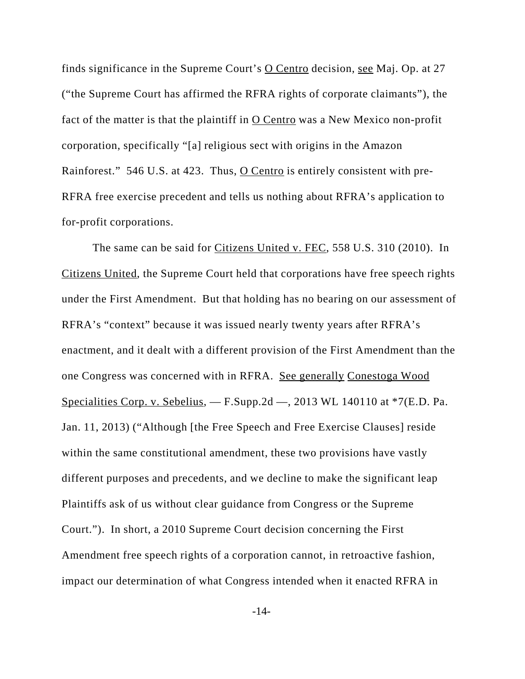finds significance in the Supreme Court's  $\overline{O}$  Centro decision, see Maj. Op. at 27 ("the Supreme Court has affirmed the RFRA rights of corporate claimants"), the fact of the matter is that the plaintiff in O Centro was a New Mexico non-profit corporation, specifically "[a] religious sect with origins in the Amazon Rainforest." 546 U.S. at 423. Thus, O Centro is entirely consistent with pre-RFRA free exercise precedent and tells us nothing about RFRA's application to for-profit corporations.

The same can be said for Citizens United v. FEC, 558 U.S. 310 (2010). In Citizens United, the Supreme Court held that corporations have free speech rights under the First Amendment. But that holding has no bearing on our assessment of RFRA's "context" because it was issued nearly twenty years after RFRA's enactment, and it dealt with a different provision of the First Amendment than the one Congress was concerned with in RFRA. See generally Conestoga Wood Specialities Corp. v. Sebelius,  $-$  F.Supp.2d  $-$ , 2013 WL 140110 at  $*7(E.D.$  Pa. Jan. 11, 2013) ("Although [the Free Speech and Free Exercise Clauses] reside within the same constitutional amendment, these two provisions have vastly different purposes and precedents, and we decline to make the significant leap Plaintiffs ask of us without clear guidance from Congress or the Supreme Court."). In short, a 2010 Supreme Court decision concerning the First Amendment free speech rights of a corporation cannot, in retroactive fashion, impact our determination of what Congress intended when it enacted RFRA in

-14-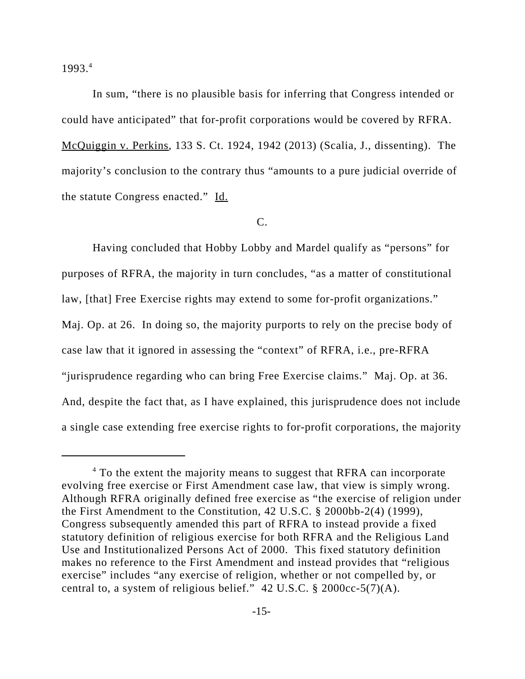1993.4

In sum, "there is no plausible basis for inferring that Congress intended or could have anticipated" that for-profit corporations would be covered by RFRA. McQuiggin v. Perkins, 133 S. Ct. 1924, 1942 (2013) (Scalia, J., dissenting). The majority's conclusion to the contrary thus "amounts to a pure judicial override of the statute Congress enacted." Id.

C.

Having concluded that Hobby Lobby and Mardel qualify as "persons" for purposes of RFRA, the majority in turn concludes, "as a matter of constitutional law, [that] Free Exercise rights may extend to some for-profit organizations." Maj. Op. at 26. In doing so, the majority purports to rely on the precise body of case law that it ignored in assessing the "context" of RFRA, i.e., pre-RFRA "jurisprudence regarding who can bring Free Exercise claims." Maj. Op. at 36. And, despite the fact that, as I have explained, this jurisprudence does not include a single case extending free exercise rights to for-profit corporations, the majority

<sup>&</sup>lt;sup>4</sup> To the extent the majority means to suggest that RFRA can incorporate evolving free exercise or First Amendment case law, that view is simply wrong. Although RFRA originally defined free exercise as "the exercise of religion under the First Amendment to the Constitution, 42 U.S.C. § 2000bb-2(4) (1999), Congress subsequently amended this part of RFRA to instead provide a fixed statutory definition of religious exercise for both RFRA and the Religious Land Use and Institutionalized Persons Act of 2000. This fixed statutory definition makes no reference to the First Amendment and instead provides that "religious exercise" includes "any exercise of religion, whether or not compelled by, or central to, a system of religious belief." 42 U.S.C.  $\S$  2000cc-5(7)(A).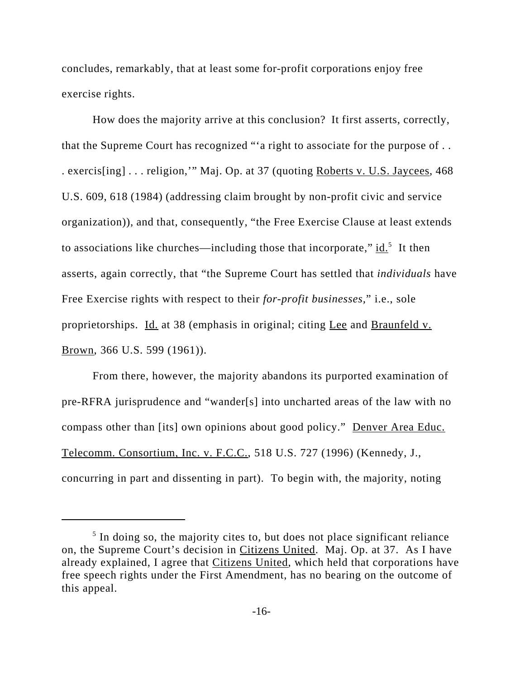concludes, remarkably, that at least some for-profit corporations enjoy free exercise rights.

How does the majority arrive at this conclusion? It first asserts, correctly, that the Supreme Court has recognized "'a right to associate for the purpose of . . . exercis[ing] . . . religion,'" Maj. Op. at 37 (quoting Roberts v. U.S. Jaycees, 468 U.S. 609, 618 (1984) (addressing claim brought by non-profit civic and service organization)), and that, consequently, "the Free Exercise Clause at least extends to associations like churches—including those that incorporate,"  $\underline{\text{id}}$ .<sup>5</sup> It then asserts, again correctly, that "the Supreme Court has settled that *individuals* have Free Exercise rights with respect to their *for-profit businesses,*" i.e., sole proprietorships. Id. at 38 (emphasis in original; citing Lee and Braunfeld v. Brown, 366 U.S. 599 (1961)).

From there, however, the majority abandons its purported examination of pre-RFRA jurisprudence and "wander[s] into uncharted areas of the law with no compass other than [its] own opinions about good policy." Denver Area Educ. Telecomm. Consortium, Inc. v. F.C.C., 518 U.S. 727 (1996) (Kennedy, J., concurring in part and dissenting in part). To begin with, the majority, noting

<sup>&</sup>lt;sup>5</sup> In doing so, the majority cites to, but does not place significant reliance on, the Supreme Court's decision in Citizens United. Maj. Op. at 37. As I have already explained, I agree that Citizens United, which held that corporations have free speech rights under the First Amendment, has no bearing on the outcome of this appeal.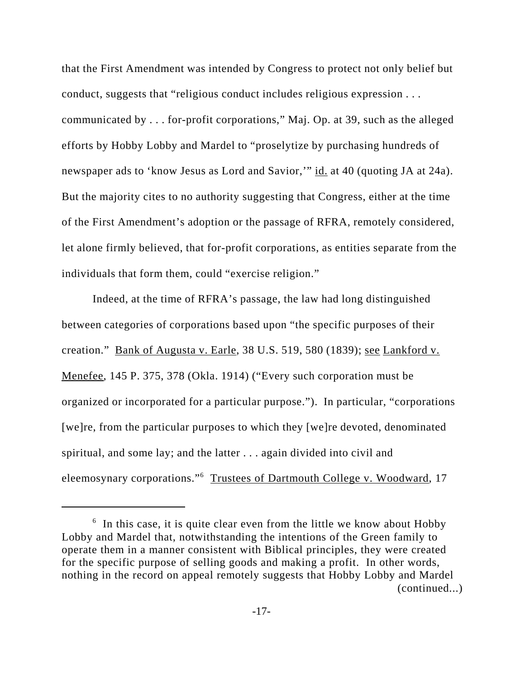that the First Amendment was intended by Congress to protect not only belief but conduct, suggests that "religious conduct includes religious expression . . . communicated by . . . for-profit corporations," Maj. Op. at 39, such as the alleged efforts by Hobby Lobby and Mardel to "proselytize by purchasing hundreds of newspaper ads to 'know Jesus as Lord and Savior,'" id. at 40 (quoting JA at 24a). But the majority cites to no authority suggesting that Congress, either at the time of the First Amendment's adoption or the passage of RFRA, remotely considered, let alone firmly believed, that for-profit corporations, as entities separate from the individuals that form them, could "exercise religion."

Indeed, at the time of RFRA's passage, the law had long distinguished between categories of corporations based upon "the specific purposes of their creation." Bank of Augusta v. Earle, 38 U.S. 519, 580 (1839); see Lankford v. Menefee, 145 P. 375, 378 (Okla. 1914) ("Every such corporation must be organized or incorporated for a particular purpose."). In particular, "corporations [we]re, from the particular purposes to which they [we]re devoted, denominated spiritual, and some lay; and the latter . . . again divided into civil and eleemosynary corporations."<sup>6</sup> Trustees of Dartmouth College v. Woodward, 17

<sup>&</sup>lt;sup>6</sup> In this case, it is quite clear even from the little we know about Hobby Lobby and Mardel that, notwithstanding the intentions of the Green family to operate them in a manner consistent with Biblical principles, they were created for the specific purpose of selling goods and making a profit. In other words, nothing in the record on appeal remotely suggests that Hobby Lobby and Mardel (continued...)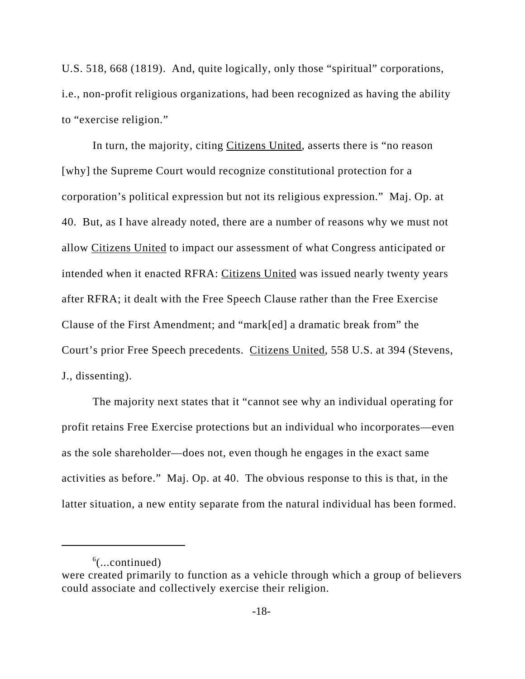U.S. 518, 668 (1819). And, quite logically, only those "spiritual" corporations, i.e., non-profit religious organizations, had been recognized as having the ability to "exercise religion."

In turn, the majority, citing *Citizens United*, asserts there is "no reason [why] the Supreme Court would recognize constitutional protection for a corporation's political expression but not its religious expression." Maj. Op. at 40. But, as I have already noted, there are a number of reasons why we must not allow Citizens United to impact our assessment of what Congress anticipated or intended when it enacted RFRA: Citizens United was issued nearly twenty years after RFRA; it dealt with the Free Speech Clause rather than the Free Exercise Clause of the First Amendment; and "mark[ed] a dramatic break from" the Court's prior Free Speech precedents. Citizens United, 558 U.S. at 394 (Stevens, J., dissenting).

The majority next states that it "cannot see why an individual operating for profit retains Free Exercise protections but an individual who incorporates—even as the sole shareholder—does not, even though he engages in the exact same activities as before." Maj. Op. at 40. The obvious response to this is that, in the latter situation, a new entity separate from the natural individual has been formed.

 $6$ (...continued)

were created primarily to function as a vehicle through which a group of believers could associate and collectively exercise their religion.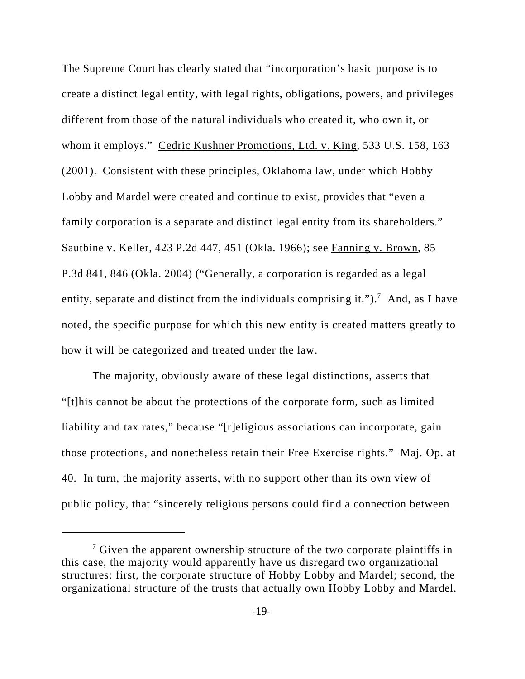The Supreme Court has clearly stated that "incorporation's basic purpose is to create a distinct legal entity, with legal rights, obligations, powers, and privileges different from those of the natural individuals who created it, who own it, or whom it employs." Cedric Kushner Promotions, Ltd. v. King, 533 U.S. 158, 163 (2001). Consistent with these principles, Oklahoma law, under which Hobby Lobby and Mardel were created and continue to exist, provides that "even a family corporation is a separate and distinct legal entity from its shareholders." Sautbine v. Keller, 423 P.2d 447, 451 (Okla. 1966); see Fanning v. Brown, 85 P.3d 841, 846 (Okla. 2004) ("Generally, a corporation is regarded as a legal entity, separate and distinct from the individuals comprising it.").<sup>7</sup> And, as I have noted, the specific purpose for which this new entity is created matters greatly to how it will be categorized and treated under the law.

The majority, obviously aware of these legal distinctions, asserts that "[t]his cannot be about the protections of the corporate form, such as limited liability and tax rates," because "[r]eligious associations can incorporate, gain those protections, and nonetheless retain their Free Exercise rights." Maj. Op. at 40. In turn, the majority asserts, with no support other than its own view of public policy, that "sincerely religious persons could find a connection between

 $7$  Given the apparent ownership structure of the two corporate plaintiffs in this case, the majority would apparently have us disregard two organizational structures: first, the corporate structure of Hobby Lobby and Mardel; second, the organizational structure of the trusts that actually own Hobby Lobby and Mardel.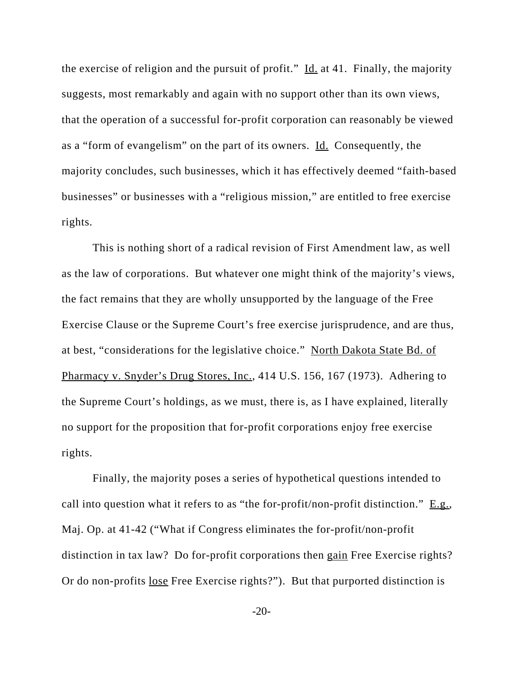the exercise of religion and the pursuit of profit."  $\underline{Id}$  at 41. Finally, the majority suggests, most remarkably and again with no support other than its own views, that the operation of a successful for-profit corporation can reasonably be viewed as a "form of evangelism" on the part of its owners. Id. Consequently, the majority concludes, such businesses, which it has effectively deemed "faith-based businesses" or businesses with a "religious mission," are entitled to free exercise rights.

This is nothing short of a radical revision of First Amendment law, as well as the law of corporations. But whatever one might think of the majority's views, the fact remains that they are wholly unsupported by the language of the Free Exercise Clause or the Supreme Court's free exercise jurisprudence, and are thus, at best, "considerations for the legislative choice." North Dakota State Bd. of Pharmacy v. Snyder's Drug Stores, Inc., 414 U.S. 156, 167 (1973). Adhering to the Supreme Court's holdings, as we must, there is, as I have explained, literally no support for the proposition that for-profit corporations enjoy free exercise rights.

Finally, the majority poses a series of hypothetical questions intended to call into question what it refers to as "the for-profit/non-profit distinction." E.g., Maj. Op. at 41-42 ("What if Congress eliminates the for-profit/non-profit distinction in tax law? Do for-profit corporations then gain Free Exercise rights? Or do non-profits lose Free Exercise rights?"). But that purported distinction is

-20-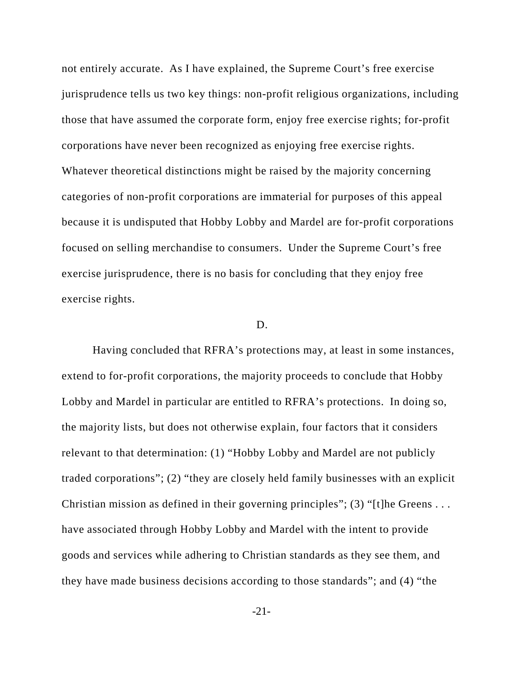not entirely accurate. As I have explained, the Supreme Court's free exercise jurisprudence tells us two key things: non-profit religious organizations, including those that have assumed the corporate form, enjoy free exercise rights; for-profit corporations have never been recognized as enjoying free exercise rights. Whatever theoretical distinctions might be raised by the majority concerning categories of non-profit corporations are immaterial for purposes of this appeal because it is undisputed that Hobby Lobby and Mardel are for-profit corporations focused on selling merchandise to consumers. Under the Supreme Court's free exercise jurisprudence, there is no basis for concluding that they enjoy free exercise rights.

#### D.

Having concluded that RFRA's protections may, at least in some instances, extend to for-profit corporations, the majority proceeds to conclude that Hobby Lobby and Mardel in particular are entitled to RFRA's protections. In doing so, the majority lists, but does not otherwise explain, four factors that it considers relevant to that determination: (1) "Hobby Lobby and Mardel are not publicly traded corporations"; (2) "they are closely held family businesses with an explicit Christian mission as defined in their governing principles"; (3) "[t]he Greens . . . have associated through Hobby Lobby and Mardel with the intent to provide goods and services while adhering to Christian standards as they see them, and they have made business decisions according to those standards"; and (4) "the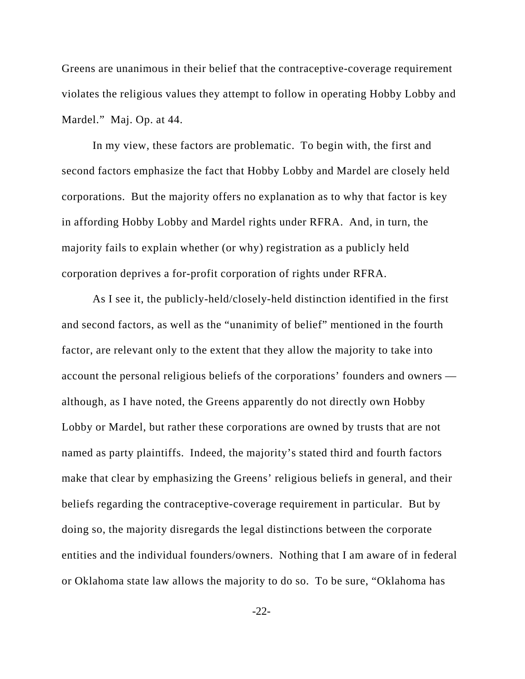Greens are unanimous in their belief that the contraceptive-coverage requirement violates the religious values they attempt to follow in operating Hobby Lobby and Mardel." Maj. Op. at 44.

In my view, these factors are problematic. To begin with, the first and second factors emphasize the fact that Hobby Lobby and Mardel are closely held corporations. But the majority offers no explanation as to why that factor is key in affording Hobby Lobby and Mardel rights under RFRA. And, in turn, the majority fails to explain whether (or why) registration as a publicly held corporation deprives a for-profit corporation of rights under RFRA.

As I see it, the publicly-held/closely-held distinction identified in the first and second factors, as well as the "unanimity of belief" mentioned in the fourth factor, are relevant only to the extent that they allow the majority to take into account the personal religious beliefs of the corporations' founders and owners although, as I have noted, the Greens apparently do not directly own Hobby Lobby or Mardel, but rather these corporations are owned by trusts that are not named as party plaintiffs. Indeed, the majority's stated third and fourth factors make that clear by emphasizing the Greens' religious beliefs in general, and their beliefs regarding the contraceptive-coverage requirement in particular. But by doing so, the majority disregards the legal distinctions between the corporate entities and the individual founders/owners. Nothing that I am aware of in federal or Oklahoma state law allows the majority to do so. To be sure, "Oklahoma has

-22-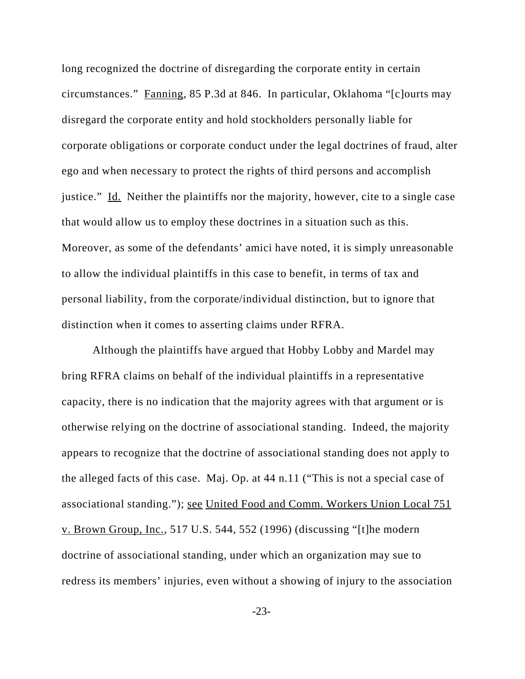long recognized the doctrine of disregarding the corporate entity in certain circumstances." Fanning, 85 P.3d at 846. In particular, Oklahoma "[c]ourts may disregard the corporate entity and hold stockholders personally liable for corporate obligations or corporate conduct under the legal doctrines of fraud, alter ego and when necessary to protect the rights of third persons and accomplish justice." Id. Neither the plaintiffs nor the majority, however, cite to a single case that would allow us to employ these doctrines in a situation such as this. Moreover, as some of the defendants' amici have noted, it is simply unreasonable to allow the individual plaintiffs in this case to benefit, in terms of tax and personal liability, from the corporate/individual distinction, but to ignore that distinction when it comes to asserting claims under RFRA.

Although the plaintiffs have argued that Hobby Lobby and Mardel may bring RFRA claims on behalf of the individual plaintiffs in a representative capacity, there is no indication that the majority agrees with that argument or is otherwise relying on the doctrine of associational standing. Indeed, the majority appears to recognize that the doctrine of associational standing does not apply to the alleged facts of this case. Maj. Op. at 44 n.11 ("This is not a special case of associational standing."); see United Food and Comm. Workers Union Local 751 v. Brown Group, Inc., 517 U.S. 544, 552 (1996) (discussing "[t]he modern doctrine of associational standing, under which an organization may sue to redress its members' injuries, even without a showing of injury to the association

-23-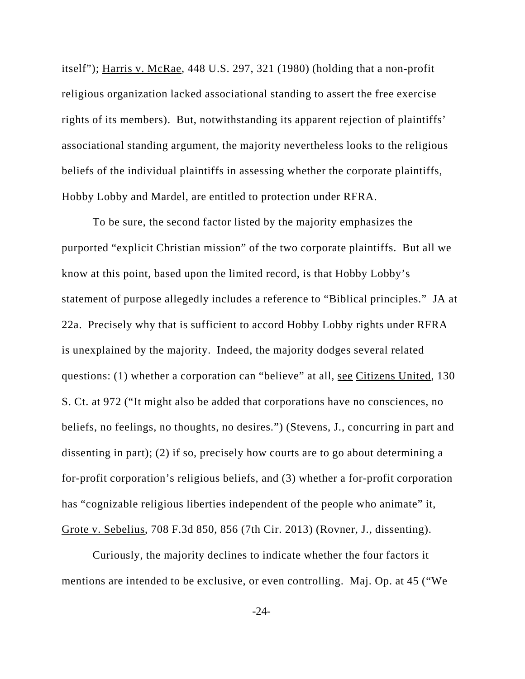itself"); Harris v. McRae, 448 U.S. 297, 321 (1980) (holding that a non-profit religious organization lacked associational standing to assert the free exercise rights of its members). But, notwithstanding its apparent rejection of plaintiffs' associational standing argument, the majority nevertheless looks to the religious beliefs of the individual plaintiffs in assessing whether the corporate plaintiffs, Hobby Lobby and Mardel, are entitled to protection under RFRA.

To be sure, the second factor listed by the majority emphasizes the purported "explicit Christian mission" of the two corporate plaintiffs. But all we know at this point, based upon the limited record, is that Hobby Lobby's statement of purpose allegedly includes a reference to "Biblical principles." JA at 22a. Precisely why that is sufficient to accord Hobby Lobby rights under RFRA is unexplained by the majority. Indeed, the majority dodges several related questions: (1) whether a corporation can "believe" at all, see Citizens United, 130 S. Ct. at 972 ("It might also be added that corporations have no consciences, no beliefs, no feelings, no thoughts, no desires.") (Stevens, J., concurring in part and dissenting in part); (2) if so, precisely how courts are to go about determining a for-profit corporation's religious beliefs, and (3) whether a for-profit corporation has "cognizable religious liberties independent of the people who animate" it, Grote v. Sebelius, 708 F.3d 850, 856 (7th Cir. 2013) (Rovner, J., dissenting).

Curiously, the majority declines to indicate whether the four factors it mentions are intended to be exclusive, or even controlling. Maj. Op. at 45 ("We

-24-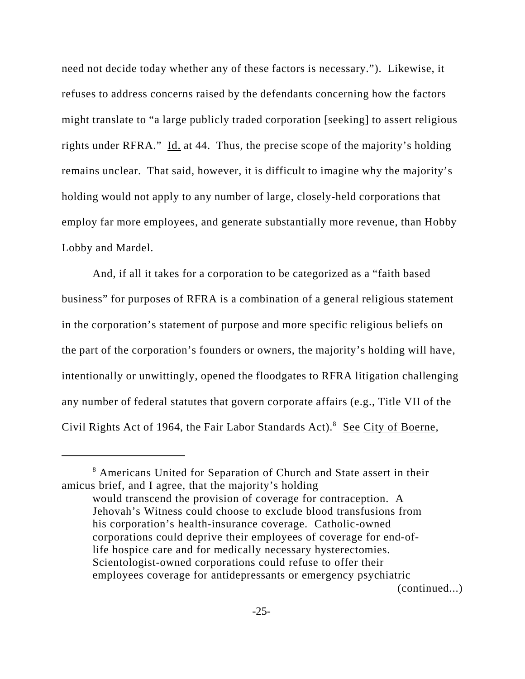need not decide today whether any of these factors is necessary."). Likewise, it refuses to address concerns raised by the defendants concerning how the factors might translate to "a large publicly traded corporation [seeking] to assert religious rights under RFRA." Id. at 44. Thus, the precise scope of the majority's holding remains unclear. That said, however, it is difficult to imagine why the majority's holding would not apply to any number of large, closely-held corporations that employ far more employees, and generate substantially more revenue, than Hobby Lobby and Mardel.

And, if all it takes for a corporation to be categorized as a "faith based business" for purposes of RFRA is a combination of a general religious statement in the corporation's statement of purpose and more specific religious beliefs on the part of the corporation's founders or owners, the majority's holding will have, intentionally or unwittingly, opened the floodgates to RFRA litigation challenging any number of federal statutes that govern corporate affairs (e.g., Title VII of the Civil Rights Act of 1964, the Fair Labor Standards Act).<sup>8</sup> See City of Boerne,

<sup>&</sup>lt;sup>8</sup> Americans United for Separation of Church and State assert in their amicus brief, and I agree, that the majority's holding

would transcend the provision of coverage for contraception. A Jehovah's Witness could choose to exclude blood transfusions from his corporation's health-insurance coverage. Catholic-owned corporations could deprive their employees of coverage for end-oflife hospice care and for medically necessary hysterectomies. Scientologist-owned corporations could refuse to offer their employees coverage for antidepressants or emergency psychiatric (continued...)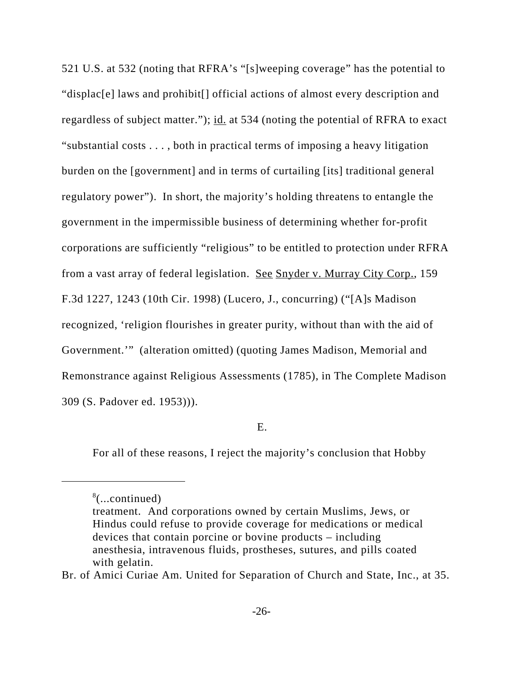521 U.S. at 532 (noting that RFRA's "[s]weeping coverage" has the potential to "displac[e] laws and prohibit[] official actions of almost every description and regardless of subject matter."); id. at 534 (noting the potential of RFRA to exact "substantial costs . . . , both in practical terms of imposing a heavy litigation burden on the [government] and in terms of curtailing [its] traditional general regulatory power"). In short, the majority's holding threatens to entangle the government in the impermissible business of determining whether for-profit corporations are sufficiently "religious" to be entitled to protection under RFRA from a vast array of federal legislation. See Snyder v. Murray City Corp., 159 F.3d 1227, 1243 (10th Cir. 1998) (Lucero, J., concurring) ("[A]s Madison recognized, 'religion flourishes in greater purity, without than with the aid of Government.'" (alteration omitted) (quoting James Madison, Memorial and Remonstrance against Religious Assessments (1785), in The Complete Madison 309 (S. Padover ed. 1953))).

### E.

For all of these reasons, I reject the majority's conclusion that Hobby

Br. of Amici Curiae Am. United for Separation of Church and State, Inc., at 35.

<sup>8</sup> (...continued)

treatment. And corporations owned by certain Muslims, Jews, or Hindus could refuse to provide coverage for medications or medical devices that contain porcine or bovine products – including anesthesia, intravenous fluids, prostheses, sutures, and pills coated with gelatin.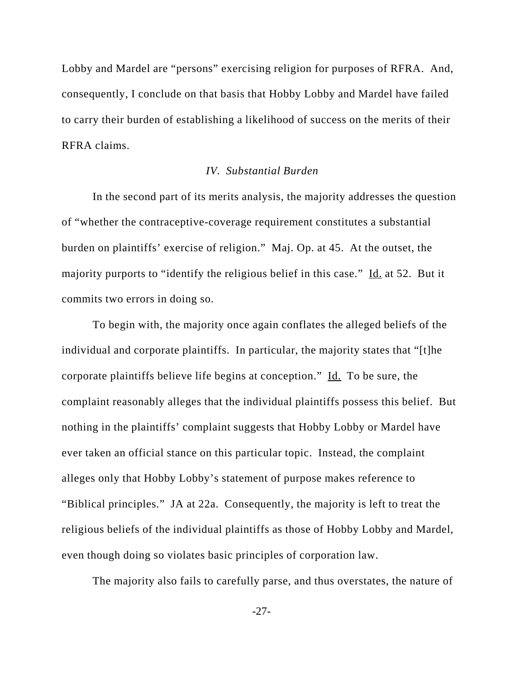Lobby and Mardel are "persons" exercising religion for purposes of RFRA. And, consequently, I conclude on that basis that Hobby Lobby and Mardel have failed to carry their burden of establishing a likelihood of success on the merits of their RFRA claims.

# *IV. Substantial Burden*

In the second part of its merits analysis, the majority addresses the question of "whether the contraceptive-coverage requirement constitutes a substantial burden on plaintiffs' exercise of religion." Maj. Op. at 45. At the outset, the majority purports to "identify the religious belief in this case." Id. at 52. But it commits two errors in doing so.

To begin with, the majority once again conflates the alleged beliefs of the individual and corporate plaintiffs. In particular, the majority states that "[t]he corporate plaintiffs believe life begins at conception."  $\underline{Id}$ . To be sure, the complaint reasonably alleges that the individual plaintiffs possess this belief. But nothing in the plaintiffs' complaint suggests that Hobby Lobby or Mardel have ever taken an official stance on this particular topic. Instead, the complaint alleges only that Hobby Lobby's statement of purpose makes reference to "Biblical principles." JA at 22a. Consequently, the majority is left to treat the religious beliefs of the individual plaintiffs as those of Hobby Lobby and Mardel, even though doing so violates basic principles of corporation law.

The majority also fails to carefully parse, and thus overstates, the nature of

-27-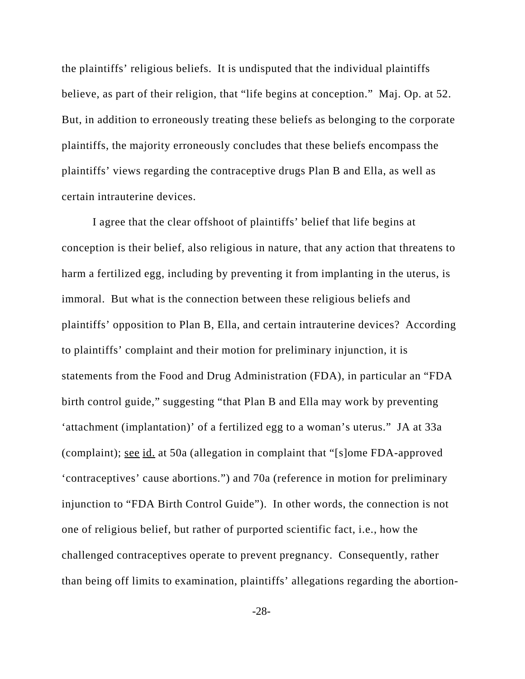the plaintiffs' religious beliefs. It is undisputed that the individual plaintiffs believe, as part of their religion, that "life begins at conception." Maj. Op. at 52. But, in addition to erroneously treating these beliefs as belonging to the corporate plaintiffs, the majority erroneously concludes that these beliefs encompass the plaintiffs' views regarding the contraceptive drugs Plan B and Ella, as well as certain intrauterine devices.

I agree that the clear offshoot of plaintiffs' belief that life begins at conception is their belief, also religious in nature, that any action that threatens to harm a fertilized egg, including by preventing it from implanting in the uterus, is immoral. But what is the connection between these religious beliefs and plaintiffs' opposition to Plan B, Ella, and certain intrauterine devices? According to plaintiffs' complaint and their motion for preliminary injunction, it is statements from the Food and Drug Administration (FDA), in particular an "FDA birth control guide," suggesting "that Plan B and Ella may work by preventing 'attachment (implantation)' of a fertilized egg to a woman's uterus." JA at 33a (complaint); see id. at 50a (allegation in complaint that "[s]ome FDA-approved 'contraceptives' cause abortions.") and 70a (reference in motion for preliminary injunction to "FDA Birth Control Guide"). In other words, the connection is not one of religious belief, but rather of purported scientific fact, i.e., how the challenged contraceptives operate to prevent pregnancy. Consequently, rather than being off limits to examination, plaintiffs' allegations regarding the abortion-

-28-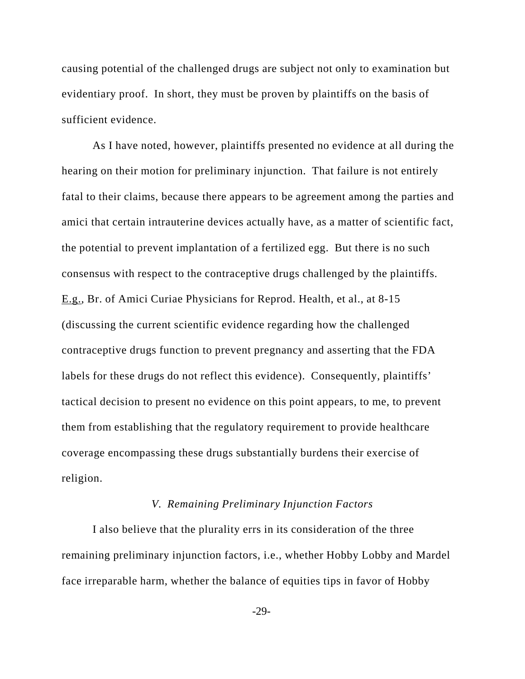causing potential of the challenged drugs are subject not only to examination but evidentiary proof. In short, they must be proven by plaintiffs on the basis of sufficient evidence.

As I have noted, however, plaintiffs presented no evidence at all during the hearing on their motion for preliminary injunction. That failure is not entirely fatal to their claims, because there appears to be agreement among the parties and amici that certain intrauterine devices actually have, as a matter of scientific fact, the potential to prevent implantation of a fertilized egg. But there is no such consensus with respect to the contraceptive drugs challenged by the plaintiffs. E.g., Br. of Amici Curiae Physicians for Reprod. Health, et al., at 8-15 (discussing the current scientific evidence regarding how the challenged contraceptive drugs function to prevent pregnancy and asserting that the FDA labels for these drugs do not reflect this evidence). Consequently, plaintiffs' tactical decision to present no evidence on this point appears, to me, to prevent them from establishing that the regulatory requirement to provide healthcare coverage encompassing these drugs substantially burdens their exercise of religion.

# *V. Remaining Preliminary Injunction Factors*

I also believe that the plurality errs in its consideration of the three remaining preliminary injunction factors, i.e., whether Hobby Lobby and Mardel face irreparable harm, whether the balance of equities tips in favor of Hobby

-29-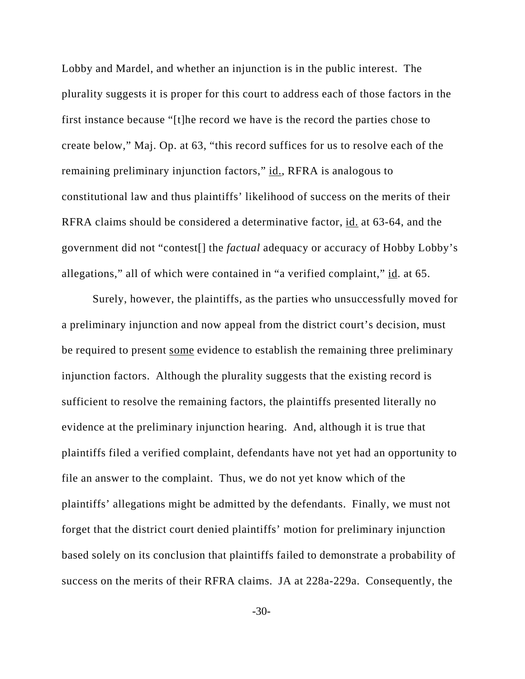Lobby and Mardel, and whether an injunction is in the public interest. The plurality suggests it is proper for this court to address each of those factors in the first instance because "[t]he record we have is the record the parties chose to create below," Maj. Op. at 63, "this record suffices for us to resolve each of the remaining preliminary injunction factors," id., RFRA is analogous to constitutional law and thus plaintiffs' likelihood of success on the merits of their RFRA claims should be considered a determinative factor, id. at 63-64, and the government did not "contest[] the *factual* adequacy or accuracy of Hobby Lobby's allegations," all of which were contained in "a verified complaint," id. at 65.

Surely, however, the plaintiffs, as the parties who unsuccessfully moved for a preliminary injunction and now appeal from the district court's decision, must be required to present some evidence to establish the remaining three preliminary injunction factors. Although the plurality suggests that the existing record is sufficient to resolve the remaining factors, the plaintiffs presented literally no evidence at the preliminary injunction hearing. And, although it is true that plaintiffs filed a verified complaint, defendants have not yet had an opportunity to file an answer to the complaint. Thus, we do not yet know which of the plaintiffs' allegations might be admitted by the defendants. Finally, we must not forget that the district court denied plaintiffs' motion for preliminary injunction based solely on its conclusion that plaintiffs failed to demonstrate a probability of success on the merits of their RFRA claims. JA at 228a-229a. Consequently, the

-30-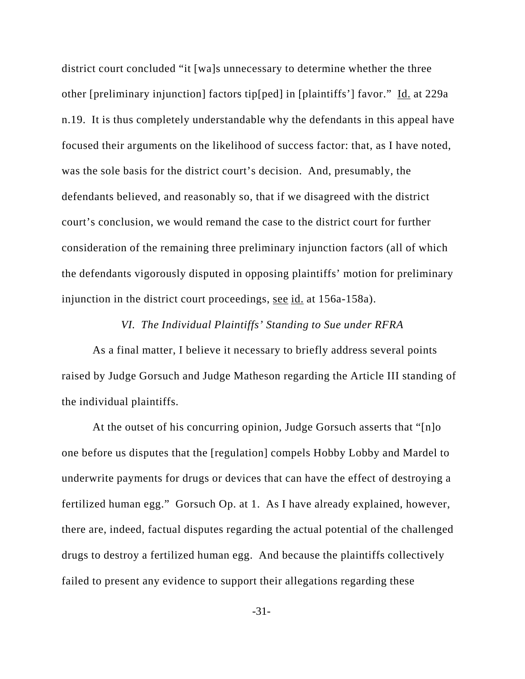district court concluded "it [wa]s unnecessary to determine whether the three other [preliminary injunction] factors tip[ped] in [plaintiffs'] favor." Id. at 229a n.19. It is thus completely understandable why the defendants in this appeal have focused their arguments on the likelihood of success factor: that, as I have noted, was the sole basis for the district court's decision. And, presumably, the defendants believed, and reasonably so, that if we disagreed with the district court's conclusion, we would remand the case to the district court for further consideration of the remaining three preliminary injunction factors (all of which the defendants vigorously disputed in opposing plaintiffs' motion for preliminary injunction in the district court proceedings, see id. at 156a-158a).

## *VI. The Individual Plaintiffs' Standing to Sue under RFRA*

As a final matter, I believe it necessary to briefly address several points raised by Judge Gorsuch and Judge Matheson regarding the Article III standing of the individual plaintiffs.

At the outset of his concurring opinion, Judge Gorsuch asserts that "[n]o one before us disputes that the [regulation] compels Hobby Lobby and Mardel to underwrite payments for drugs or devices that can have the effect of destroying a fertilized human egg." Gorsuch Op. at 1. As I have already explained, however, there are, indeed, factual disputes regarding the actual potential of the challenged drugs to destroy a fertilized human egg. And because the plaintiffs collectively failed to present any evidence to support their allegations regarding these

-31-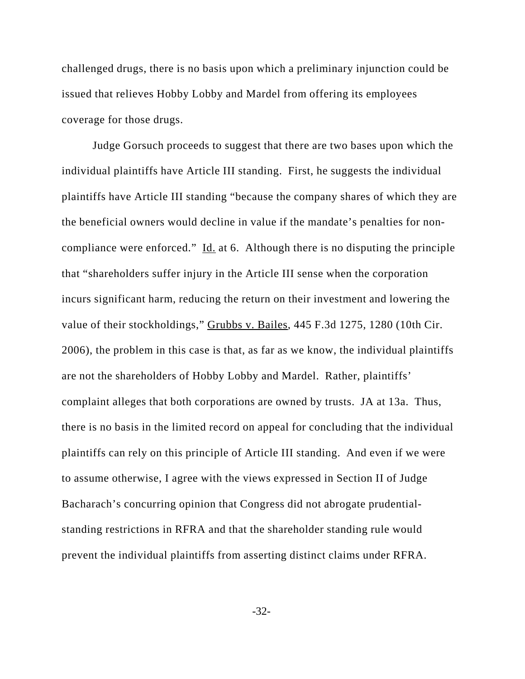challenged drugs, there is no basis upon which a preliminary injunction could be issued that relieves Hobby Lobby and Mardel from offering its employees coverage for those drugs.

Judge Gorsuch proceeds to suggest that there are two bases upon which the individual plaintiffs have Article III standing. First, he suggests the individual plaintiffs have Article III standing "because the company shares of which they are the beneficial owners would decline in value if the mandate's penalties for noncompliance were enforced." Id. at 6. Although there is no disputing the principle that "shareholders suffer injury in the Article III sense when the corporation incurs significant harm, reducing the return on their investment and lowering the value of their stockholdings," Grubbs v. Bailes, 445 F.3d 1275, 1280 (10th Cir. 2006), the problem in this case is that, as far as we know, the individual plaintiffs are not the shareholders of Hobby Lobby and Mardel. Rather, plaintiffs' complaint alleges that both corporations are owned by trusts. JA at 13a. Thus, there is no basis in the limited record on appeal for concluding that the individual plaintiffs can rely on this principle of Article III standing. And even if we were to assume otherwise, I agree with the views expressed in Section II of Judge Bacharach's concurring opinion that Congress did not abrogate prudentialstanding restrictions in RFRA and that the shareholder standing rule would prevent the individual plaintiffs from asserting distinct claims under RFRA.

-32-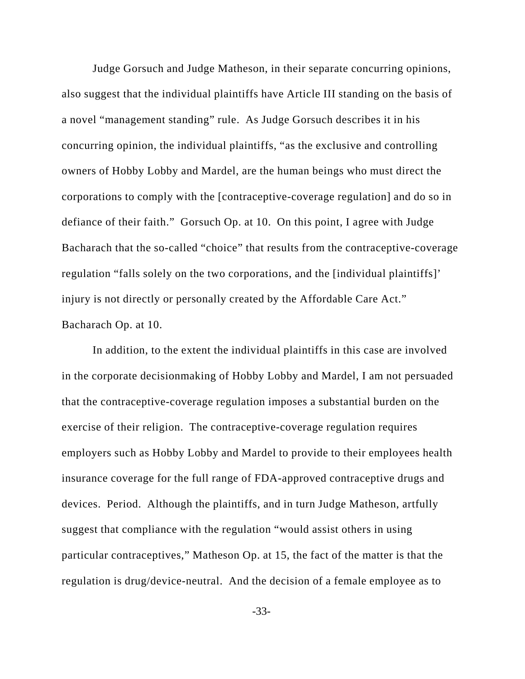Judge Gorsuch and Judge Matheson, in their separate concurring opinions, also suggest that the individual plaintiffs have Article III standing on the basis of a novel "management standing" rule. As Judge Gorsuch describes it in his concurring opinion, the individual plaintiffs, "as the exclusive and controlling owners of Hobby Lobby and Mardel, are the human beings who must direct the corporations to comply with the [contraceptive-coverage regulation] and do so in defiance of their faith." Gorsuch Op. at 10. On this point, I agree with Judge Bacharach that the so-called "choice" that results from the contraceptive-coverage regulation "falls solely on the two corporations, and the [individual plaintiffs]' injury is not directly or personally created by the Affordable Care Act." Bacharach Op. at 10.

In addition, to the extent the individual plaintiffs in this case are involved in the corporate decisionmaking of Hobby Lobby and Mardel, I am not persuaded that the contraceptive-coverage regulation imposes a substantial burden on the exercise of their religion. The contraceptive-coverage regulation requires employers such as Hobby Lobby and Mardel to provide to their employees health insurance coverage for the full range of FDA-approved contraceptive drugs and devices. Period. Although the plaintiffs, and in turn Judge Matheson, artfully suggest that compliance with the regulation "would assist others in using particular contraceptives," Matheson Op. at 15, the fact of the matter is that the regulation is drug/device-neutral. And the decision of a female employee as to

-33-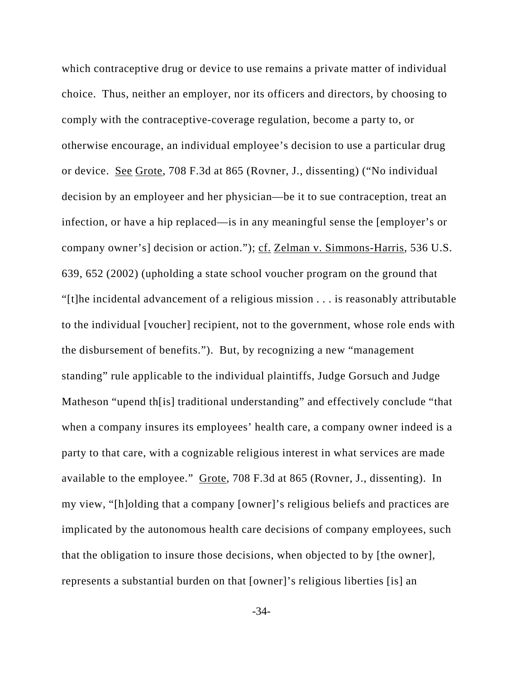which contraceptive drug or device to use remains a private matter of individual choice. Thus, neither an employer, nor its officers and directors, by choosing to comply with the contraceptive-coverage regulation, become a party to, or otherwise encourage, an individual employee's decision to use a particular drug or device. See Grote, 708 F.3d at 865 (Rovner, J., dissenting) ("No individual decision by an employeer and her physician—be it to sue contraception, treat an infection, or have a hip replaced—is in any meaningful sense the [employer's or company owner's] decision or action."); cf. Zelman v. Simmons-Harris, 536 U.S. 639, 652 (2002) (upholding a state school voucher program on the ground that "[t]he incidental advancement of a religious mission . . . is reasonably attributable to the individual [voucher] recipient, not to the government, whose role ends with the disbursement of benefits."). But, by recognizing a new "management standing" rule applicable to the individual plaintiffs, Judge Gorsuch and Judge Matheson "upend th[is] traditional understanding" and effectively conclude "that when a company insures its employees' health care, a company owner indeed is a party to that care, with a cognizable religious interest in what services are made available to the employee." Grote, 708 F.3d at 865 (Rovner, J., dissenting). In my view, "[h]olding that a company [owner]'s religious beliefs and practices are implicated by the autonomous health care decisions of company employees, such that the obligation to insure those decisions, when objected to by [the owner], represents a substantial burden on that [owner]'s religious liberties [is] an

-34-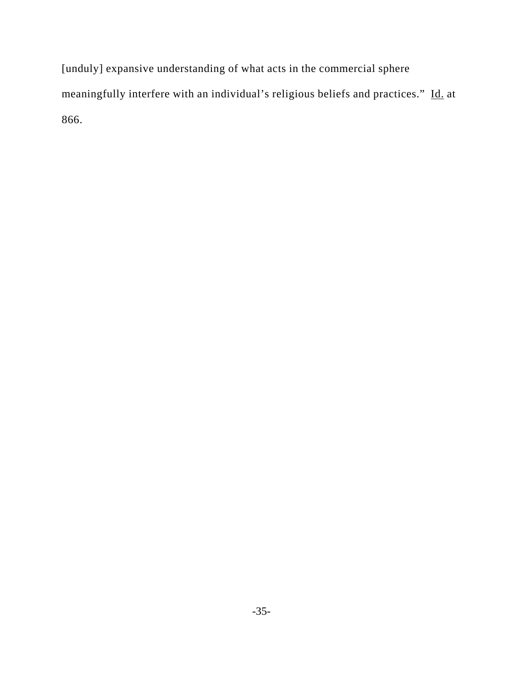[unduly] expansive understanding of what acts in the commercial sphere meaningfully interfere with an individual's religious beliefs and practices." Id. at 866.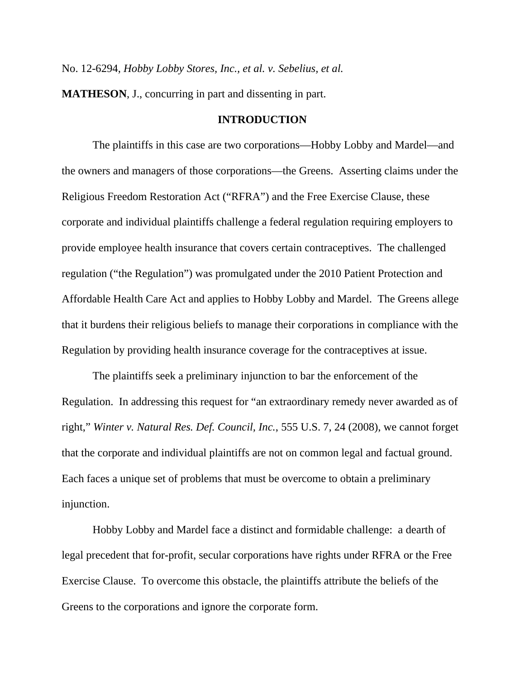No. 12-6294, *Hobby Lobby Stores, Inc., et al. v. Sebelius, et al.* 

**MATHESON**, J., concurring in part and dissenting in part.

## **INTRODUCTION**

The plaintiffs in this case are two corporations—Hobby Lobby and Mardel—and the owners and managers of those corporations—the Greens. Asserting claims under the Religious Freedom Restoration Act ("RFRA") and the Free Exercise Clause, these corporate and individual plaintiffs challenge a federal regulation requiring employers to provide employee health insurance that covers certain contraceptives. The challenged regulation ("the Regulation") was promulgated under the 2010 Patient Protection and Affordable Health Care Act and applies to Hobby Lobby and Mardel. The Greens allege that it burdens their religious beliefs to manage their corporations in compliance with the Regulation by providing health insurance coverage for the contraceptives at issue.

The plaintiffs seek a preliminary injunction to bar the enforcement of the Regulation. In addressing this request for "an extraordinary remedy never awarded as of right," *Winter v. Natural Res. Def. Council, Inc.*, 555 U.S. 7, 24 (2008), we cannot forget that the corporate and individual plaintiffs are not on common legal and factual ground. Each faces a unique set of problems that must be overcome to obtain a preliminary injunction.

Hobby Lobby and Mardel face a distinct and formidable challenge: a dearth of legal precedent that for-profit, secular corporations have rights under RFRA or the Free Exercise Clause. To overcome this obstacle, the plaintiffs attribute the beliefs of the Greens to the corporations and ignore the corporate form.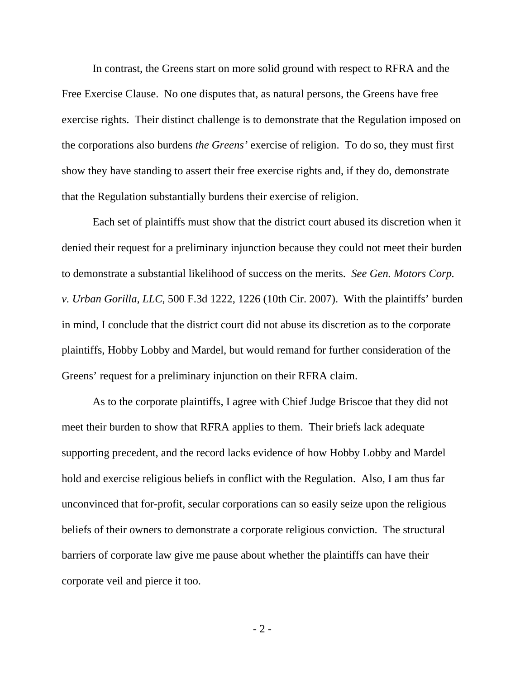In contrast, the Greens start on more solid ground with respect to RFRA and the Free Exercise Clause. No one disputes that, as natural persons, the Greens have free exercise rights. Their distinct challenge is to demonstrate that the Regulation imposed on the corporations also burdens *the Greens'* exercise of religion. To do so, they must first show they have standing to assert their free exercise rights and, if they do, demonstrate that the Regulation substantially burdens their exercise of religion.

Each set of plaintiffs must show that the district court abused its discretion when it denied their request for a preliminary injunction because they could not meet their burden to demonstrate a substantial likelihood of success on the merits. *See Gen. Motors Corp. v. Urban Gorilla, LLC*, 500 F.3d 1222, 1226 (10th Cir. 2007). With the plaintiffs' burden in mind, I conclude that the district court did not abuse its discretion as to the corporate plaintiffs, Hobby Lobby and Mardel, but would remand for further consideration of the Greens' request for a preliminary injunction on their RFRA claim.

As to the corporate plaintiffs, I agree with Chief Judge Briscoe that they did not meet their burden to show that RFRA applies to them. Their briefs lack adequate supporting precedent, and the record lacks evidence of how Hobby Lobby and Mardel hold and exercise religious beliefs in conflict with the Regulation. Also, I am thus far unconvinced that for-profit, secular corporations can so easily seize upon the religious beliefs of their owners to demonstrate a corporate religious conviction. The structural barriers of corporate law give me pause about whether the plaintiffs can have their corporate veil and pierce it too.

- 2 -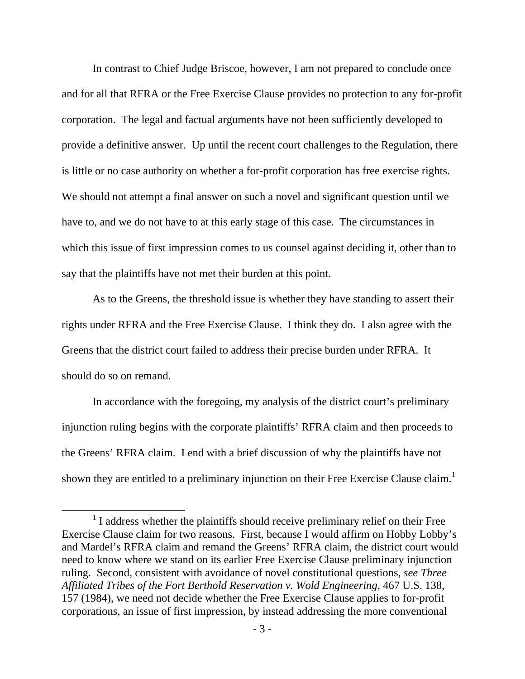In contrast to Chief Judge Briscoe, however, I am not prepared to conclude once and for all that RFRA or the Free Exercise Clause provides no protection to any for-profit corporation. The legal and factual arguments have not been sufficiently developed to provide a definitive answer. Up until the recent court challenges to the Regulation, there is little or no case authority on whether a for-profit corporation has free exercise rights. We should not attempt a final answer on such a novel and significant question until we have to, and we do not have to at this early stage of this case. The circumstances in which this issue of first impression comes to us counsel against deciding it, other than to say that the plaintiffs have not met their burden at this point.

As to the Greens, the threshold issue is whether they have standing to assert their rights under RFRA and the Free Exercise Clause. I think they do. I also agree with the Greens that the district court failed to address their precise burden under RFRA. It should do so on remand.

In accordance with the foregoing, my analysis of the district court's preliminary injunction ruling begins with the corporate plaintiffs' RFRA claim and then proceeds to the Greens' RFRA claim. I end with a brief discussion of why the plaintiffs have not shown they are entitled to a preliminary injunction on their Free Exercise Clause claim.<sup>1</sup>

 <sup>1</sup> I address whether the plaintiffs should receive preliminary relief on their Free Exercise Clause claim for two reasons. First, because I would affirm on Hobby Lobby's and Mardel's RFRA claim and remand the Greens' RFRA claim, the district court would need to know where we stand on its earlier Free Exercise Clause preliminary injunction ruling. Second, consistent with avoidance of novel constitutional questions, *see Three Affiliated Tribes of the Fort Berthold Reservation v. Wold Engineering*, 467 U.S. 138, 157 (1984), we need not decide whether the Free Exercise Clause applies to for-profit corporations, an issue of first impression, by instead addressing the more conventional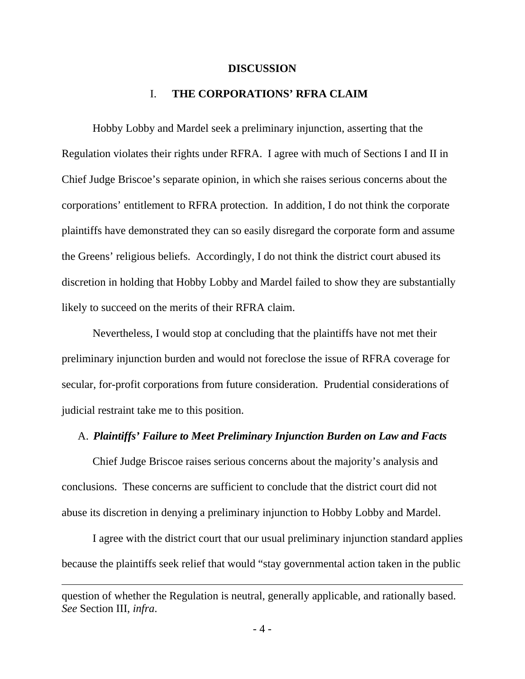#### **DISCUSSION**

# I. **THE CORPORATIONS' RFRA CLAIM**

Hobby Lobby and Mardel seek a preliminary injunction, asserting that the Regulation violates their rights under RFRA. I agree with much of Sections I and II in Chief Judge Briscoe's separate opinion, in which she raises serious concerns about the corporations' entitlement to RFRA protection. In addition, I do not think the corporate plaintiffs have demonstrated they can so easily disregard the corporate form and assume the Greens' religious beliefs. Accordingly, I do not think the district court abused its discretion in holding that Hobby Lobby and Mardel failed to show they are substantially likely to succeed on the merits of their RFRA claim.

Nevertheless, I would stop at concluding that the plaintiffs have not met their preliminary injunction burden and would not foreclose the issue of RFRA coverage for secular, for-profit corporations from future consideration. Prudential considerations of judicial restraint take me to this position.

## A. *Plaintiffs' Failure to Meet Preliminary Injunction Burden on Law and Facts*

Chief Judge Briscoe raises serious concerns about the majority's analysis and conclusions. These concerns are sufficient to conclude that the district court did not abuse its discretion in denying a preliminary injunction to Hobby Lobby and Mardel.

I agree with the district court that our usual preliminary injunction standard applies because the plaintiffs seek relief that would "stay governmental action taken in the public

<u> 1989 - Andrea San Andrea San Andrea San Andrea San Andrea San Andrea San Andrea San Andrea San Andrea San An</u>

question of whether the Regulation is neutral, generally applicable, and rationally based. *See* Section III, *infra*.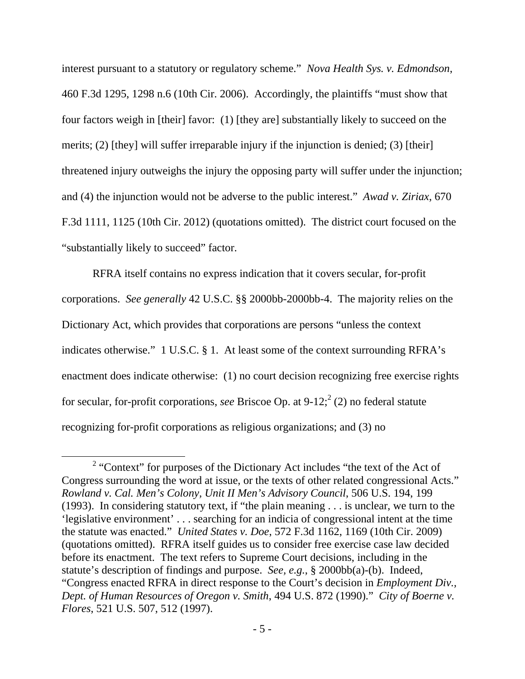interest pursuant to a statutory or regulatory scheme." *Nova Health Sys. v. Edmondson*, 460 F.3d 1295, 1298 n.6 (10th Cir. 2006). Accordingly, the plaintiffs "must show that four factors weigh in [their] favor: (1) [they are] substantially likely to succeed on the merits; (2) [they] will suffer irreparable injury if the injunction is denied; (3) [their] threatened injury outweighs the injury the opposing party will suffer under the injunction; and (4) the injunction would not be adverse to the public interest." *Awad v. Ziriax*, 670 F.3d 1111, 1125 (10th Cir. 2012) (quotations omitted). The district court focused on the "substantially likely to succeed" factor.

RFRA itself contains no express indication that it covers secular, for-profit corporations. *See generally* 42 U.S.C. §§ 2000bb-2000bb-4.The majority relies on the Dictionary Act, which provides that corporations are persons "unless the context indicates otherwise." 1 U.S.C. § 1. At least some of the context surrounding RFRA's enactment does indicate otherwise: (1) no court decision recognizing free exercise rights for secular, for-profit corporations, *see* Briscoe Op. at  $9-12$ ;  $2(2)$  no federal statute recognizing for-profit corporations as religious organizations; and (3) no

<sup>&</sup>lt;sup>2</sup> "Context" for purposes of the Dictionary Act includes "the text of the Act of Congress surrounding the word at issue, or the texts of other related congressional Acts." *Rowland v. Cal. Men's Colony, Unit II Men's Advisory Council*, 506 U.S. 194, 199 (1993). In considering statutory text, if "the plain meaning . . . is unclear, we turn to the 'legislative environment' . . . searching for an indicia of congressional intent at the time the statute was enacted." *United States v. Doe*, 572 F.3d 1162, 1169 (10th Cir. 2009) (quotations omitted). RFRA itself guides us to consider free exercise case law decided before its enactment. The text refers to Supreme Court decisions, including in the statute's description of findings and purpose. *See, e.g.*, § 2000bb(a)-(b). Indeed, "Congress enacted RFRA in direct response to the Court's decision in *Employment Div., Dept. of Human Resources of Oregon v. Smith*, 494 U.S. 872 (1990)." *City of Boerne v. Flores*, 521 U.S. 507, 512 (1997).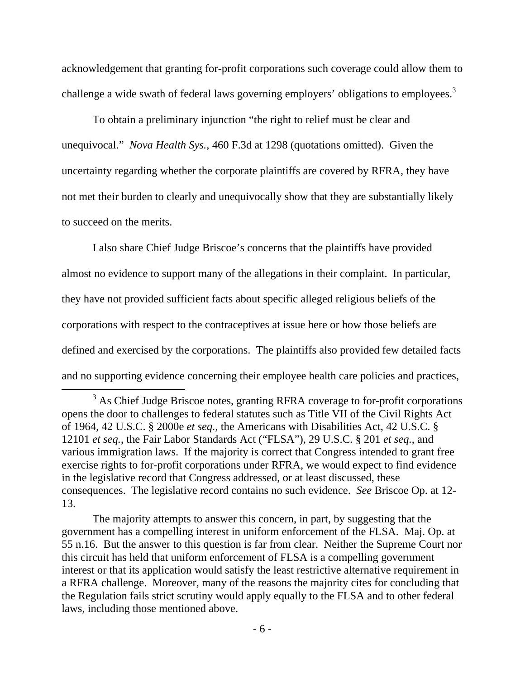acknowledgement that granting for-profit corporations such coverage could allow them to challenge a wide swath of federal laws governing employers' obligations to employees.<sup>3</sup>

To obtain a preliminary injunction "the right to relief must be clear and unequivocal." *Nova Health Sys.*, 460 F.3d at 1298 (quotations omitted). Given the uncertainty regarding whether the corporate plaintiffs are covered by RFRA, they have not met their burden to clearly and unequivocally show that they are substantially likely to succeed on the merits.

I also share Chief Judge Briscoe's concerns that the plaintiffs have provided almost no evidence to support many of the allegations in their complaint. In particular, they have not provided sufficient facts about specific alleged religious beliefs of the corporations with respect to the contraceptives at issue here or how those beliefs are defined and exercised by the corporations. The plaintiffs also provided few detailed facts and no supporting evidence concerning their employee health care policies and practices,

<sup>&</sup>lt;sup>3</sup> As Chief Judge Briscoe notes, granting RFRA coverage to for-profit corporations opens the door to challenges to federal statutes such as Title VII of the Civil Rights Act of 1964, 42 U.S.C. § 2000e *et seq.*, the Americans with Disabilities Act, 42 U.S.C. § 12101 *et seq.*, the Fair Labor Standards Act ("FLSA"), 29 U.S.C. § 201 *et seq.*, and various immigration laws. If the majority is correct that Congress intended to grant free exercise rights to for-profit corporations under RFRA, we would expect to find evidence in the legislative record that Congress addressed, or at least discussed, these consequences. The legislative record contains no such evidence. *See* Briscoe Op. at 12- 13.

The majority attempts to answer this concern, in part, by suggesting that the government has a compelling interest in uniform enforcement of the FLSA. Maj. Op. at 55 n.16. But the answer to this question is far from clear. Neither the Supreme Court nor this circuit has held that uniform enforcement of FLSA is a compelling government interest or that its application would satisfy the least restrictive alternative requirement in a RFRA challenge. Moreover, many of the reasons the majority cites for concluding that the Regulation fails strict scrutiny would apply equally to the FLSA and to other federal laws, including those mentioned above.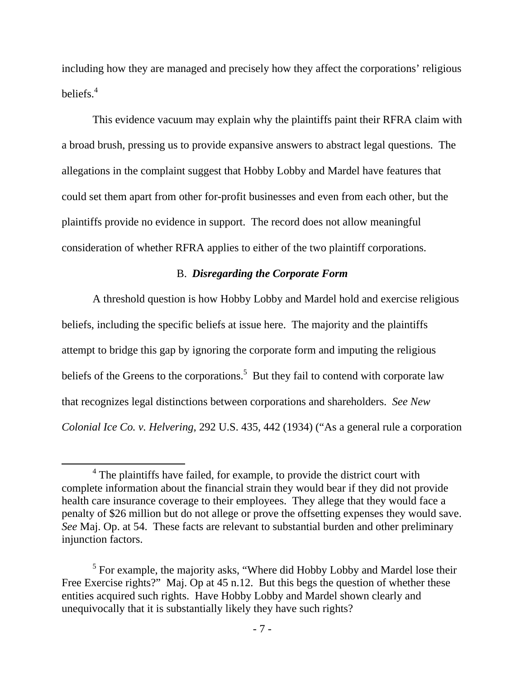including how they are managed and precisely how they affect the corporations' religious beliefs.<sup>4</sup>

This evidence vacuum may explain why the plaintiffs paint their RFRA claim with a broad brush, pressing us to provide expansive answers to abstract legal questions. The allegations in the complaint suggest that Hobby Lobby and Mardel have features that could set them apart from other for-profit businesses and even from each other, but the plaintiffs provide no evidence in support. The record does not allow meaningful consideration of whether RFRA applies to either of the two plaintiff corporations.

## B. *Disregarding the Corporate Form*

A threshold question is how Hobby Lobby and Mardel hold and exercise religious beliefs, including the specific beliefs at issue here. The majority and the plaintiffs attempt to bridge this gap by ignoring the corporate form and imputing the religious beliefs of the Greens to the corporations.<sup>5</sup> But they fail to contend with corporate law that recognizes legal distinctions between corporations and shareholders. *See New Colonial Ice Co. v. Helvering*, 292 U.S. 435, 442 (1934) ("As a general rule a corporation

 <sup>4</sup> The plaintiffs have failed, for example, to provide the district court with complete information about the financial strain they would bear if they did not provide health care insurance coverage to their employees. They allege that they would face a penalty of \$26 million but do not allege or prove the offsetting expenses they would save. *See* Maj. Op. at 54. These facts are relevant to substantial burden and other preliminary injunction factors.

<sup>&</sup>lt;sup>5</sup> For example, the majority asks, "Where did Hobby Lobby and Mardel lose their Free Exercise rights?" Maj. Op at 45 n.12. But this begs the question of whether these entities acquired such rights. Have Hobby Lobby and Mardel shown clearly and unequivocally that it is substantially likely they have such rights?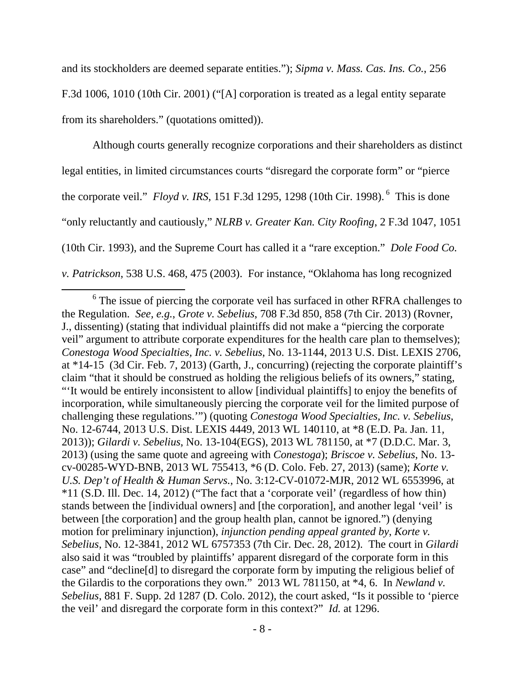and its stockholders are deemed separate entities."); *Sipma v. Mass. Cas. Ins. Co.*, 256 F.3d 1006, 1010 (10th Cir. 2001) ("[A] corporation is treated as a legal entity separate from its shareholders." (quotations omitted)).

Although courts generally recognize corporations and their shareholders as distinct legal entities, in limited circumstances courts "disregard the corporate form" or "pierce the corporate veil." *Floyd v. IRS*, 151 F.3d 1295, 1298 (10th Cir. 1998). 6 This is done "only reluctantly and cautiously," *NLRB v. Greater Kan. City Roofing*, 2 F.3d 1047, 1051 (10th Cir. 1993), and the Supreme Court has called it a "rare exception." *Dole Food Co. v. Patrickson*, 538 U.S. 468, 475 (2003). For instance, "Oklahoma has long recognized

<sup>&</sup>lt;sup>6</sup> The issue of piercing the corporate veil has surfaced in other RFRA challenges to the Regulation. *See, e.g.*, *Grote v. Sebelius*, 708 F.3d 850, 858 (7th Cir. 2013) (Rovner, J., dissenting) (stating that individual plaintiffs did not make a "piercing the corporate veil" argument to attribute corporate expenditures for the health care plan to themselves); *Conestoga Wood Specialties, Inc. v. Sebelius*, No. 13-1144, 2013 U.S. Dist. LEXIS 2706, at \*14-15 (3d Cir. Feb. 7, 2013) (Garth, J., concurring) (rejecting the corporate plaintiff's claim "that it should be construed as holding the religious beliefs of its owners," stating, "'It would be entirely inconsistent to allow [individual plaintiffs] to enjoy the benefits of incorporation, while simultaneously piercing the corporate veil for the limited purpose of challenging these regulations.'") (quoting *Conestoga Wood Specialties, Inc. v. Sebelius*, No. 12-6744, 2013 U.S. Dist. LEXIS 4449, 2013 WL 140110, at \*8 (E.D. Pa. Jan. 11, 2013)); *Gilardi v. Sebelius*, No. 13-104(EGS), 2013 WL 781150, at \*7 (D.D.C. Mar. 3, 2013) (using the same quote and agreeing with *Conestoga*); *Briscoe v. Sebelius*, No. 13 cv-00285-WYD-BNB, 2013 WL 755413, \*6 (D. Colo. Feb. 27, 2013) (same); *Korte v. U.S. Dep't of Health & Human Servs.*, No. 3:12-CV-01072-MJR, 2012 WL 6553996, at \*11 (S.D. Ill. Dec. 14, 2012) ("The fact that a 'corporate veil' (regardless of how thin) stands between the [individual owners] and [the corporation], and another legal 'veil' is between [the corporation] and the group health plan, cannot be ignored.") (denying motion for preliminary injunction), *injunction pending appeal granted by*, *Korte v. Sebelius*, No. 12-3841, 2012 WL 6757353 (7th Cir. Dec. 28, 2012). The court in *Gilardi* also said it was "troubled by plaintiffs' apparent disregard of the corporate form in this case" and "decline[d] to disregard the corporate form by imputing the religious belief of the Gilardis to the corporations they own." 2013 WL 781150, at \*4, 6. In *Newland v. Sebelius*, 881 F. Supp. 2d 1287 (D. Colo. 2012), the court asked, "Is it possible to 'pierce the veil' and disregard the corporate form in this context?" *Id.* at 1296.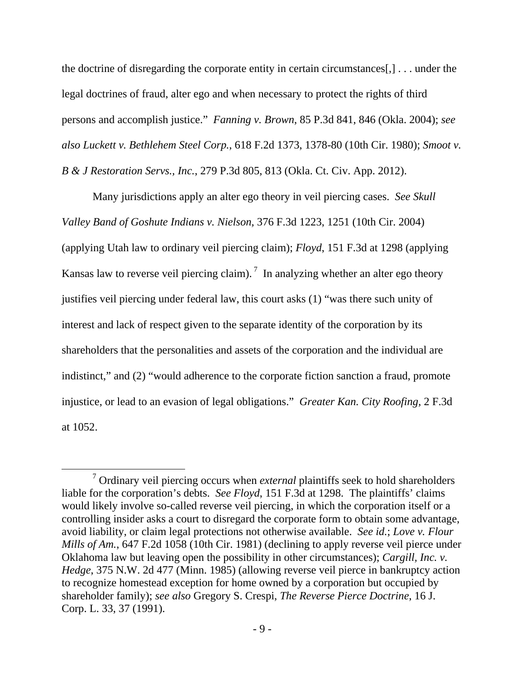the doctrine of disregarding the corporate entity in certain circumstances[,] . . . under the legal doctrines of fraud, alter ego and when necessary to protect the rights of third persons and accomplish justice." *Fanning v. Brown*, 85 P.3d 841, 846 (Okla. 2004); *see also Luckett v. Bethlehem Steel Corp.*, 618 F.2d 1373, 1378-80 (10th Cir. 1980); *Smoot v. B & J Restoration Servs., Inc.*, 279 P.3d 805, 813 (Okla. Ct. Civ. App. 2012).

Many jurisdictions apply an alter ego theory in veil piercing cases. *See Skull Valley Band of Goshute Indians v. Nielson,* 376 F.3d 1223, 1251 (10th Cir. 2004) (applying Utah law to ordinary veil piercing claim); *Floyd*, 151 F.3d at 1298 (applying Kansas law to reverse veil piercing claim).<sup>7</sup> In analyzing whether an alter ego theory justifies veil piercing under federal law, this court asks (1) "was there such unity of interest and lack of respect given to the separate identity of the corporation by its shareholders that the personalities and assets of the corporation and the individual are indistinct," and (2) "would adherence to the corporate fiction sanction a fraud, promote injustice, or lead to an evasion of legal obligations." *Greater Kan. City Roofing*, 2 F.3d at 1052.

<sup>&</sup>lt;sup>7</sup> Ordinary veil piercing occurs when *external* plaintiffs seek to hold shareholders liable for the corporation's debts. *See Floyd*, 151 F.3d at 1298. The plaintiffs' claims would likely involve so-called reverse veil piercing, in which the corporation itself or a controlling insider asks a court to disregard the corporate form to obtain some advantage, avoid liability, or claim legal protections not otherwise available. *See id.*; *Love v. Flour Mills of Am.*, 647 F.2d 1058 (10th Cir. 1981) (declining to apply reverse veil pierce under Oklahoma law but leaving open the possibility in other circumstances); *Cargill, Inc. v. Hedge*, 375 N.W. 2d 477 (Minn. 1985) (allowing reverse veil pierce in bankruptcy action to recognize homestead exception for home owned by a corporation but occupied by shareholder family); *see also* Gregory S. Crespi, *The Reverse Pierce Doctrine*, 16 J. Corp. L. 33, 37 (1991).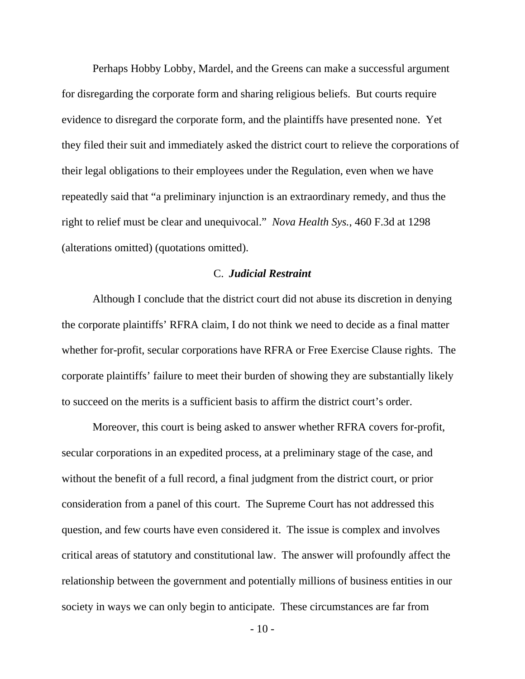Perhaps Hobby Lobby, Mardel, and the Greens can make a successful argument for disregarding the corporate form and sharing religious beliefs. But courts require evidence to disregard the corporate form, and the plaintiffs have presented none. Yet they filed their suit and immediately asked the district court to relieve the corporations of their legal obligations to their employees under the Regulation, even when we have repeatedly said that "a preliminary injunction is an extraordinary remedy, and thus the right to relief must be clear and unequivocal." *Nova Health Sys.*, 460 F.3d at 1298 (alterations omitted) (quotations omitted).

#### C. *Judicial Restraint*

Although I conclude that the district court did not abuse its discretion in denying the corporate plaintiffs' RFRA claim, I do not think we need to decide as a final matter whether for-profit, secular corporations have RFRA or Free Exercise Clause rights. The corporate plaintiffs' failure to meet their burden of showing they are substantially likely to succeed on the merits is a sufficient basis to affirm the district court's order.

Moreover, this court is being asked to answer whether RFRA covers for-profit, secular corporations in an expedited process, at a preliminary stage of the case, and without the benefit of a full record, a final judgment from the district court, or prior consideration from a panel of this court. The Supreme Court has not addressed this question, and few courts have even considered it. The issue is complex and involves critical areas of statutory and constitutional law. The answer will profoundly affect the relationship between the government and potentially millions of business entities in our society in ways we can only begin to anticipate. These circumstances are far from

 $-10-$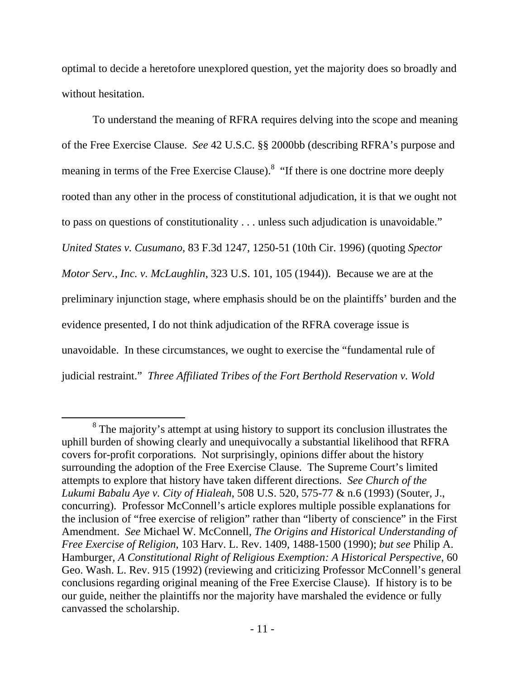optimal to decide a heretofore unexplored question, yet the majority does so broadly and without hesitation.

To understand the meaning of RFRA requires delving into the scope and meaning of the Free Exercise Clause. *See* 42 U.S.C. §§ 2000bb (describing RFRA's purpose and meaning in terms of the Free Exercise Clause).<sup>8</sup> "If there is one doctrine more deeply rooted than any other in the process of constitutional adjudication, it is that we ought not to pass on questions of constitutionality . . . unless such adjudication is unavoidable." *United States v. Cusumano*, 83 F.3d 1247, 1250-51 (10th Cir. 1996) (quoting *Spector Motor Serv., Inc. v. McLaughlin*, 323 U.S. 101, 105 (1944)). Because we are at the preliminary injunction stage, where emphasis should be on the plaintiffs' burden and the evidence presented, I do not think adjudication of the RFRA coverage issue is unavoidable. In these circumstances, we ought to exercise the "fundamental rule of judicial restraint." *Three Affiliated Tribes of the Fort Berthold Reservation v. Wold* 

<sup>&</sup>lt;sup>8</sup> The majority's attempt at using history to support its conclusion illustrates the uphill burden of showing clearly and unequivocally a substantial likelihood that RFRA covers for-profit corporations. Not surprisingly, opinions differ about the history surrounding the adoption of the Free Exercise Clause. The Supreme Court's limited attempts to explore that history have taken different directions. *See Church of the Lukumi Babalu Aye v. City of Hialeah*, 508 U.S. 520, 575-77 & n.6 (1993) (Souter, J., concurring). Professor McConnell's article explores multiple possible explanations for the inclusion of "free exercise of religion" rather than "liberty of conscience" in the First Amendment. *See* Michael W. McConnell, *The Origins and Historical Understanding of Free Exercise of Religion*, 103 Harv. L. Rev. 1409, 1488-1500 (1990); *but see* Philip A. Hamburger, *A Constitutional Right of Religious Exemption: A Historical Perspective*, 60 Geo. Wash. L. Rev. 915 (1992) (reviewing and criticizing Professor McConnell's general conclusions regarding original meaning of the Free Exercise Clause). If history is to be our guide, neither the plaintiffs nor the majority have marshaled the evidence or fully canvassed the scholarship.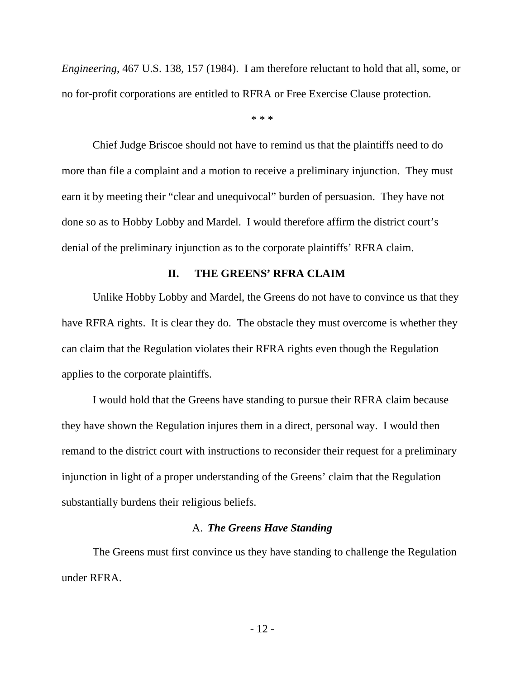*Engineering*, 467 U.S. 138, 157 (1984). I am therefore reluctant to hold that all, some, or no for-profit corporations are entitled to RFRA or Free Exercise Clause protection.

\* \* \*

Chief Judge Briscoe should not have to remind us that the plaintiffs need to do more than file a complaint and a motion to receive a preliminary injunction. They must earn it by meeting their "clear and unequivocal" burden of persuasion. They have not done so as to Hobby Lobby and Mardel. I would therefore affirm the district court's denial of the preliminary injunction as to the corporate plaintiffs' RFRA claim.

### **II. THE GREENS' RFRA CLAIM**

Unlike Hobby Lobby and Mardel, the Greens do not have to convince us that they have RFRA rights. It is clear they do. The obstacle they must overcome is whether they can claim that the Regulation violates their RFRA rights even though the Regulation applies to the corporate plaintiffs.

I would hold that the Greens have standing to pursue their RFRA claim because they have shown the Regulation injures them in a direct, personal way. I would then remand to the district court with instructions to reconsider their request for a preliminary injunction in light of a proper understanding of the Greens' claim that the Regulation substantially burdens their religious beliefs.

### A. *The Greens Have Standing*

The Greens must first convince us they have standing to challenge the Regulation under RFRA.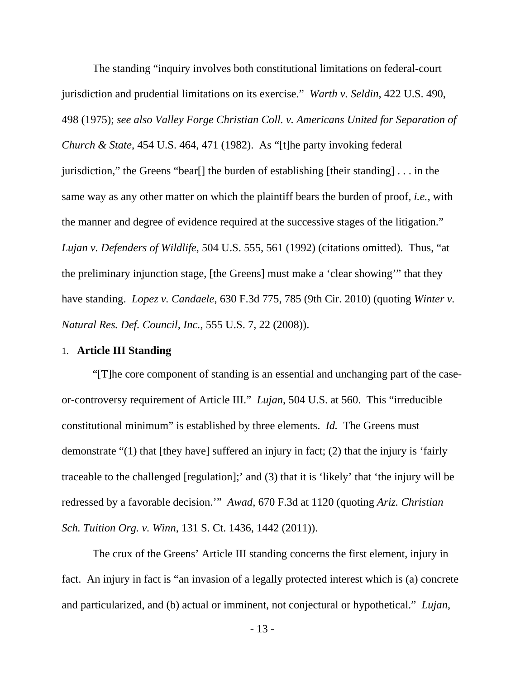The standing "inquiry involves both constitutional limitations on federal-court jurisdiction and prudential limitations on its exercise." *Warth v. Seldin*, 422 U.S. 490, 498 (1975); *see also Valley Forge Christian Coll. v. Americans United for Separation of Church & State*, 454 U.S. 464, 471 (1982). As "[t]he party invoking federal jurisdiction," the Greens "bear[] the burden of establishing [their standing] . . . in the same way as any other matter on which the plaintiff bears the burden of proof, *i.e.*, with the manner and degree of evidence required at the successive stages of the litigation." *Lujan v. Defenders of Wildlife*, 504 U.S. 555, 561 (1992) (citations omitted). Thus, "at the preliminary injunction stage, [the Greens] must make a 'clear showing'" that they have standing. *Lopez v. Candaele*, 630 F.3d 775, 785 (9th Cir. 2010) (quoting *Winter v. Natural Res. Def. Council, Inc.*, 555 U.S. 7, 22 (2008)).

#### 1. **Article III Standing**

"[T]he core component of standing is an essential and unchanging part of the caseor-controversy requirement of Article III." *Lujan*, 504 U.S. at 560. This "irreducible constitutional minimum" is established by three elements. *Id.* The Greens must demonstrate "(1) that [they have] suffered an injury in fact; (2) that the injury is 'fairly traceable to the challenged [regulation];' and (3) that it is 'likely' that 'the injury will be redressed by a favorable decision.'" *Awad*, 670 F.3d at 1120 (quoting *Ariz. Christian Sch. Tuition Org. v. Winn*, 131 S. Ct. 1436, 1442 (2011)).

The crux of the Greens' Article III standing concerns the first element, injury in fact. An injury in fact is "an invasion of a legally protected interest which is (a) concrete and particularized, and (b) actual or imminent, not conjectural or hypothetical." *Lujan*,

- 13 -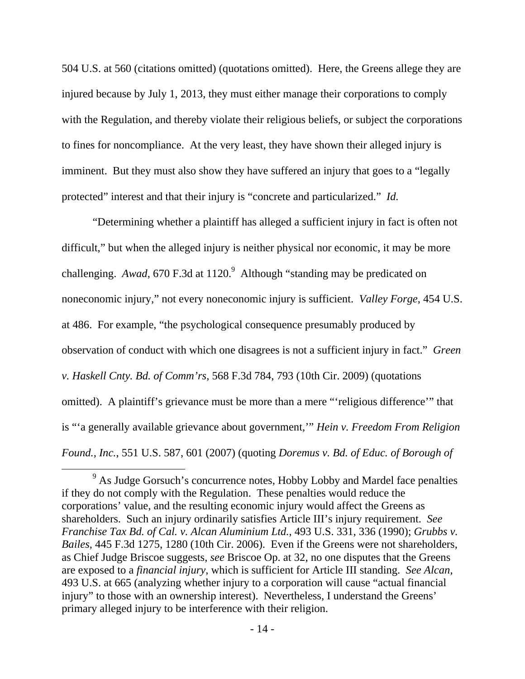504 U.S. at 560 (citations omitted) (quotations omitted). Here, the Greens allege they are injured because by July 1, 2013, they must either manage their corporations to comply with the Regulation, and thereby violate their religious beliefs, or subject the corporations to fines for noncompliance. At the very least, they have shown their alleged injury is imminent. But they must also show they have suffered an injury that goes to a "legally protected" interest and that their injury is "concrete and particularized." *Id.*

"Determining whether a plaintiff has alleged a sufficient injury in fact is often not difficult," but when the alleged injury is neither physical nor economic, it may be more challenging. *Awad*, 670 F.3d at 1120.<sup>9</sup> Although "standing may be predicated on noneconomic injury," not every noneconomic injury is sufficient. *Valley Forge*, 454 U.S. at 486. For example, "the psychological consequence presumably produced by observation of conduct with which one disagrees is not a sufficient injury in fact." *Green v. Haskell Cnty. Bd. of Comm'rs*, 568 F.3d 784, 793 (10th Cir. 2009) (quotations omitted). A plaintiff's grievance must be more than a mere "'religious difference'" that is "'a generally available grievance about government,'" *Hein v. Freedom From Religion Found., Inc.*, 551 U.S. 587, 601 (2007) (quoting *Doremus v. Bd. of Educ. of Borough of* 

<sup>&</sup>lt;sup>9</sup> As Judge Gorsuch's concurrence notes, Hobby Lobby and Mardel face penalties if they do not comply with the Regulation. These penalties would reduce the corporations' value, and the resulting economic injury would affect the Greens as shareholders. Such an injury ordinarily satisfies Article III's injury requirement. *See Franchise Tax Bd. of Cal. v. Alcan Aluminium Ltd.*, 493 U.S. 331, 336 (1990); *Grubbs v. Bailes*, 445 F.3d 1275, 1280 (10th Cir. 2006). Even if the Greens were not shareholders, as Chief Judge Briscoe suggests, *see* Briscoe Op. at 32, no one disputes that the Greens are exposed to a *financial injury*, which is sufficient for Article III standing. *See Alcan*, 493 U.S. at 665 (analyzing whether injury to a corporation will cause "actual financial injury" to those with an ownership interest). Nevertheless, I understand the Greens' primary alleged injury to be interference with their religion.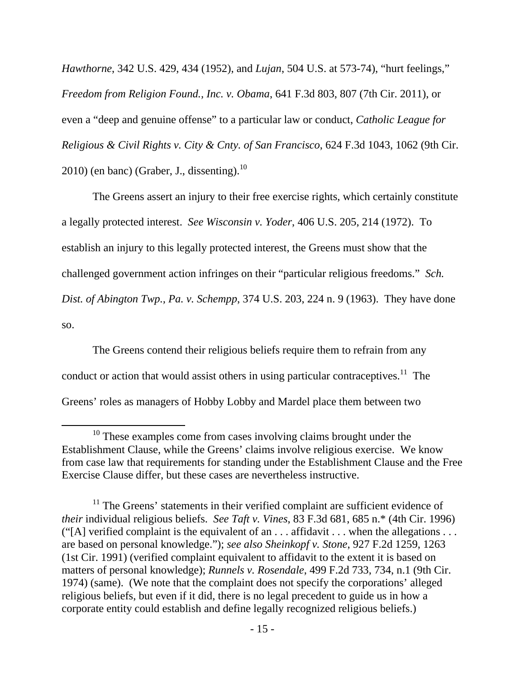*Hawthorne*, 342 U.S. 429, 434 (1952), and *Lujan*, 504 U.S. at 573-74), "hurt feelings," *Freedom from Religion Found., Inc. v. Obama*, 641 F.3d 803, 807 (7th Cir. 2011), or even a "deep and genuine offense" to a particular law or conduct, *Catholic League for Religious & Civil Rights v. City & Cnty. of San Francisco*, 624 F.3d 1043, 1062 (9th Cir.  $2010$ ) (en banc) (Graber, J., dissenting).<sup>10</sup>

The Greens assert an injury to their free exercise rights, which certainly constitute a legally protected interest. *See Wisconsin v. Yoder*, 406 U.S. 205, 214 (1972). To establish an injury to this legally protected interest, the Greens must show that the challenged government action infringes on their "particular religious freedoms." *Sch. Dist. of Abington Twp., Pa. v. Schempp*, 374 U.S. 203, 224 n. 9 (1963). They have done so.

The Greens contend their religious beliefs require them to refrain from any conduct or action that would assist others in using particular contraceptives.<sup>11</sup> The Greens' roles as managers of Hobby Lobby and Mardel place them between two

<sup>&</sup>lt;sup>10</sup> These examples come from cases involving claims brought under the Establishment Clause, while the Greens' claims involve religious exercise. We know from case law that requirements for standing under the Establishment Clause and the Free Exercise Clause differ, but these cases are nevertheless instructive.

 $11$  The Greens' statements in their verified complaint are sufficient evidence of *their* individual religious beliefs. *See Taft v. Vines*, 83 F.3d 681, 685 n.\* (4th Cir. 1996) ("[A] verified complaint is the equivalent of an  $\dots$  affidavit  $\dots$  when the allegations  $\dots$ are based on personal knowledge."); *see also Sheinkopf v. Stone*, 927 F.2d 1259, 1263 (1st Cir. 1991) (verified complaint equivalent to affidavit to the extent it is based on matters of personal knowledge); *Runnels v. Rosendale*, 499 F.2d 733, 734, n.1 (9th Cir. 1974) (same). (We note that the complaint does not specify the corporations' alleged religious beliefs, but even if it did, there is no legal precedent to guide us in how a corporate entity could establish and define legally recognized religious beliefs.)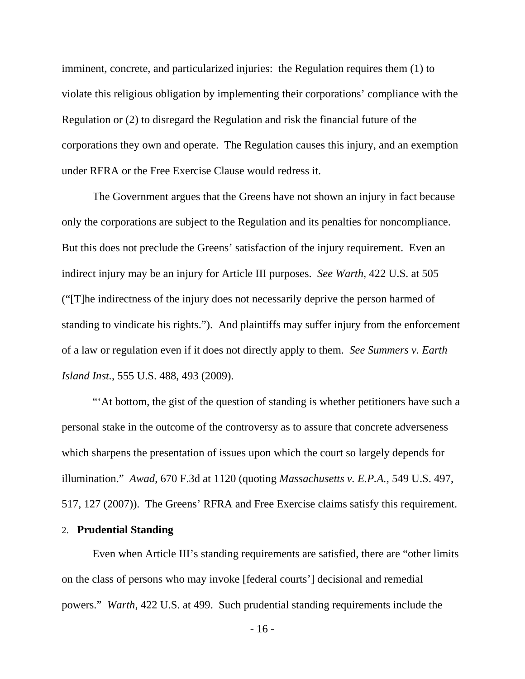imminent, concrete, and particularized injuries: the Regulation requires them (1) to violate this religious obligation by implementing their corporations' compliance with the Regulation or (2) to disregard the Regulation and risk the financial future of the corporations they own and operate. The Regulation causes this injury, and an exemption under RFRA or the Free Exercise Clause would redress it.

The Government argues that the Greens have not shown an injury in fact because only the corporations are subject to the Regulation and its penalties for noncompliance. But this does not preclude the Greens' satisfaction of the injury requirement. Even an indirect injury may be an injury for Article III purposes. *See Warth*, 422 U.S. at 505 ("[T]he indirectness of the injury does not necessarily deprive the person harmed of standing to vindicate his rights."). And plaintiffs may suffer injury from the enforcement of a law or regulation even if it does not directly apply to them. *See Summers v. Earth Island Inst.*, 555 U.S. 488, 493 (2009).

"'At bottom, the gist of the question of standing is whether petitioners have such a personal stake in the outcome of the controversy as to assure that concrete adverseness which sharpens the presentation of issues upon which the court so largely depends for illumination." *Awad*, 670 F.3d at 1120 (quoting *Massachusetts v. E.P.A.*, 549 U.S. 497, 517, 127 (2007)). The Greens' RFRA and Free Exercise claims satisfy this requirement.

## 2. **Prudential Standing**

Even when Article III's standing requirements are satisfied, there are "other limits on the class of persons who may invoke [federal courts'] decisional and remedial powers." *Warth*, 422 U.S. at 499. Such prudential standing requirements include the

- 16 -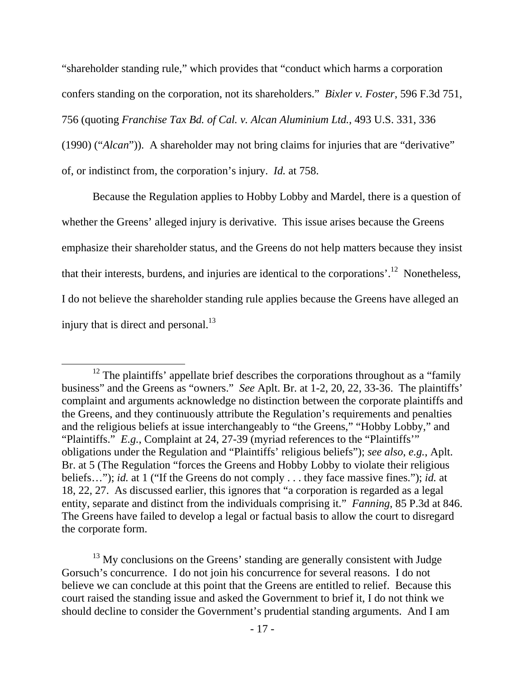"shareholder standing rule," which provides that "conduct which harms a corporation confers standing on the corporation, not its shareholders." *Bixler v. Foster*, 596 F.3d 751, 756 (quoting *Franchise Tax Bd. of Cal. v. Alcan Aluminium Ltd.*, 493 U.S. 331, 336 (1990) ("*Alcan*")). A shareholder may not bring claims for injuries that are "derivative" of, or indistinct from, the corporation's injury. *Id.* at 758.

Because the Regulation applies to Hobby Lobby and Mardel, there is a question of whether the Greens' alleged injury is derivative. This issue arises because the Greens emphasize their shareholder status, and the Greens do not help matters because they insist that their interests, burdens, and injuries are identical to the corporations'.12 Nonetheless, I do not believe the shareholder standing rule applies because the Greens have alleged an injury that is direct and personal. $^{13}$ 

 $12$  The plaintiffs' appellate brief describes the corporations throughout as a "family" business" and the Greens as "owners." *See* Aplt. Br. at 1-2, 20, 22, 33-36. The plaintiffs' complaint and arguments acknowledge no distinction between the corporate plaintiffs and the Greens, and they continuously attribute the Regulation's requirements and penalties and the religious beliefs at issue interchangeably to "the Greens," "Hobby Lobby," and "Plaintiffs." *E.g.*, Complaint at 24, 27-39 (myriad references to the "Plaintiffs'" obligations under the Regulation and "Plaintiffs' religious beliefs"); *see also*, *e.g.*, Aplt. Br. at 5 (The Regulation "forces the Greens and Hobby Lobby to violate their religious beliefs…"); *id.* at 1 ("If the Greens do not comply . . . they face massive fines."); *id.* at 18, 22, 27. As discussed earlier, this ignores that "a corporation is regarded as a legal entity, separate and distinct from the individuals comprising it." *Fanning*, 85 P.3d at 846. The Greens have failed to develop a legal or factual basis to allow the court to disregard the corporate form.

 $13$  My conclusions on the Greens' standing are generally consistent with Judge Gorsuch's concurrence. I do not join his concurrence for several reasons. I do not believe we can conclude at this point that the Greens are entitled to relief. Because this court raised the standing issue and asked the Government to brief it, I do not think we should decline to consider the Government's prudential standing arguments. And I am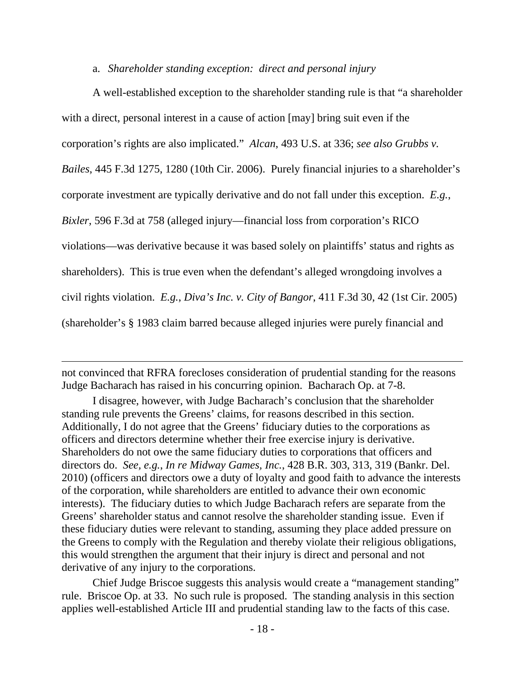## a. *Shareholder standing exception: direct and personal injury*

A well-established exception to the shareholder standing rule is that "a shareholder with a direct, personal interest in a cause of action [may] bring suit even if the corporation's rights are also implicated." *Alcan*, 493 U.S. at 336; *see also Grubbs v. Bailes*, 445 F.3d 1275, 1280 (10th Cir. 2006). Purely financial injuries to a shareholder's corporate investment are typically derivative and do not fall under this exception. *E.g.*, *Bixler*, 596 F.3d at 758 (alleged injury—financial loss from corporation's RICO violations—was derivative because it was based solely on plaintiffs' status and rights as shareholders). This is true even when the defendant's alleged wrongdoing involves a civil rights violation. *E.g.*, *Diva's Inc. v. City of Bangor*, 411 F.3d 30, 42 (1st Cir. 2005) (shareholder's § 1983 claim barred because alleged injuries were purely financial and

not convinced that RFRA forecloses consideration of prudential standing for the reasons Judge Bacharach has raised in his concurring opinion. Bacharach Op. at 7-8.

<u> 1989 - Andrea San Andrea San Andrea San Andrea San Andrea San Andrea San Andrea San Andrea San Andrea San An</u>

I disagree, however, with Judge Bacharach's conclusion that the shareholder standing rule prevents the Greens' claims, for reasons described in this section. Additionally, I do not agree that the Greens' fiduciary duties to the corporations as officers and directors determine whether their free exercise injury is derivative. Shareholders do not owe the same fiduciary duties to corporations that officers and directors do. *See, e.g.*, *In re Midway Games, Inc.*, 428 B.R. 303, 313, 319 (Bankr. Del. 2010) (officers and directors owe a duty of loyalty and good faith to advance the interests of the corporation, while shareholders are entitled to advance their own economic interests). The fiduciary duties to which Judge Bacharach refers are separate from the Greens' shareholder status and cannot resolve the shareholder standing issue. Even if these fiduciary duties were relevant to standing, assuming they place added pressure on the Greens to comply with the Regulation and thereby violate their religious obligations, this would strengthen the argument that their injury is direct and personal and not derivative of any injury to the corporations.

Chief Judge Briscoe suggests this analysis would create a "management standing" rule. Briscoe Op. at 33. No such rule is proposed. The standing analysis in this section applies well-established Article III and prudential standing law to the facts of this case.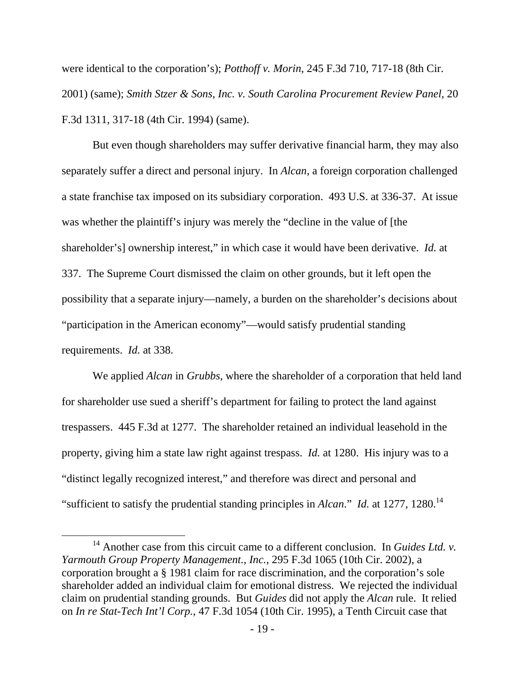were identical to the corporation's); *Potthoff v. Morin*, 245 F.3d 710, 717-18 (8th Cir. 2001) (same); *Smith Stzer & Sons, Inc. v. South Carolina Procurement Review Panel*, 20 F.3d 1311, 317-18 (4th Cir. 1994) (same).

But even though shareholders may suffer derivative financial harm, they may also separately suffer a direct and personal injury. In *Alcan*, a foreign corporation challenged a state franchise tax imposed on its subsidiary corporation. 493 U.S. at 336-37. At issue was whether the plaintiff's injury was merely the "decline in the value of [the shareholder's] ownership interest," in which case it would have been derivative. *Id.* at 337. The Supreme Court dismissed the claim on other grounds, but it left open the possibility that a separate injury—namely, a burden on the shareholder's decisions about "participation in the American economy"—would satisfy prudential standing requirements. *Id.* at 338.

We applied *Alcan* in *Grubbs*, where the shareholder of a corporation that held land for shareholder use sued a sheriff's department for failing to protect the land against trespassers. 445 F.3d at 1277. The shareholder retained an individual leasehold in the property, giving him a state law right against trespass. *Id.* at 1280. His injury was to a "distinct legally recognized interest," and therefore was direct and personal and "sufficient to satisfy the prudential standing principles in *Alcan*." *Id.* at 1277, 1280.<sup>14</sup>

<sup>&</sup>lt;sup>14</sup> Another case from this circuit came to a different conclusion. In *Guides Ltd. v. Yarmouth Group Property Management., Inc.*, 295 F.3d 1065 (10th Cir. 2002), a corporation brought a § 1981 claim for race discrimination, and the corporation's sole shareholder added an individual claim for emotional distress. We rejected the individual claim on prudential standing grounds. But *Guides* did not apply the *Alcan* rule. It relied on *In re Stat-Tech Int'l Corp.*, 47 F.3d 1054 (10th Cir. 1995), a Tenth Circuit case that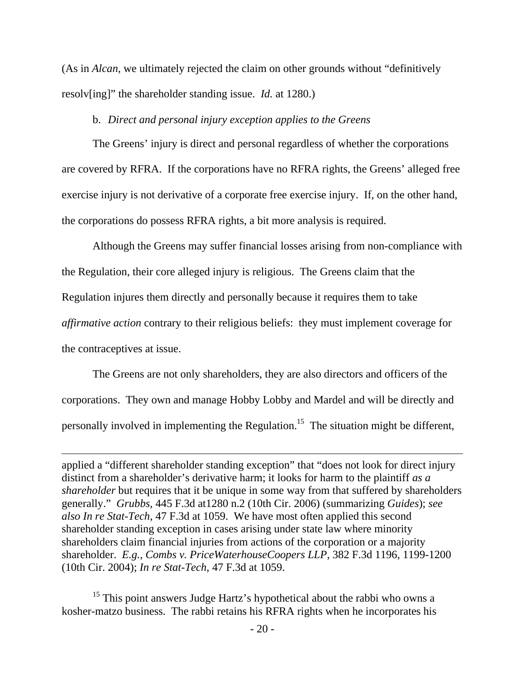(As in *Alcan*, we ultimately rejected the claim on other grounds without "definitively resolv[ing]" the shareholder standing issue. *Id.* at 1280.)

## b. *Direct and personal injury exception applies to the Greens*

The Greens' injury is direct and personal regardless of whether the corporations are covered by RFRA. If the corporations have no RFRA rights, the Greens' alleged free exercise injury is not derivative of a corporate free exercise injury. If, on the other hand, the corporations do possess RFRA rights, a bit more analysis is required.

Although the Greens may suffer financial losses arising from non-compliance with the Regulation, their core alleged injury is religious. The Greens claim that the Regulation injures them directly and personally because it requires them to take *affirmative action* contrary to their religious beliefs: they must implement coverage for the contraceptives at issue.

The Greens are not only shareholders, they are also directors and officers of the corporations. They own and manage Hobby Lobby and Mardel and will be directly and personally involved in implementing the Regulation.15 The situation might be different,

applied a "different shareholder standing exception" that "does not look for direct injury distinct from a shareholder's derivative harm; it looks for harm to the plaintiff *as a shareholder* but requires that it be unique in some way from that suffered by shareholders generally." *Grubbs*, 445 F.3d at1280 n.2 (10th Cir. 2006) (summarizing *Guides*); *see also In re Stat-Tech*, 47 F.3d at 1059. We have most often applied this second shareholder standing exception in cases arising under state law where minority shareholders claim financial injuries from actions of the corporation or a majority shareholder. *E.g.*, *Combs v. PriceWaterhouseCoopers LLP*, 382 F.3d 1196, 1199-1200 (10th Cir. 2004); *In re Stat-Tech*, 47 F.3d at 1059.

<u> 1989 - Andrea San Andrea San Andrea San Andrea San Andrea San Andrea San Andrea San Andrea San Andrea San An</u>

<sup>15</sup> This point answers Judge Hartz's hypothetical about the rabbi who owns a kosher-matzo business. The rabbi retains his RFRA rights when he incorporates his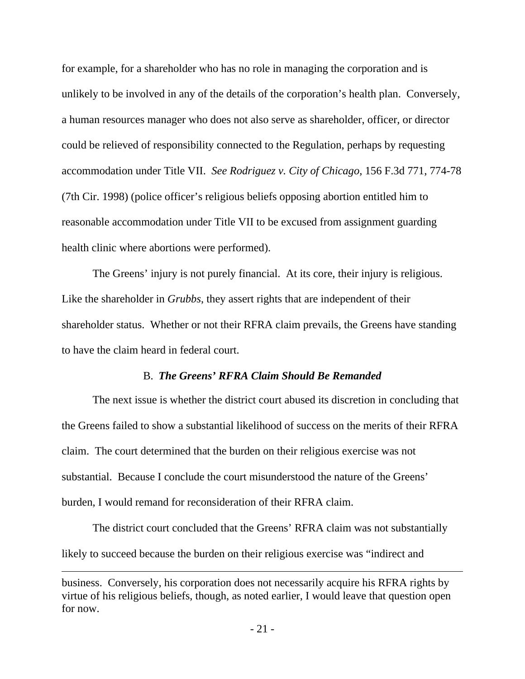for example, for a shareholder who has no role in managing the corporation and is unlikely to be involved in any of the details of the corporation's health plan. Conversely, a human resources manager who does not also serve as shareholder, officer, or director could be relieved of responsibility connected to the Regulation, perhaps by requesting accommodation under Title VII. *See Rodriguez v. City of Chicago*, 156 F.3d 771, 774-78 (7th Cir. 1998) (police officer's religious beliefs opposing abortion entitled him to reasonable accommodation under Title VII to be excused from assignment guarding health clinic where abortions were performed).

The Greens' injury is not purely financial. At its core, their injury is religious. Like the shareholder in *Grubbs*, they assert rights that are independent of their shareholder status. Whether or not their RFRA claim prevails, the Greens have standing to have the claim heard in federal court.

# B. *The Greens' RFRA Claim Should Be Remanded*

The next issue is whether the district court abused its discretion in concluding that the Greens failed to show a substantial likelihood of success on the merits of their RFRA claim. The court determined that the burden on their religious exercise was not substantial. Because I conclude the court misunderstood the nature of the Greens' burden, I would remand for reconsideration of their RFRA claim.

The district court concluded that the Greens' RFRA claim was not substantially likely to succeed because the burden on their religious exercise was "indirect and

<u> 1989 - Andrea San Andrea San Andrea San Andrea San Andrea San Andrea San Andrea San Andrea San Andrea San An</u>

business. Conversely, his corporation does not necessarily acquire his RFRA rights by virtue of his religious beliefs, though, as noted earlier, I would leave that question open for now.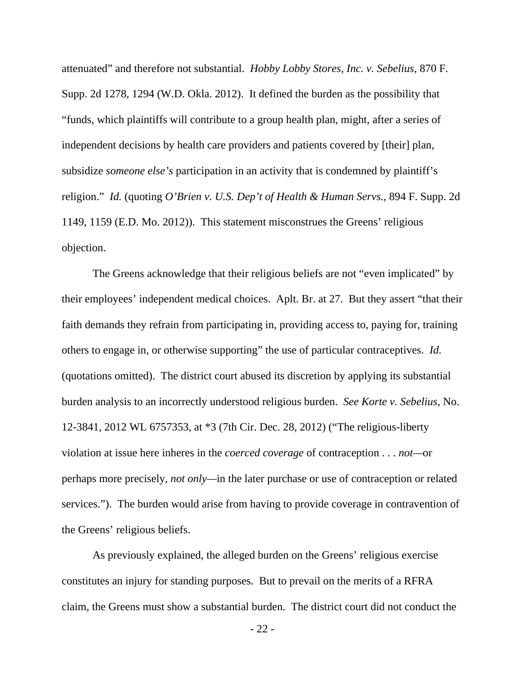attenuated" and therefore not substantial. *Hobby Lobby Stores, Inc. v. Sebelius*, 870 F. Supp. 2d 1278, 1294 (W.D. Okla. 2012). It defined the burden as the possibility that "funds, which plaintiffs will contribute to a group health plan, might, after a series of independent decisions by health care providers and patients covered by [their] plan, subsidize *someone else's* participation in an activity that is condemned by plaintiff's religion." *Id.* (quoting *O'Brien v. U.S. Dep't of Health & Human Servs.*, 894 F. Supp. 2d 1149, 1159 (E.D. Mo. 2012)). This statement misconstrues the Greens' religious objection.

The Greens acknowledge that their religious beliefs are not "even implicated" by their employees' independent medical choices. Aplt. Br. at 27. But they assert "that their faith demands they refrain from participating in, providing access to, paying for, training others to engage in, or otherwise supporting" the use of particular contraceptives. *Id.* (quotations omitted). The district court abused its discretion by applying its substantial burden analysis to an incorrectly understood religious burden. *See Korte v. Sebelius*, No. 12-3841, 2012 WL 6757353, at \*3 (7th Cir. Dec. 28, 2012) ("The religious-liberty violation at issue here inheres in the *coerced coverage* of contraception . . . *not—*or perhaps more precisely, *not only—*in the later purchase or use of contraception or related services."). The burden would arise from having to provide coverage in contravention of the Greens' religious beliefs.

As previously explained, the alleged burden on the Greens' religious exercise constitutes an injury for standing purposes. But to prevail on the merits of a RFRA claim, the Greens must show a substantial burden. The district court did not conduct the

- 22 -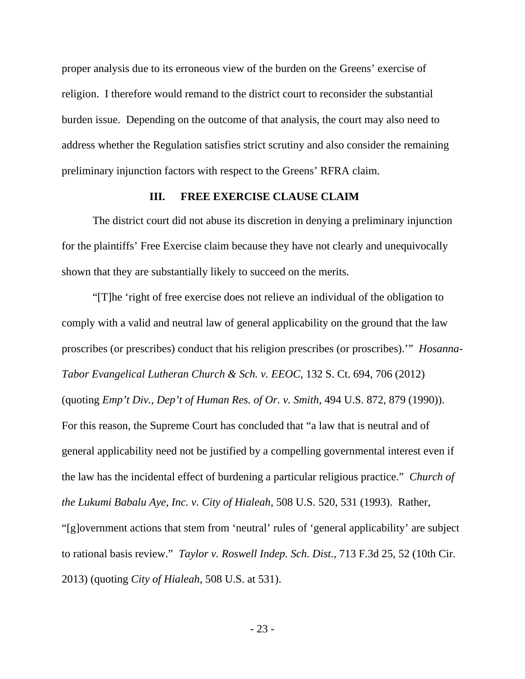proper analysis due to its erroneous view of the burden on the Greens' exercise of religion. I therefore would remand to the district court to reconsider the substantial burden issue. Depending on the outcome of that analysis, the court may also need to address whether the Regulation satisfies strict scrutiny and also consider the remaining preliminary injunction factors with respect to the Greens' RFRA claim.

# **III. FREE EXERCISE CLAUSE CLAIM**

The district court did not abuse its discretion in denying a preliminary injunction for the plaintiffs' Free Exercise claim because they have not clearly and unequivocally shown that they are substantially likely to succeed on the merits.

"[T]he 'right of free exercise does not relieve an individual of the obligation to comply with a valid and neutral law of general applicability on the ground that the law proscribes (or prescribes) conduct that his religion prescribes (or proscribes).'" *Hosanna-Tabor Evangelical Lutheran Church & Sch. v. EEOC*, 132 S. Ct. 694, 706 (2012) (quoting *Emp't Div., Dep't of Human Res. of Or. v. Smith*, 494 U.S. 872, 879 (1990)). For this reason, the Supreme Court has concluded that "a law that is neutral and of general applicability need not be justified by a compelling governmental interest even if the law has the incidental effect of burdening a particular religious practice." *Church of the Lukumi Babalu Aye, Inc. v. City of Hialeah*, 508 U.S. 520, 531 (1993). Rather,

"[g]overnment actions that stem from 'neutral' rules of 'general applicability' are subject to rational basis review." *Taylor v. Roswell Indep. Sch. Dist.*, 713 F.3d 25, 52 (10th Cir. 2013) (quoting *City of Hialeah*, 508 U.S. at 531).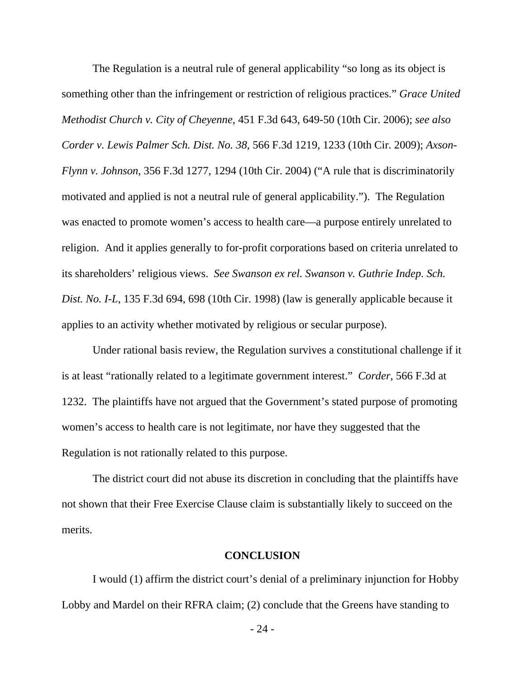The Regulation is a neutral rule of general applicability "so long as its object is something other than the infringement or restriction of religious practices." *Grace United Methodist Church v. City of Cheyenne*, 451 F.3d 643, 649-50 (10th Cir. 2006); *see also Corder v. Lewis Palmer Sch. Dist. No. 38,* 566 F.3d 1219, 1233 (10th Cir. 2009); *Axson-Flynn v. Johnson*, 356 F.3d 1277, 1294 (10th Cir. 2004) ("A rule that is discriminatorily motivated and applied is not a neutral rule of general applicability."). The Regulation was enacted to promote women's access to health care—a purpose entirely unrelated to religion. And it applies generally to for-profit corporations based on criteria unrelated to its shareholders' religious views. *See Swanson ex rel. Swanson v. Guthrie Indep. Sch. Dist. No. I-L*, 135 F.3d 694, 698 (10th Cir. 1998) (law is generally applicable because it applies to an activity whether motivated by religious or secular purpose).

Under rational basis review, the Regulation survives a constitutional challenge if it is at least "rationally related to a legitimate government interest." *Corder*, 566 F.3d at 1232. The plaintiffs have not argued that the Government's stated purpose of promoting women's access to health care is not legitimate, nor have they suggested that the Regulation is not rationally related to this purpose.

The district court did not abuse its discretion in concluding that the plaintiffs have not shown that their Free Exercise Clause claim is substantially likely to succeed on the merits.

#### **CONCLUSION**

I would (1) affirm the district court's denial of a preliminary injunction for Hobby Lobby and Mardel on their RFRA claim; (2) conclude that the Greens have standing to

 $-24-$